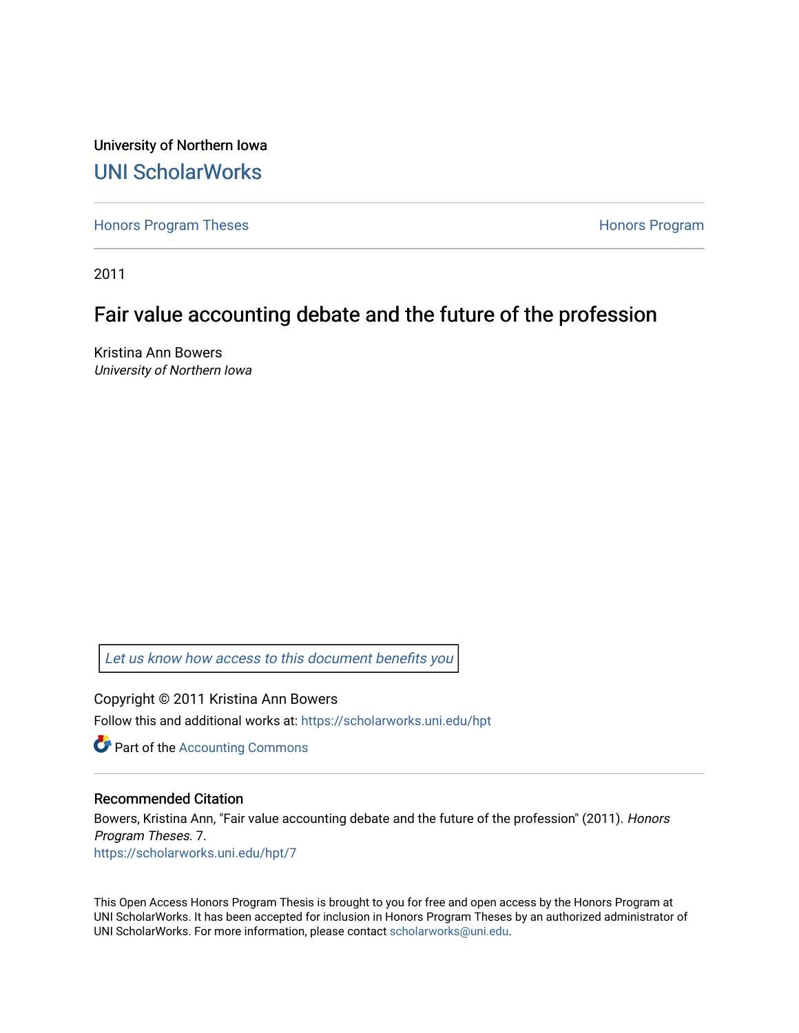University of Northern Iowa [UNI ScholarWorks](https://scholarworks.uni.edu/) 

[Honors Program Theses](https://scholarworks.uni.edu/hpt) **Honors Program** Honors Program

2011

## Fair value accounting debate and the future of the profession

Kristina Ann Bowers University of Northern Iowa

[Let us know how access to this document benefits you](https://scholarworks.uni.edu/feedback_form.html) 

Copyright © 2011 Kristina Ann Bowers Follow this and additional works at: [https://scholarworks.uni.edu/hpt](https://scholarworks.uni.edu/hpt?utm_source=scholarworks.uni.edu%2Fhpt%2F7&utm_medium=PDF&utm_campaign=PDFCoverPages) 

**C** Part of the [Accounting Commons](http://network.bepress.com/hgg/discipline/625?utm_source=scholarworks.uni.edu%2Fhpt%2F7&utm_medium=PDF&utm_campaign=PDFCoverPages)

#### Recommended Citation

Bowers, Kristina Ann, "Fair value accounting debate and the future of the profession" (2011). Honors Program Theses. 7. [https://scholarworks.uni.edu/hpt/7](https://scholarworks.uni.edu/hpt/7?utm_source=scholarworks.uni.edu%2Fhpt%2F7&utm_medium=PDF&utm_campaign=PDFCoverPages) 

This Open Access Honors Program Thesis is brought to you for free and open access by the Honors Program at UNI ScholarWorks. It has been accepted for inclusion in Honors Program Theses by an authorized administrator of UNI ScholarWorks. For more information, please contact [scholarworks@uni.edu.](mailto:scholarworks@uni.edu)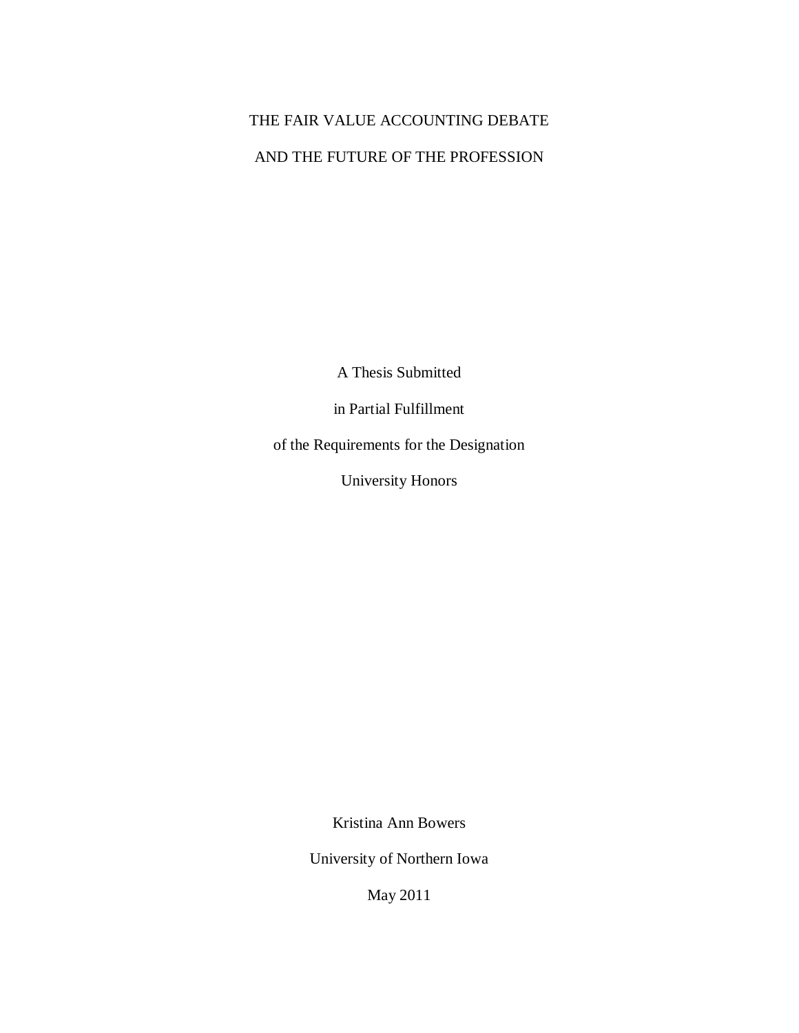# THE FAIR VALUE ACCOUNTING DEBATE AND THE FUTURE OF THE PROFESSION

A Thesis Submitted

in Partial Fulfillment

of the Requirements for the Designation

University Honors

Kristina Ann Bowers

University of Northern Iowa

May 2011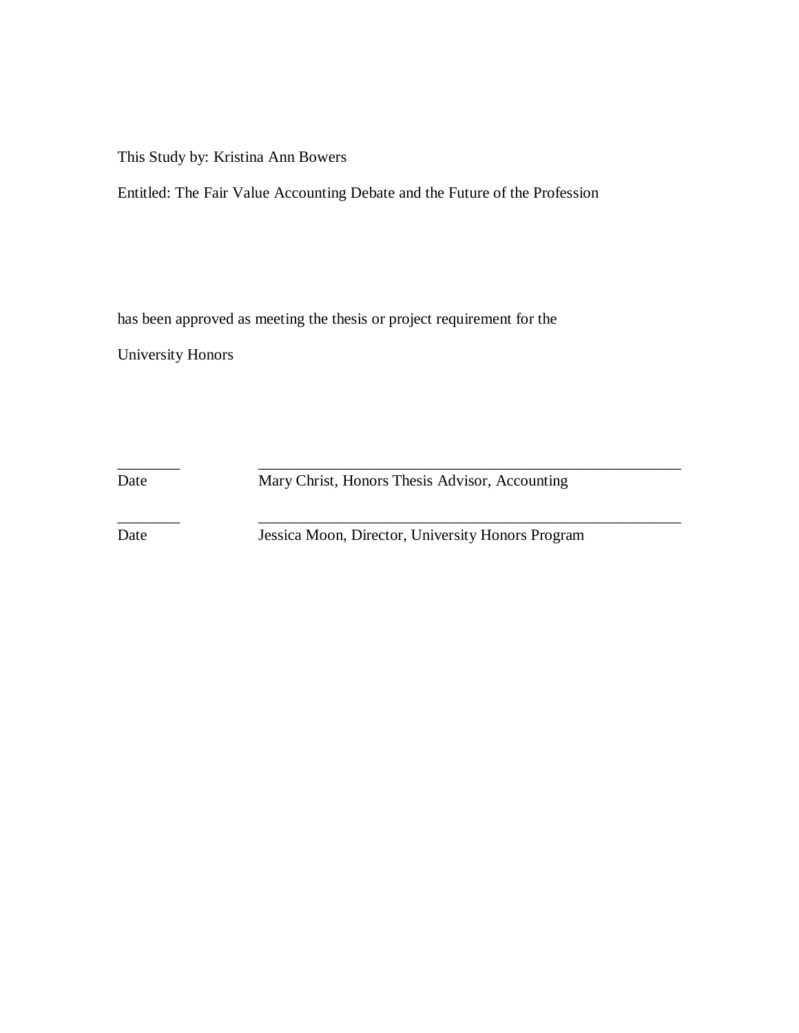This Study by: Kristina Ann Bowers

Entitled: The Fair Value Accounting Debate and the Future of the Profession

has been approved as meeting the thesis or project requirement for the

University Honors

Date Mary Christ, Honors Thesis Advisor, Accounting

\_\_\_\_\_\_\_\_ \_\_\_\_\_\_\_\_\_\_\_\_\_\_\_\_\_\_\_\_\_\_\_\_\_\_\_\_\_\_\_\_\_\_\_\_\_\_\_\_\_\_\_\_\_\_\_\_\_\_\_\_\_\_

\_\_\_\_\_\_\_\_ \_\_\_\_\_\_\_\_\_\_\_\_\_\_\_\_\_\_\_\_\_\_\_\_\_\_\_\_\_\_\_\_\_\_\_\_\_\_\_\_\_\_\_\_\_\_\_\_\_\_\_\_\_\_

Date Jessica Moon, Director, University Honors Program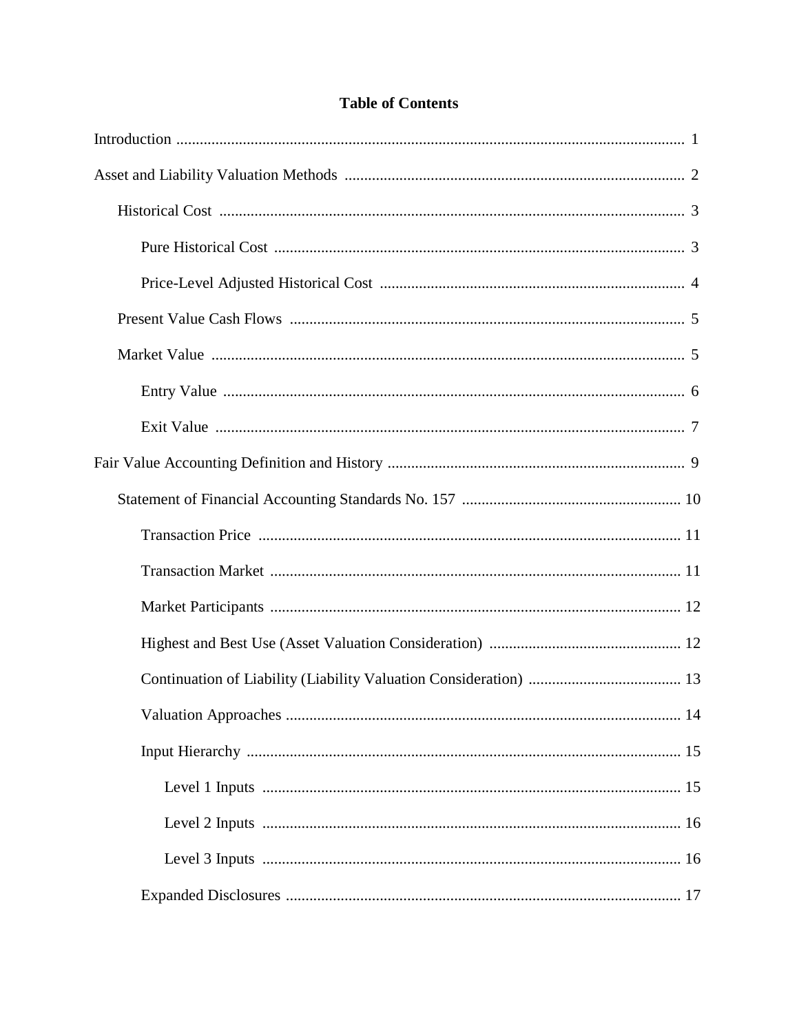### **Table of Contents**

| 14 |
|----|
|    |
|    |
|    |
|    |
|    |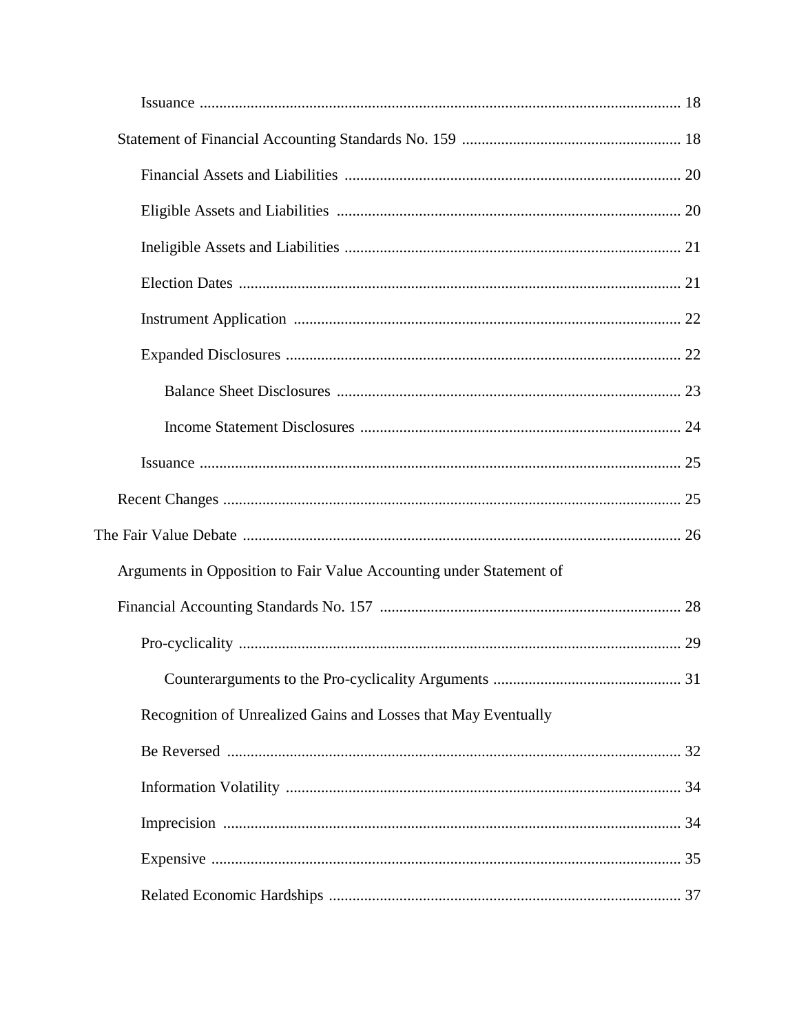| Arguments in Opposition to Fair Value Accounting under Statement of |  |
|---------------------------------------------------------------------|--|
|                                                                     |  |
|                                                                     |  |
|                                                                     |  |
| Recognition of Unrealized Gains and Losses that May Eventually      |  |
|                                                                     |  |
|                                                                     |  |
|                                                                     |  |
|                                                                     |  |
|                                                                     |  |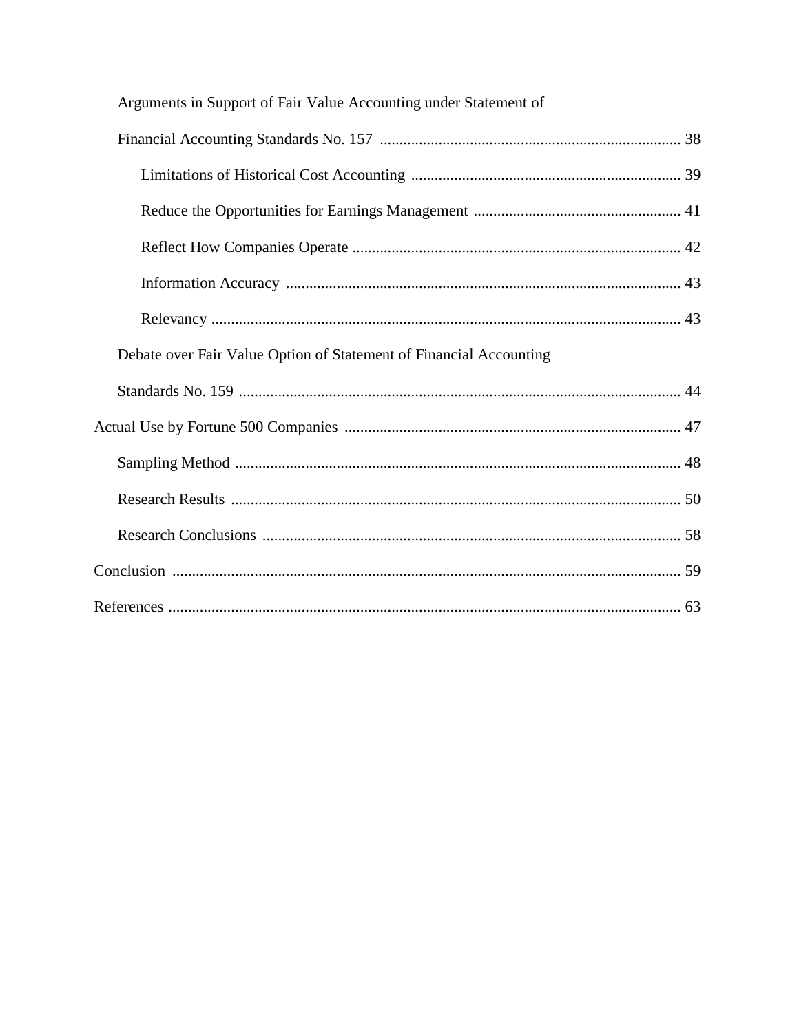| Arguments in Support of Fair Value Accounting under Statement of   |
|--------------------------------------------------------------------|
|                                                                    |
|                                                                    |
|                                                                    |
|                                                                    |
|                                                                    |
|                                                                    |
| Debate over Fair Value Option of Statement of Financial Accounting |
|                                                                    |
|                                                                    |
|                                                                    |
|                                                                    |
|                                                                    |
|                                                                    |
|                                                                    |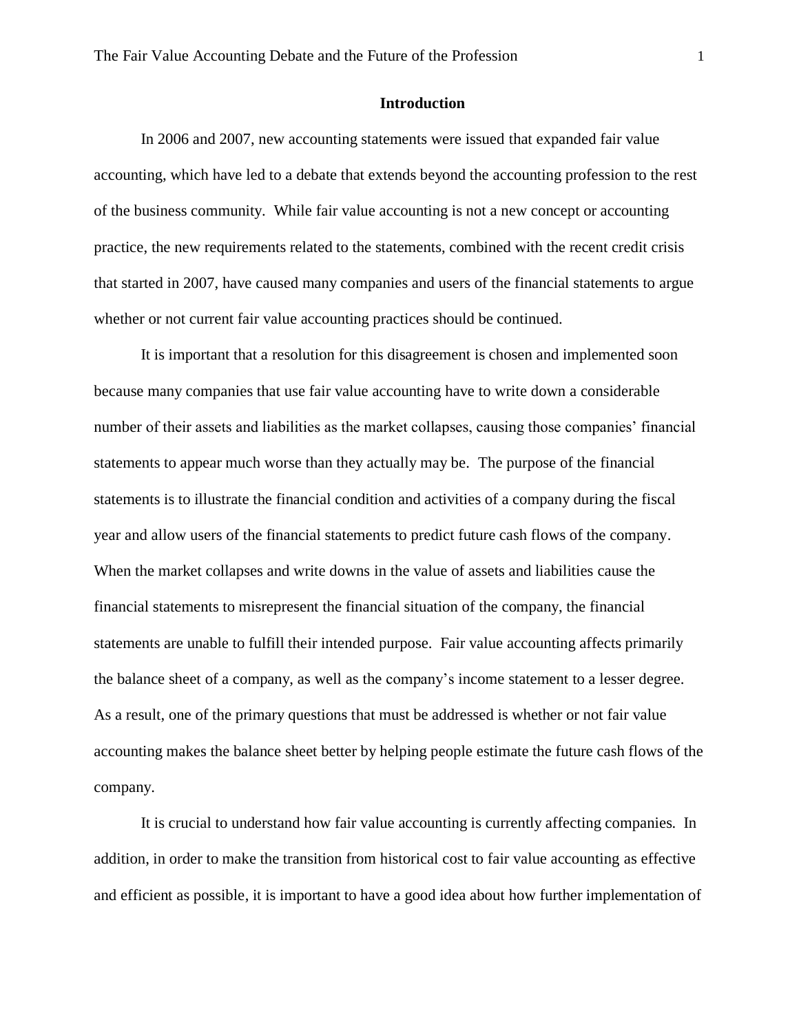#### **Introduction**

In 2006 and 2007, new accounting statements were issued that expanded fair value accounting, which have led to a debate that extends beyond the accounting profession to the rest of the business community. While fair value accounting is not a new concept or accounting practice, the new requirements related to the statements, combined with the recent credit crisis that started in 2007, have caused many companies and users of the financial statements to argue whether or not current fair value accounting practices should be continued.

It is important that a resolution for this disagreement is chosen and implemented soon because many companies that use fair value accounting have to write down a considerable number of their assets and liabilities as the market collapses, causing those companies' financial statements to appear much worse than they actually may be. The purpose of the financial statements is to illustrate the financial condition and activities of a company during the fiscal year and allow users of the financial statements to predict future cash flows of the company. When the market collapses and write downs in the value of assets and liabilities cause the financial statements to misrepresent the financial situation of the company, the financial statements are unable to fulfill their intended purpose. Fair value accounting affects primarily the balance sheet of a company, as well as the company's income statement to a lesser degree. As a result, one of the primary questions that must be addressed is whether or not fair value accounting makes the balance sheet better by helping people estimate the future cash flows of the company.

It is crucial to understand how fair value accounting is currently affecting companies. In addition, in order to make the transition from historical cost to fair value accounting as effective and efficient as possible, it is important to have a good idea about how further implementation of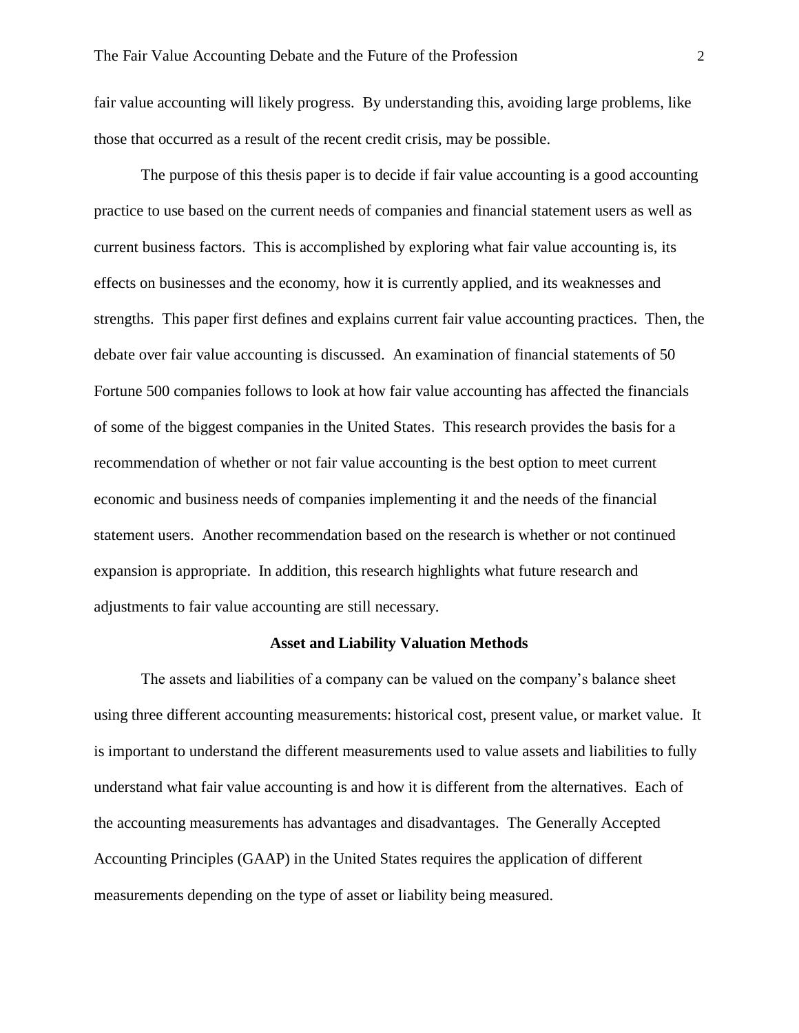fair value accounting will likely progress. By understanding this, avoiding large problems, like those that occurred as a result of the recent credit crisis, may be possible.

The purpose of this thesis paper is to decide if fair value accounting is a good accounting practice to use based on the current needs of companies and financial statement users as well as current business factors. This is accomplished by exploring what fair value accounting is, its effects on businesses and the economy, how it is currently applied, and its weaknesses and strengths. This paper first defines and explains current fair value accounting practices. Then, the debate over fair value accounting is discussed. An examination of financial statements of 50 Fortune 500 companies follows to look at how fair value accounting has affected the financials of some of the biggest companies in the United States. This research provides the basis for a recommendation of whether or not fair value accounting is the best option to meet current economic and business needs of companies implementing it and the needs of the financial statement users. Another recommendation based on the research is whether or not continued expansion is appropriate. In addition, this research highlights what future research and adjustments to fair value accounting are still necessary.

#### **Asset and Liability Valuation Methods**

The assets and liabilities of a company can be valued on the company's balance sheet using three different accounting measurements: historical cost, present value, or market value. It is important to understand the different measurements used to value assets and liabilities to fully understand what fair value accounting is and how it is different from the alternatives. Each of the accounting measurements has advantages and disadvantages. The Generally Accepted Accounting Principles (GAAP) in the United States requires the application of different measurements depending on the type of asset or liability being measured.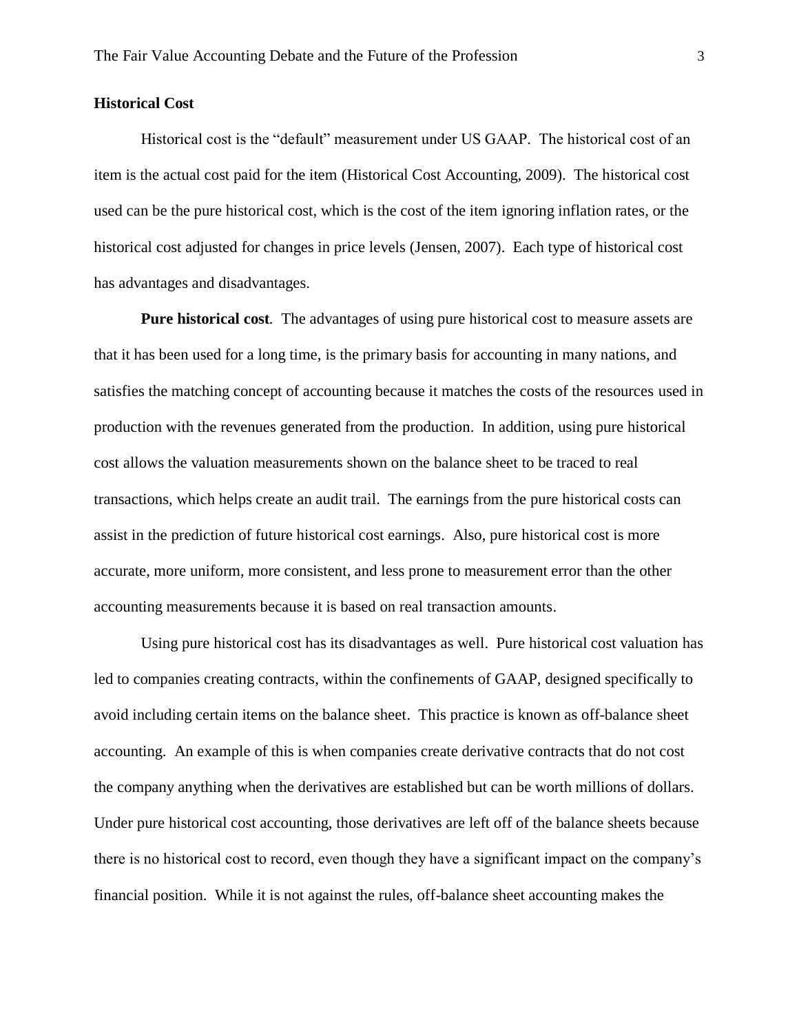#### **Historical Cost**

Historical cost is the "default" measurement under US GAAP. The historical cost of an item is the actual cost paid for the item (Historical Cost Accounting, 2009). The historical cost used can be the pure historical cost, which is the cost of the item ignoring inflation rates, or the historical cost adjusted for changes in price levels (Jensen, 2007). Each type of historical cost has advantages and disadvantages.

**Pure historical cost***.* The advantages of using pure historical cost to measure assets are that it has been used for a long time, is the primary basis for accounting in many nations, and satisfies the matching concept of accounting because it matches the costs of the resources used in production with the revenues generated from the production. In addition, using pure historical cost allows the valuation measurements shown on the balance sheet to be traced to real transactions, which helps create an audit trail. The earnings from the pure historical costs can assist in the prediction of future historical cost earnings. Also, pure historical cost is more accurate, more uniform, more consistent, and less prone to measurement error than the other accounting measurements because it is based on real transaction amounts.

Using pure historical cost has its disadvantages as well. Pure historical cost valuation has led to companies creating contracts, within the confinements of GAAP, designed specifically to avoid including certain items on the balance sheet. This practice is known as off-balance sheet accounting. An example of this is when companies create derivative contracts that do not cost the company anything when the derivatives are established but can be worth millions of dollars. Under pure historical cost accounting, those derivatives are left off of the balance sheets because there is no historical cost to record, even though they have a significant impact on the company's financial position. While it is not against the rules, off-balance sheet accounting makes the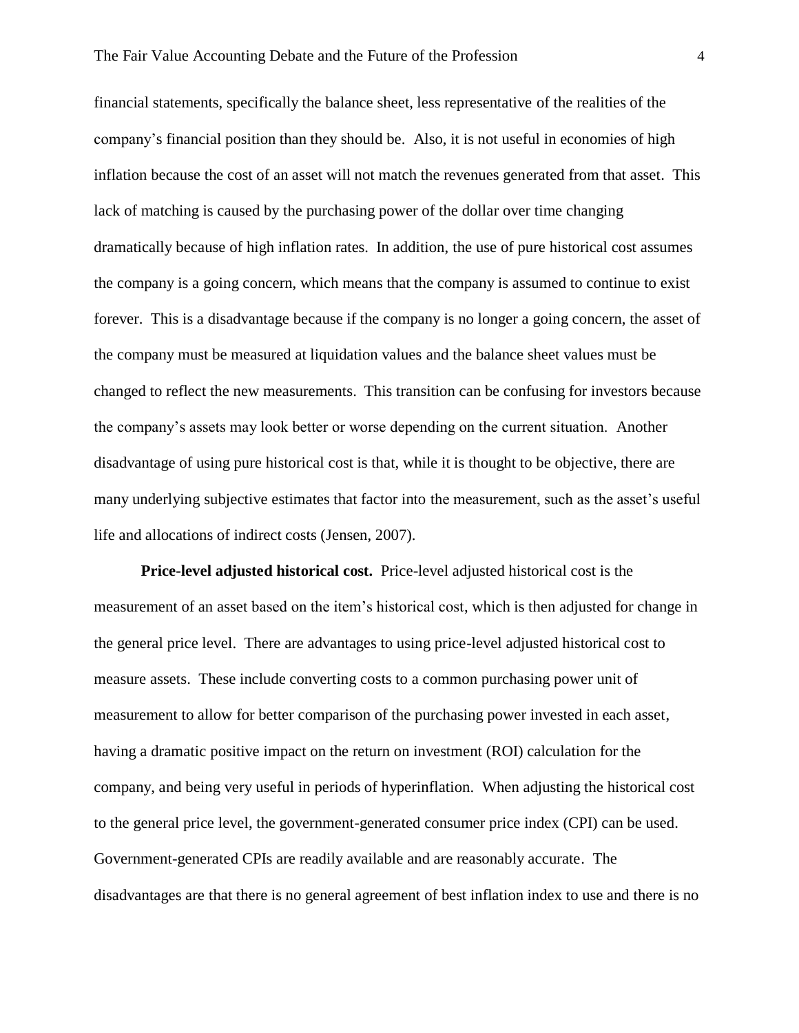financial statements, specifically the balance sheet, less representative of the realities of the company's financial position than they should be. Also, it is not useful in economies of high inflation because the cost of an asset will not match the revenues generated from that asset. This lack of matching is caused by the purchasing power of the dollar over time changing dramatically because of high inflation rates. In addition, the use of pure historical cost assumes the company is a going concern, which means that the company is assumed to continue to exist forever. This is a disadvantage because if the company is no longer a going concern, the asset of the company must be measured at liquidation values and the balance sheet values must be changed to reflect the new measurements. This transition can be confusing for investors because the company's assets may look better or worse depending on the current situation. Another disadvantage of using pure historical cost is that, while it is thought to be objective, there are many underlying subjective estimates that factor into the measurement, such as the asset's useful life and allocations of indirect costs (Jensen, 2007).

**Price-level adjusted historical cost.** Price-level adjusted historical cost is the measurement of an asset based on the item's historical cost, which is then adjusted for change in the general price level. There are advantages to using price-level adjusted historical cost to measure assets. These include converting costs to a common purchasing power unit of measurement to allow for better comparison of the purchasing power invested in each asset, having a dramatic positive impact on the return on investment (ROI) calculation for the company, and being very useful in periods of hyperinflation. When adjusting the historical cost to the general price level, the government-generated consumer price index (CPI) can be used. Government-generated CPIs are readily available and are reasonably accurate. The disadvantages are that there is no general agreement of best inflation index to use and there is no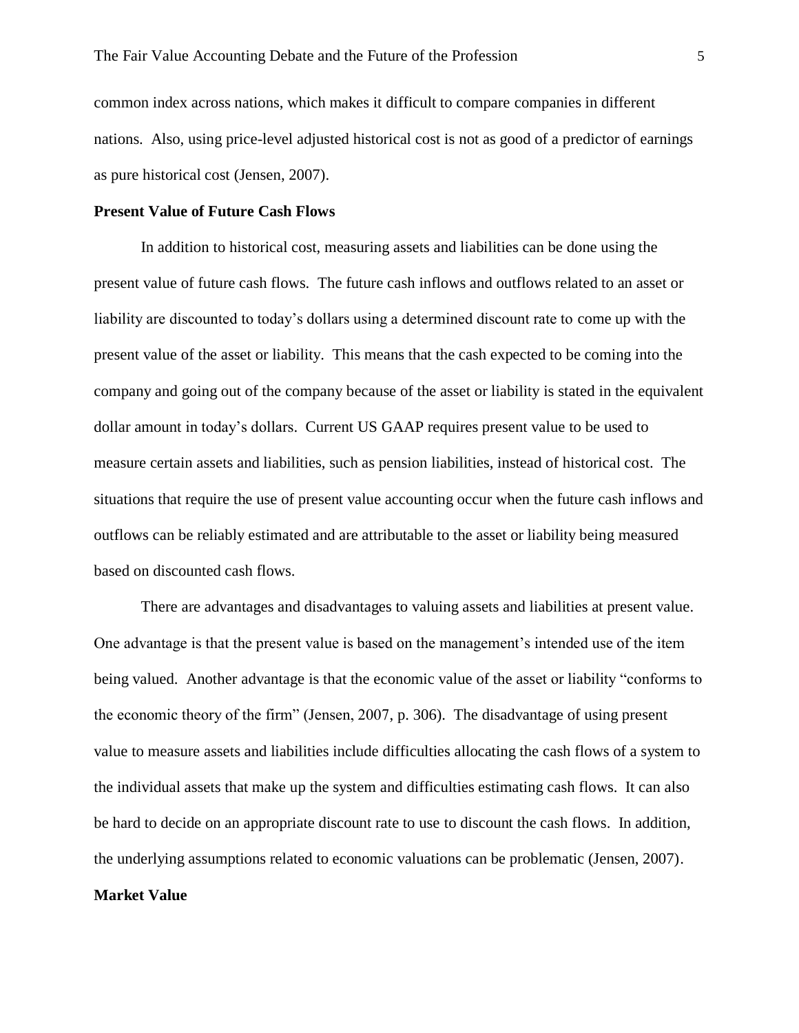common index across nations, which makes it difficult to compare companies in different nations. Also, using price-level adjusted historical cost is not as good of a predictor of earnings as pure historical cost (Jensen, 2007).

#### **Present Value of Future Cash Flows**

In addition to historical cost, measuring assets and liabilities can be done using the present value of future cash flows. The future cash inflows and outflows related to an asset or liability are discounted to today's dollars using a determined discount rate to come up with the present value of the asset or liability. This means that the cash expected to be coming into the company and going out of the company because of the asset or liability is stated in the equivalent dollar amount in today's dollars. Current US GAAP requires present value to be used to measure certain assets and liabilities, such as pension liabilities, instead of historical cost. The situations that require the use of present value accounting occur when the future cash inflows and outflows can be reliably estimated and are attributable to the asset or liability being measured based on discounted cash flows.

There are advantages and disadvantages to valuing assets and liabilities at present value. One advantage is that the present value is based on the management's intended use of the item being valued. Another advantage is that the economic value of the asset or liability "conforms to the economic theory of the firm" (Jensen, 2007, p. 306). The disadvantage of using present value to measure assets and liabilities include difficulties allocating the cash flows of a system to the individual assets that make up the system and difficulties estimating cash flows. It can also be hard to decide on an appropriate discount rate to use to discount the cash flows. In addition, the underlying assumptions related to economic valuations can be problematic (Jensen, 2007).

#### **Market Value**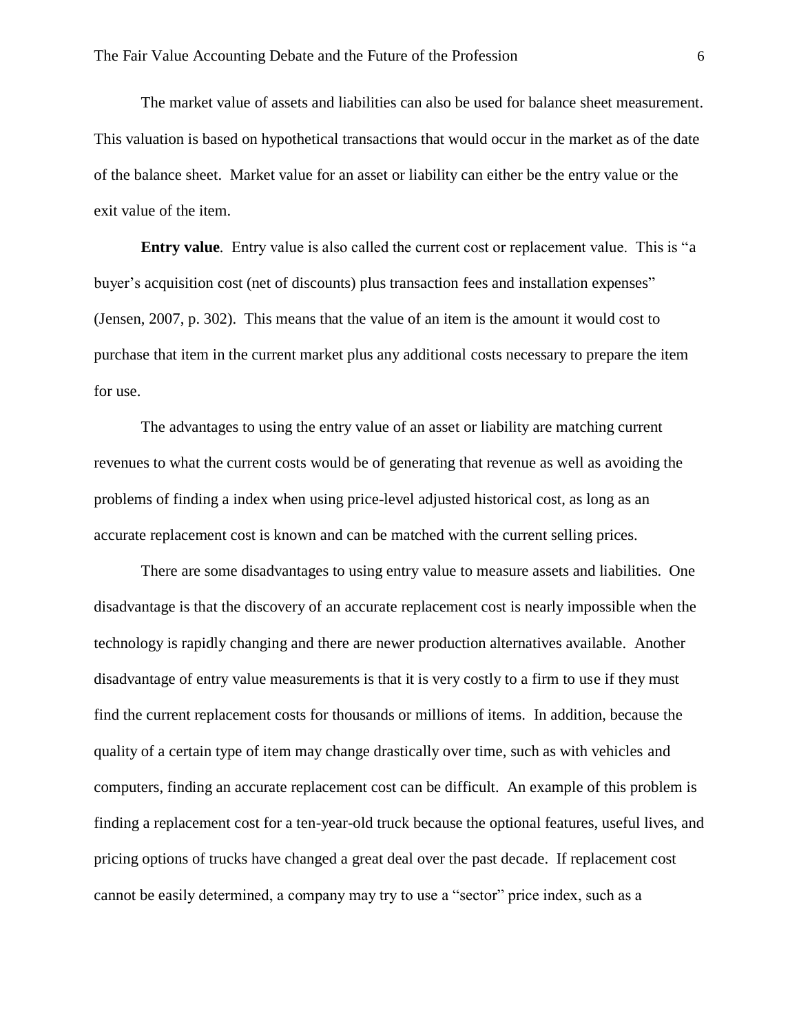The market value of assets and liabilities can also be used for balance sheet measurement. This valuation is based on hypothetical transactions that would occur in the market as of the date of the balance sheet. Market value for an asset or liability can either be the entry value or the exit value of the item.

**Entry value***.* Entry value is also called the current cost or replacement value. This is "a buyer's acquisition cost (net of discounts) plus transaction fees and installation expenses" (Jensen, 2007, p. 302). This means that the value of an item is the amount it would cost to purchase that item in the current market plus any additional costs necessary to prepare the item for use.

The advantages to using the entry value of an asset or liability are matching current revenues to what the current costs would be of generating that revenue as well as avoiding the problems of finding a index when using price-level adjusted historical cost, as long as an accurate replacement cost is known and can be matched with the current selling prices.

There are some disadvantages to using entry value to measure assets and liabilities. One disadvantage is that the discovery of an accurate replacement cost is nearly impossible when the technology is rapidly changing and there are newer production alternatives available. Another disadvantage of entry value measurements is that it is very costly to a firm to use if they must find the current replacement costs for thousands or millions of items. In addition, because the quality of a certain type of item may change drastically over time, such as with vehicles and computers, finding an accurate replacement cost can be difficult. An example of this problem is finding a replacement cost for a ten-year-old truck because the optional features, useful lives, and pricing options of trucks have changed a great deal over the past decade. If replacement cost cannot be easily determined, a company may try to use a "sector" price index, such as a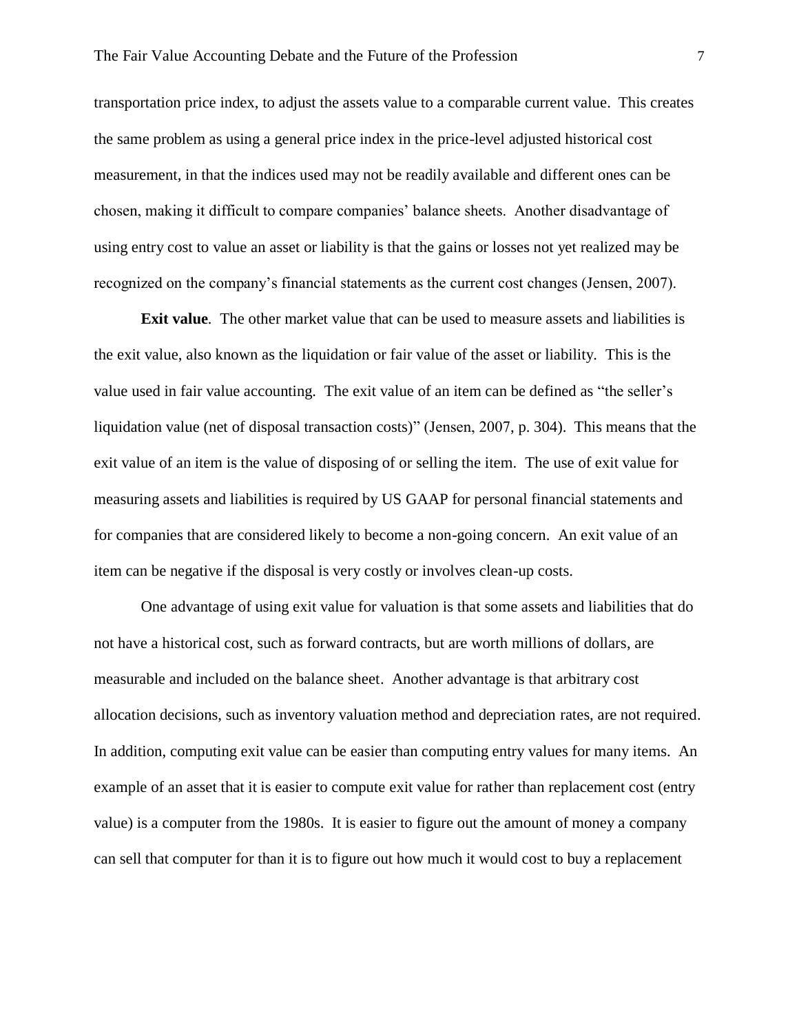transportation price index, to adjust the assets value to a comparable current value. This creates the same problem as using a general price index in the price-level adjusted historical cost measurement, in that the indices used may not be readily available and different ones can be chosen, making it difficult to compare companies' balance sheets. Another disadvantage of using entry cost to value an asset or liability is that the gains or losses not yet realized may be recognized on the company's financial statements as the current cost changes (Jensen, 2007).

**Exit value***.* The other market value that can be used to measure assets and liabilities is the exit value, also known as the liquidation or fair value of the asset or liability. This is the value used in fair value accounting. The exit value of an item can be defined as "the seller's liquidation value (net of disposal transaction costs)" (Jensen, 2007, p. 304). This means that the exit value of an item is the value of disposing of or selling the item. The use of exit value for measuring assets and liabilities is required by US GAAP for personal financial statements and for companies that are considered likely to become a non-going concern. An exit value of an item can be negative if the disposal is very costly or involves clean-up costs.

One advantage of using exit value for valuation is that some assets and liabilities that do not have a historical cost, such as forward contracts, but are worth millions of dollars, are measurable and included on the balance sheet. Another advantage is that arbitrary cost allocation decisions, such as inventory valuation method and depreciation rates, are not required. In addition, computing exit value can be easier than computing entry values for many items. An example of an asset that it is easier to compute exit value for rather than replacement cost (entry value) is a computer from the 1980s. It is easier to figure out the amount of money a company can sell that computer for than it is to figure out how much it would cost to buy a replacement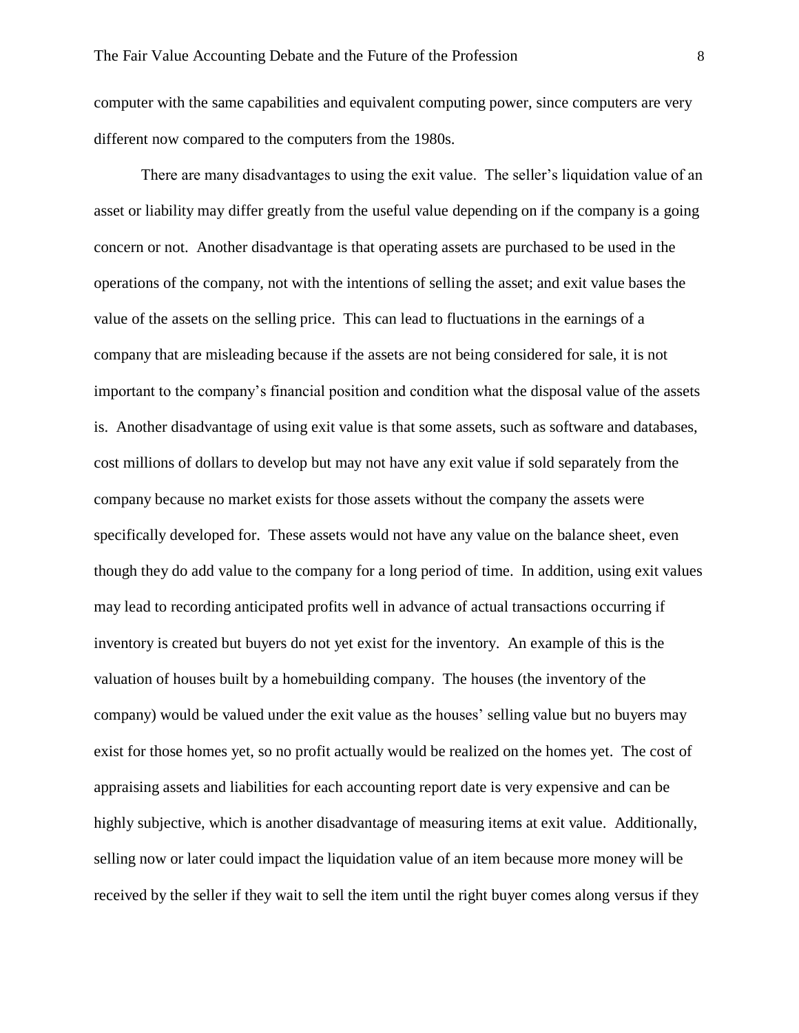computer with the same capabilities and equivalent computing power, since computers are very different now compared to the computers from the 1980s.

There are many disadvantages to using the exit value. The seller's liquidation value of an asset or liability may differ greatly from the useful value depending on if the company is a going concern or not. Another disadvantage is that operating assets are purchased to be used in the operations of the company, not with the intentions of selling the asset; and exit value bases the value of the assets on the selling price. This can lead to fluctuations in the earnings of a company that are misleading because if the assets are not being considered for sale, it is not important to the company's financial position and condition what the disposal value of the assets is. Another disadvantage of using exit value is that some assets, such as software and databases, cost millions of dollars to develop but may not have any exit value if sold separately from the company because no market exists for those assets without the company the assets were specifically developed for. These assets would not have any value on the balance sheet, even though they do add value to the company for a long period of time. In addition, using exit values may lead to recording anticipated profits well in advance of actual transactions occurring if inventory is created but buyers do not yet exist for the inventory. An example of this is the valuation of houses built by a homebuilding company. The houses (the inventory of the company) would be valued under the exit value as the houses' selling value but no buyers may exist for those homes yet, so no profit actually would be realized on the homes yet. The cost of appraising assets and liabilities for each accounting report date is very expensive and can be highly subjective, which is another disadvantage of measuring items at exit value. Additionally, selling now or later could impact the liquidation value of an item because more money will be received by the seller if they wait to sell the item until the right buyer comes along versus if they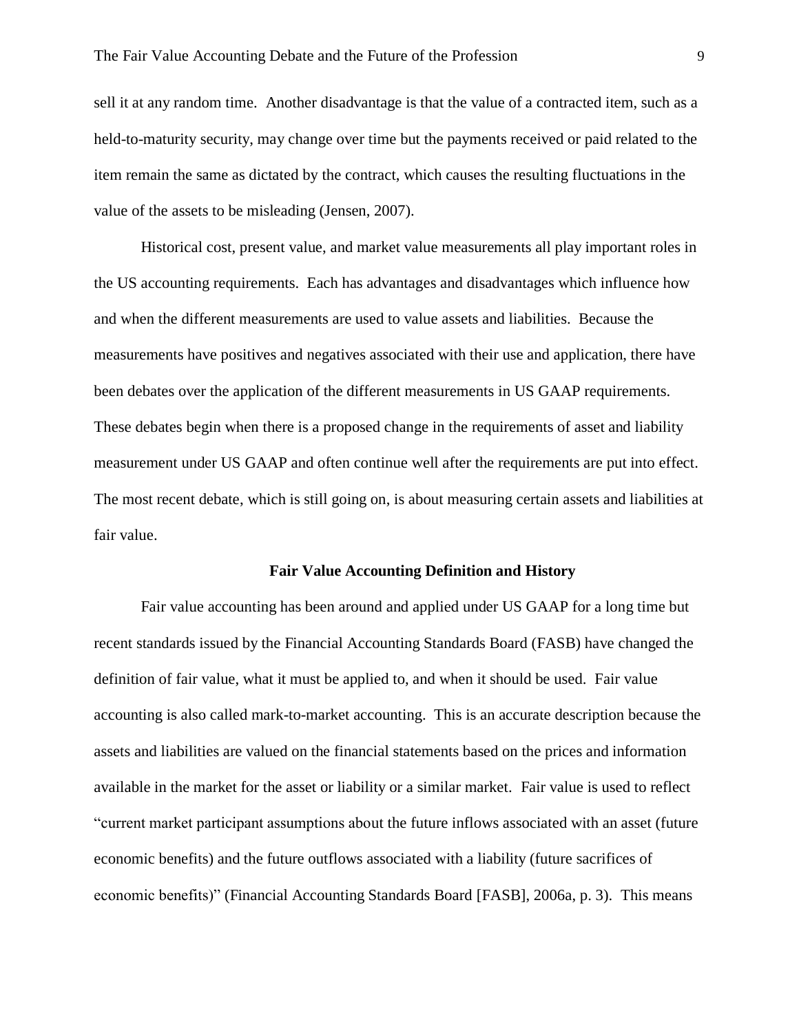sell it at any random time. Another disadvantage is that the value of a contracted item, such as a held-to-maturity security, may change over time but the payments received or paid related to the item remain the same as dictated by the contract, which causes the resulting fluctuations in the value of the assets to be misleading (Jensen, 2007).

Historical cost, present value, and market value measurements all play important roles in the US accounting requirements. Each has advantages and disadvantages which influence how and when the different measurements are used to value assets and liabilities. Because the measurements have positives and negatives associated with their use and application, there have been debates over the application of the different measurements in US GAAP requirements. These debates begin when there is a proposed change in the requirements of asset and liability measurement under US GAAP and often continue well after the requirements are put into effect. The most recent debate, which is still going on, is about measuring certain assets and liabilities at fair value.

#### **Fair Value Accounting Definition and History**

Fair value accounting has been around and applied under US GAAP for a long time but recent standards issued by the Financial Accounting Standards Board (FASB) have changed the definition of fair value, what it must be applied to, and when it should be used. Fair value accounting is also called mark-to-market accounting. This is an accurate description because the assets and liabilities are valued on the financial statements based on the prices and information available in the market for the asset or liability or a similar market. Fair value is used to reflect "current market participant assumptions about the future inflows associated with an asset (future economic benefits) and the future outflows associated with a liability (future sacrifices of economic benefits)" (Financial Accounting Standards Board [FASB], 2006a, p. 3). This means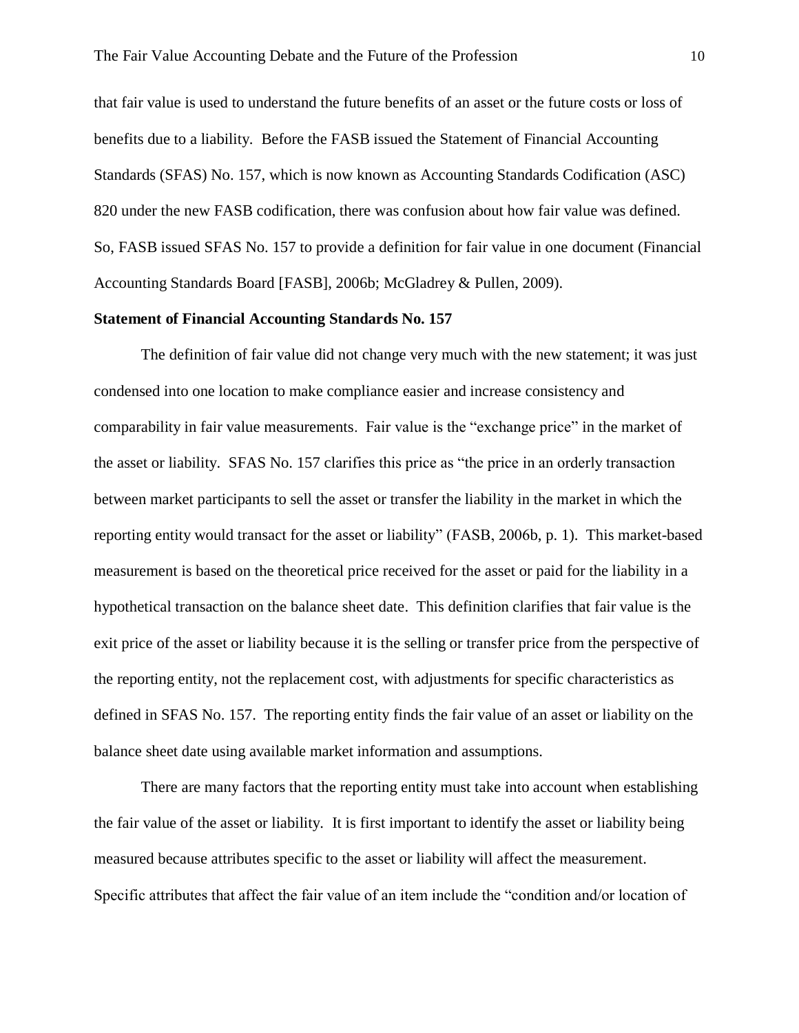that fair value is used to understand the future benefits of an asset or the future costs or loss of benefits due to a liability. Before the FASB issued the Statement of Financial Accounting Standards (SFAS) No. 157, which is now known as Accounting Standards Codification (ASC) 820 under the new FASB codification, there was confusion about how fair value was defined. So, FASB issued SFAS No. 157 to provide a definition for fair value in one document (Financial Accounting Standards Board [FASB], 2006b; McGladrey & Pullen, 2009).

#### **Statement of Financial Accounting Standards No. 157**

The definition of fair value did not change very much with the new statement; it was just condensed into one location to make compliance easier and increase consistency and comparability in fair value measurements. Fair value is the "exchange price" in the market of the asset or liability. SFAS No. 157 clarifies this price as "the price in an orderly transaction between market participants to sell the asset or transfer the liability in the market in which the reporting entity would transact for the asset or liability" (FASB, 2006b, p. 1). This market-based measurement is based on the theoretical price received for the asset or paid for the liability in a hypothetical transaction on the balance sheet date. This definition clarifies that fair value is the exit price of the asset or liability because it is the selling or transfer price from the perspective of the reporting entity, not the replacement cost, with adjustments for specific characteristics as defined in SFAS No. 157. The reporting entity finds the fair value of an asset or liability on the balance sheet date using available market information and assumptions.

There are many factors that the reporting entity must take into account when establishing the fair value of the asset or liability. It is first important to identify the asset or liability being measured because attributes specific to the asset or liability will affect the measurement. Specific attributes that affect the fair value of an item include the "condition and/or location of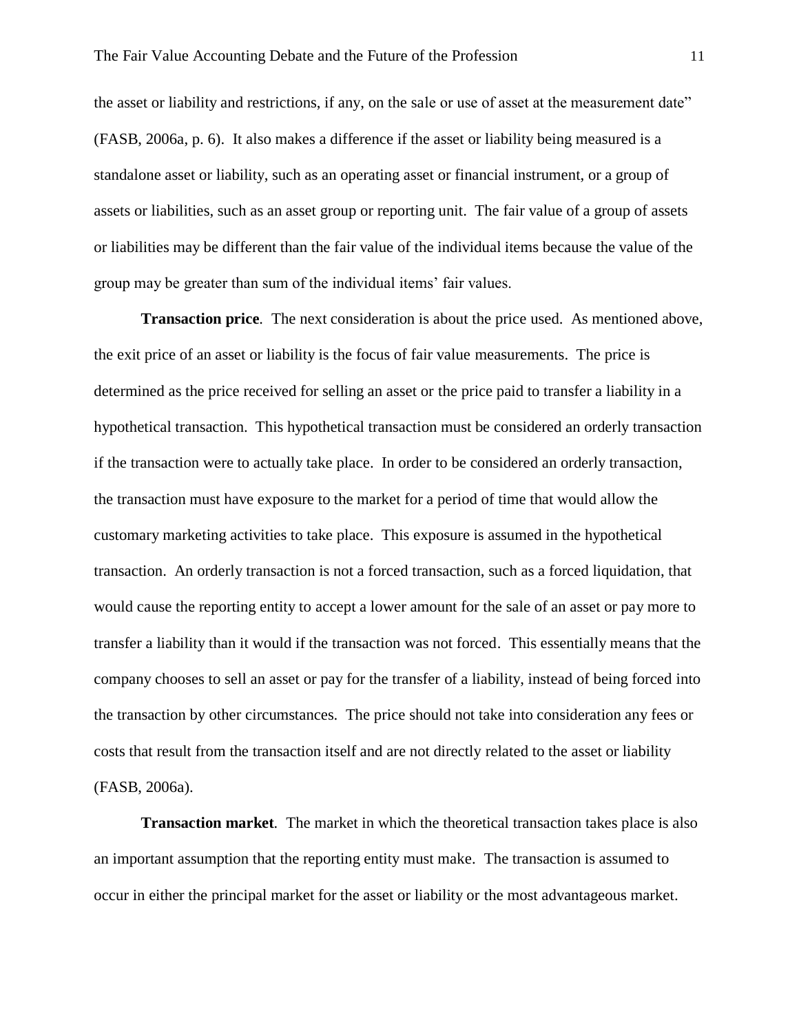the asset or liability and restrictions, if any, on the sale or use of asset at the measurement date" (FASB, 2006a, p. 6). It also makes a difference if the asset or liability being measured is a standalone asset or liability, such as an operating asset or financial instrument, or a group of assets or liabilities, such as an asset group or reporting unit. The fair value of a group of assets or liabilities may be different than the fair value of the individual items because the value of the group may be greater than sum of the individual items' fair values.

**Transaction price***.* The next consideration is about the price used. As mentioned above, the exit price of an asset or liability is the focus of fair value measurements. The price is determined as the price received for selling an asset or the price paid to transfer a liability in a hypothetical transaction. This hypothetical transaction must be considered an orderly transaction if the transaction were to actually take place. In order to be considered an orderly transaction, the transaction must have exposure to the market for a period of time that would allow the customary marketing activities to take place. This exposure is assumed in the hypothetical transaction. An orderly transaction is not a forced transaction, such as a forced liquidation, that would cause the reporting entity to accept a lower amount for the sale of an asset or pay more to transfer a liability than it would if the transaction was not forced. This essentially means that the company chooses to sell an asset or pay for the transfer of a liability, instead of being forced into the transaction by other circumstances. The price should not take into consideration any fees or costs that result from the transaction itself and are not directly related to the asset or liability (FASB, 2006a).

**Transaction market***.* The market in which the theoretical transaction takes place is also an important assumption that the reporting entity must make. The transaction is assumed to occur in either the principal market for the asset or liability or the most advantageous market.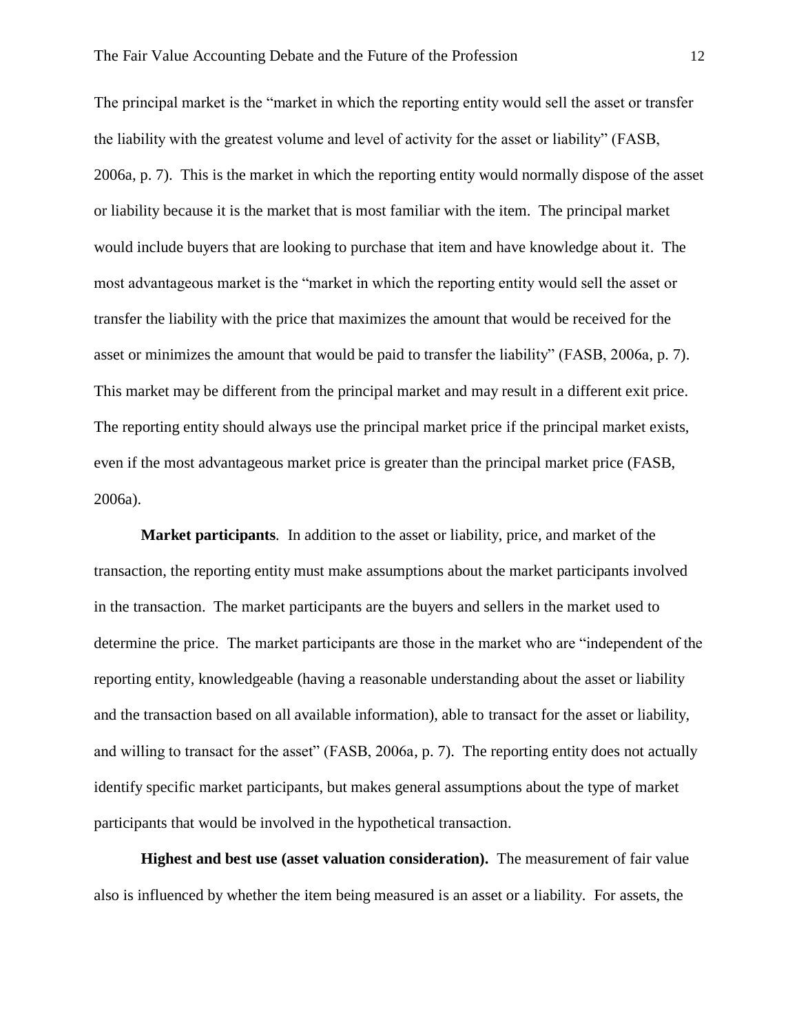The principal market is the "market in which the reporting entity would sell the asset or transfer the liability with the greatest volume and level of activity for the asset or liability" (FASB, 2006a, p. 7). This is the market in which the reporting entity would normally dispose of the asset or liability because it is the market that is most familiar with the item. The principal market would include buyers that are looking to purchase that item and have knowledge about it. The most advantageous market is the "market in which the reporting entity would sell the asset or transfer the liability with the price that maximizes the amount that would be received for the asset or minimizes the amount that would be paid to transfer the liability" (FASB, 2006a, p. 7). This market may be different from the principal market and may result in a different exit price. The reporting entity should always use the principal market price if the principal market exists, even if the most advantageous market price is greater than the principal market price (FASB, 2006a).

**Market participants***.* In addition to the asset or liability, price, and market of the transaction, the reporting entity must make assumptions about the market participants involved in the transaction. The market participants are the buyers and sellers in the market used to determine the price. The market participants are those in the market who are "independent of the reporting entity, knowledgeable (having a reasonable understanding about the asset or liability and the transaction based on all available information), able to transact for the asset or liability, and willing to transact for the asset" (FASB, 2006a, p. 7). The reporting entity does not actually identify specific market participants, but makes general assumptions about the type of market participants that would be involved in the hypothetical transaction.

**Highest and best use (asset valuation consideration).** The measurement of fair value also is influenced by whether the item being measured is an asset or a liability. For assets, the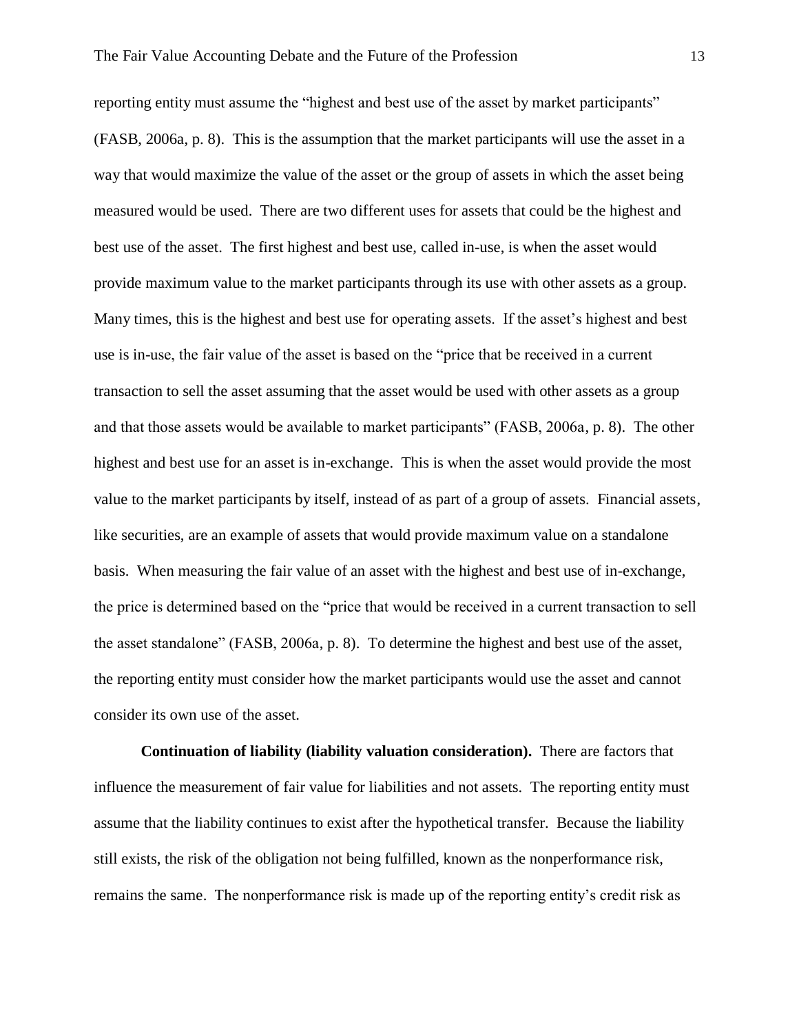reporting entity must assume the "highest and best use of the asset by market participants" (FASB, 2006a, p. 8). This is the assumption that the market participants will use the asset in a way that would maximize the value of the asset or the group of assets in which the asset being measured would be used. There are two different uses for assets that could be the highest and best use of the asset. The first highest and best use, called in-use, is when the asset would provide maximum value to the market participants through its use with other assets as a group. Many times, this is the highest and best use for operating assets. If the asset's highest and best use is in-use, the fair value of the asset is based on the "price that be received in a current transaction to sell the asset assuming that the asset would be used with other assets as a group and that those assets would be available to market participants" (FASB, 2006a, p. 8). The other highest and best use for an asset is in-exchange. This is when the asset would provide the most value to the market participants by itself, instead of as part of a group of assets. Financial assets, like securities, are an example of assets that would provide maximum value on a standalone basis. When measuring the fair value of an asset with the highest and best use of in-exchange, the price is determined based on the "price that would be received in a current transaction to sell the asset standalone" (FASB, 2006a, p. 8). To determine the highest and best use of the asset, the reporting entity must consider how the market participants would use the asset and cannot consider its own use of the asset.

**Continuation of liability (liability valuation consideration).**There are factors that influence the measurement of fair value for liabilities and not assets. The reporting entity must assume that the liability continues to exist after the hypothetical transfer. Because the liability still exists, the risk of the obligation not being fulfilled, known as the nonperformance risk, remains the same. The nonperformance risk is made up of the reporting entity's credit risk as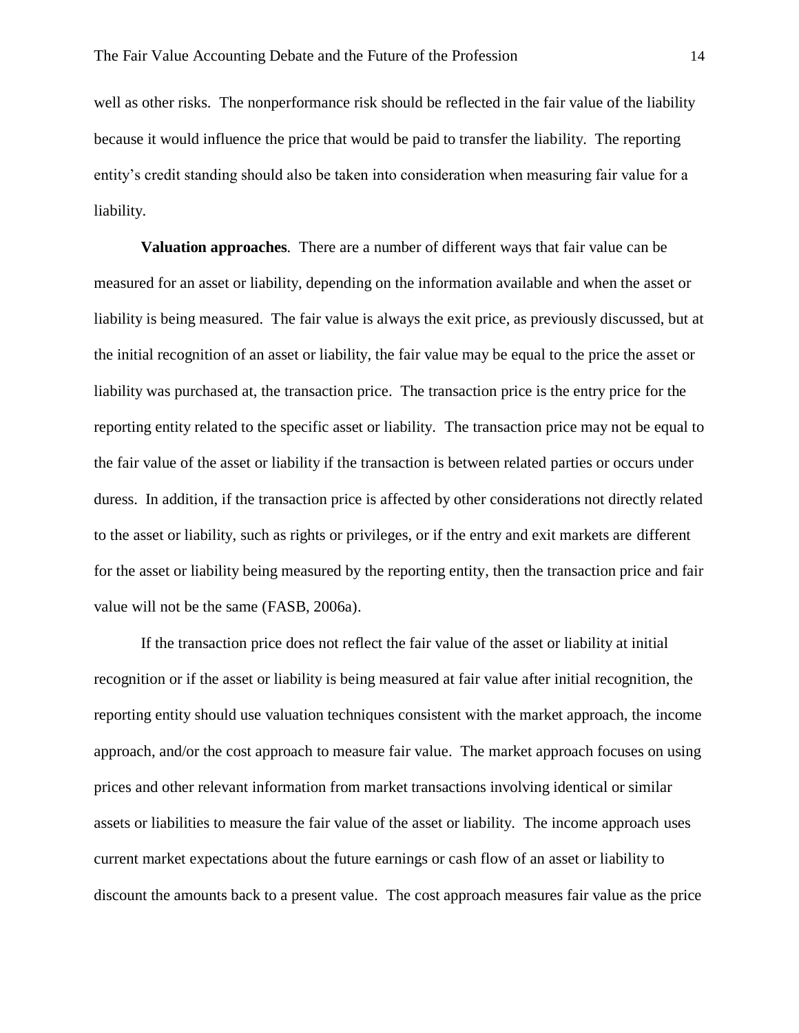well as other risks. The nonperformance risk should be reflected in the fair value of the liability because it would influence the price that would be paid to transfer the liability. The reporting entity's credit standing should also be taken into consideration when measuring fair value for a liability.

**Valuation approaches***.* There are a number of different ways that fair value can be measured for an asset or liability, depending on the information available and when the asset or liability is being measured. The fair value is always the exit price, as previously discussed, but at the initial recognition of an asset or liability, the fair value may be equal to the price the asset or liability was purchased at, the transaction price. The transaction price is the entry price for the reporting entity related to the specific asset or liability. The transaction price may not be equal to the fair value of the asset or liability if the transaction is between related parties or occurs under duress. In addition, if the transaction price is affected by other considerations not directly related to the asset or liability, such as rights or privileges, or if the entry and exit markets are different for the asset or liability being measured by the reporting entity, then the transaction price and fair value will not be the same (FASB, 2006a).

If the transaction price does not reflect the fair value of the asset or liability at initial recognition or if the asset or liability is being measured at fair value after initial recognition, the reporting entity should use valuation techniques consistent with the market approach, the income approach, and/or the cost approach to measure fair value. The market approach focuses on using prices and other relevant information from market transactions involving identical or similar assets or liabilities to measure the fair value of the asset or liability. The income approach uses current market expectations about the future earnings or cash flow of an asset or liability to discount the amounts back to a present value. The cost approach measures fair value as the price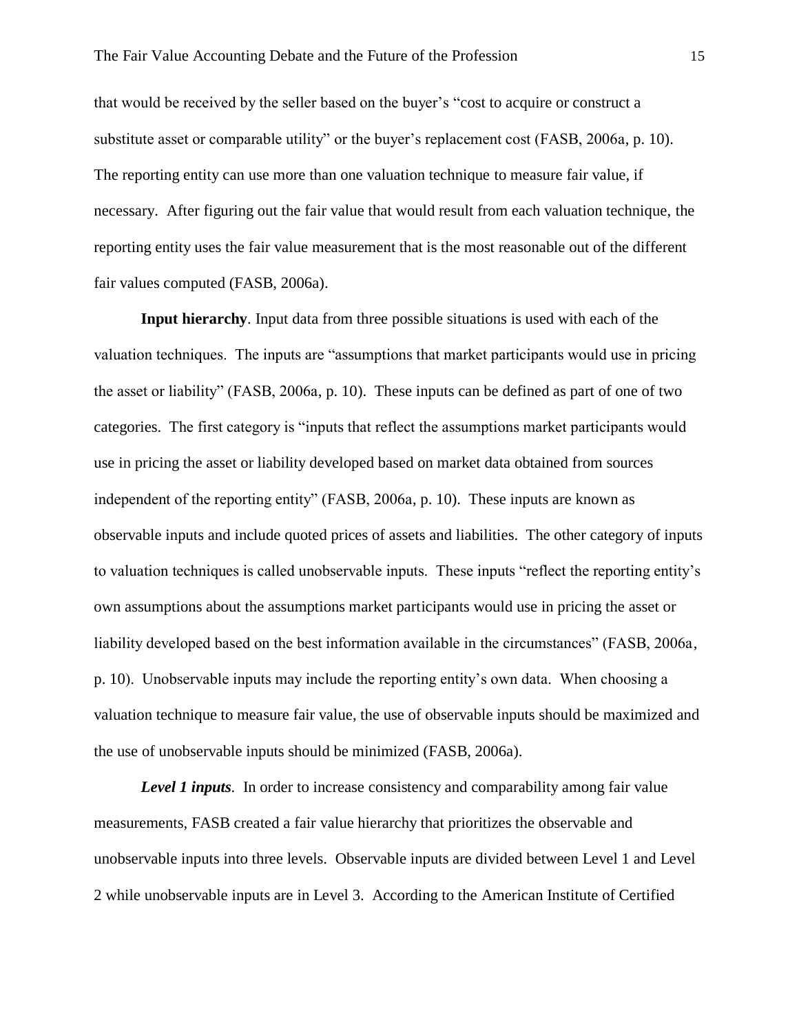that would be received by the seller based on the buyer's "cost to acquire or construct a substitute asset or comparable utility" or the buyer's replacement cost (FASB, 2006a, p. 10). The reporting entity can use more than one valuation technique to measure fair value, if necessary. After figuring out the fair value that would result from each valuation technique, the reporting entity uses the fair value measurement that is the most reasonable out of the different fair values computed (FASB, 2006a).

**Input hierarchy***.* Input data from three possible situations is used with each of the valuation techniques. The inputs are "assumptions that market participants would use in pricing the asset or liability" (FASB, 2006a, p. 10). These inputs can be defined as part of one of two categories. The first category is "inputs that reflect the assumptions market participants would use in pricing the asset or liability developed based on market data obtained from sources independent of the reporting entity" (FASB, 2006a, p. 10). These inputs are known as observable inputs and include quoted prices of assets and liabilities. The other category of inputs to valuation techniques is called unobservable inputs. These inputs "reflect the reporting entity's own assumptions about the assumptions market participants would use in pricing the asset or liability developed based on the best information available in the circumstances" (FASB, 2006a, p. 10). Unobservable inputs may include the reporting entity's own data. When choosing a valuation technique to measure fair value, the use of observable inputs should be maximized and the use of unobservable inputs should be minimized (FASB, 2006a).

*Level 1 inputs.* In order to increase consistency and comparability among fair value measurements, FASB created a fair value hierarchy that prioritizes the observable and unobservable inputs into three levels. Observable inputs are divided between Level 1 and Level 2 while unobservable inputs are in Level 3. According to the American Institute of Certified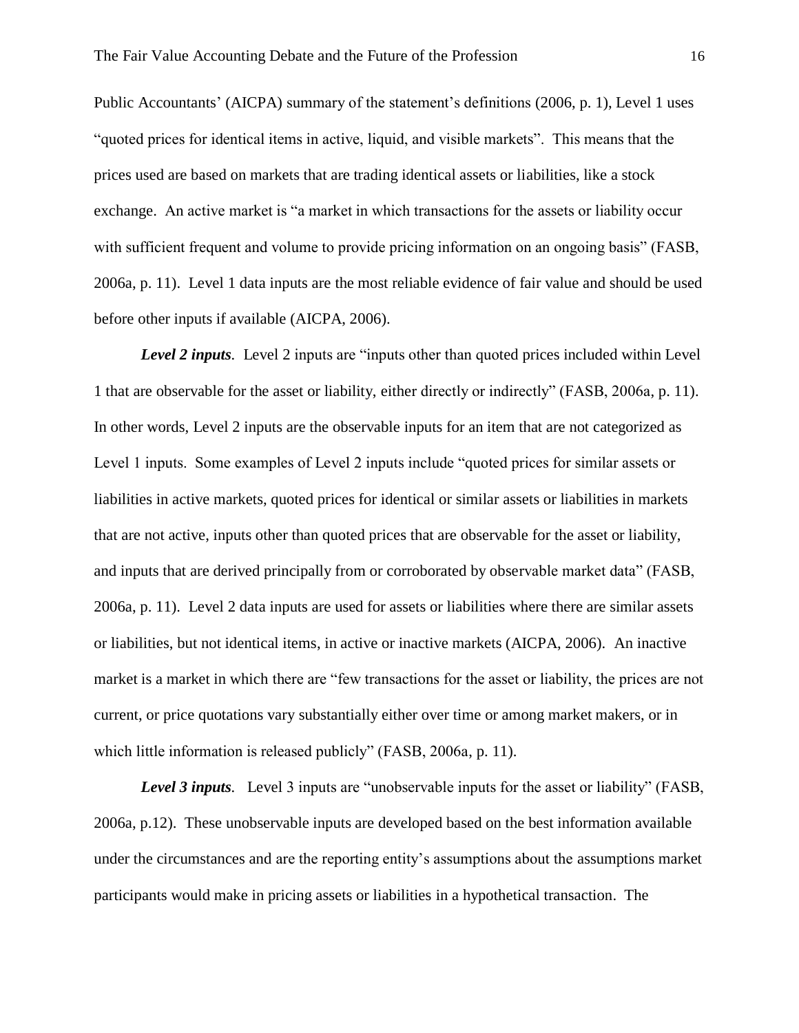Public Accountants' (AICPA) summary of the statement's definitions (2006, p. 1), Level 1 uses "quoted prices for identical items in active, liquid, and visible markets". This means that the prices used are based on markets that are trading identical assets or liabilities, like a stock exchange. An active market is "a market in which transactions for the assets or liability occur with sufficient frequent and volume to provide pricing information on an ongoing basis" (FASB, 2006a, p. 11). Level 1 data inputs are the most reliable evidence of fair value and should be used before other inputs if available (AICPA, 2006).

*Level 2 inputs.* Level 2 inputs are "inputs other than quoted prices included within Level 1 that are observable for the asset or liability, either directly or indirectly" (FASB, 2006a, p. 11). In other words, Level 2 inputs are the observable inputs for an item that are not categorized as Level 1 inputs. Some examples of Level 2 inputs include "quoted prices for similar assets or liabilities in active markets, quoted prices for identical or similar assets or liabilities in markets that are not active, inputs other than quoted prices that are observable for the asset or liability, and inputs that are derived principally from or corroborated by observable market data" (FASB, 2006a, p. 11). Level 2 data inputs are used for assets or liabilities where there are similar assets or liabilities, but not identical items, in active or inactive markets (AICPA, 2006). An inactive market is a market in which there are "few transactions for the asset or liability, the prices are not current, or price quotations vary substantially either over time or among market makers, or in which little information is released publicly" (FASB, 2006a, p. 11).

*Level 3 inputs.* Level 3 inputs are "unobservable inputs for the asset or liability" (FASB, 2006a, p.12). These unobservable inputs are developed based on the best information available under the circumstances and are the reporting entity's assumptions about the assumptions market participants would make in pricing assets or liabilities in a hypothetical transaction. The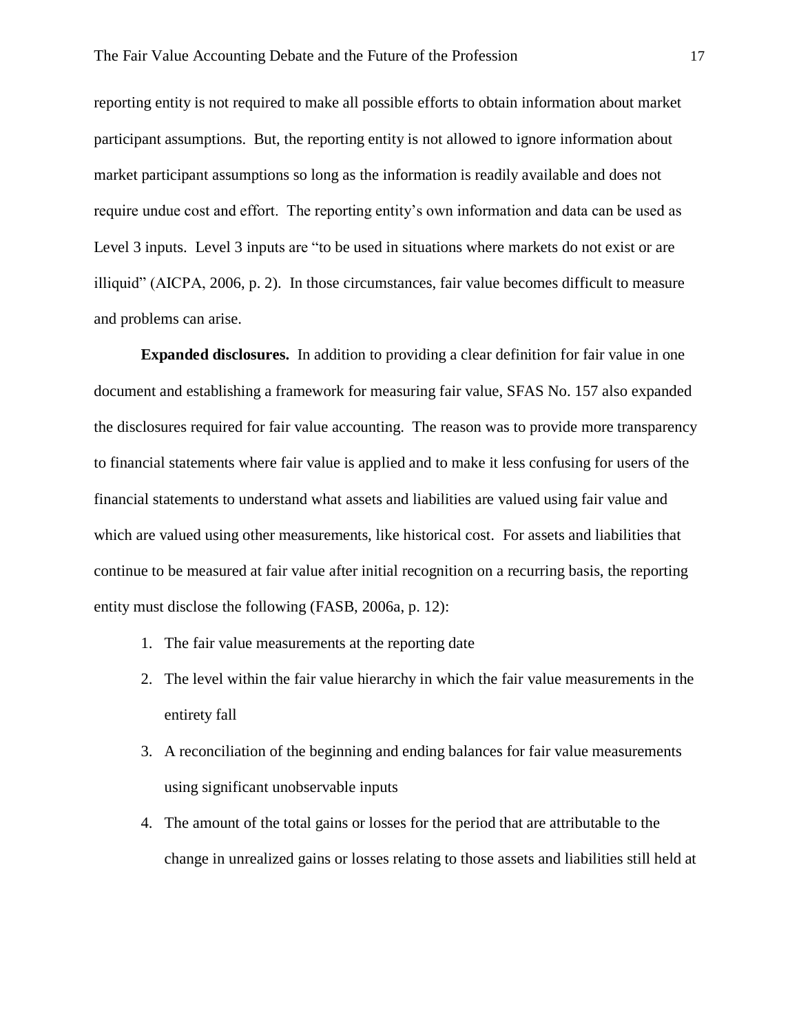reporting entity is not required to make all possible efforts to obtain information about market participant assumptions. But, the reporting entity is not allowed to ignore information about market participant assumptions so long as the information is readily available and does not require undue cost and effort. The reporting entity's own information and data can be used as Level 3 inputs. Level 3 inputs are "to be used in situations where markets do not exist or are illiquid" (AICPA, 2006, p. 2). In those circumstances, fair value becomes difficult to measure and problems can arise.

**Expanded disclosures.** In addition to providing a clear definition for fair value in one document and establishing a framework for measuring fair value, SFAS No. 157 also expanded the disclosures required for fair value accounting. The reason was to provide more transparency to financial statements where fair value is applied and to make it less confusing for users of the financial statements to understand what assets and liabilities are valued using fair value and which are valued using other measurements, like historical cost. For assets and liabilities that continue to be measured at fair value after initial recognition on a recurring basis, the reporting entity must disclose the following (FASB, 2006a, p. 12):

- 1. The fair value measurements at the reporting date
- 2. The level within the fair value hierarchy in which the fair value measurements in the entirety fall
- 3. A reconciliation of the beginning and ending balances for fair value measurements using significant unobservable inputs
- 4. The amount of the total gains or losses for the period that are attributable to the change in unrealized gains or losses relating to those assets and liabilities still held at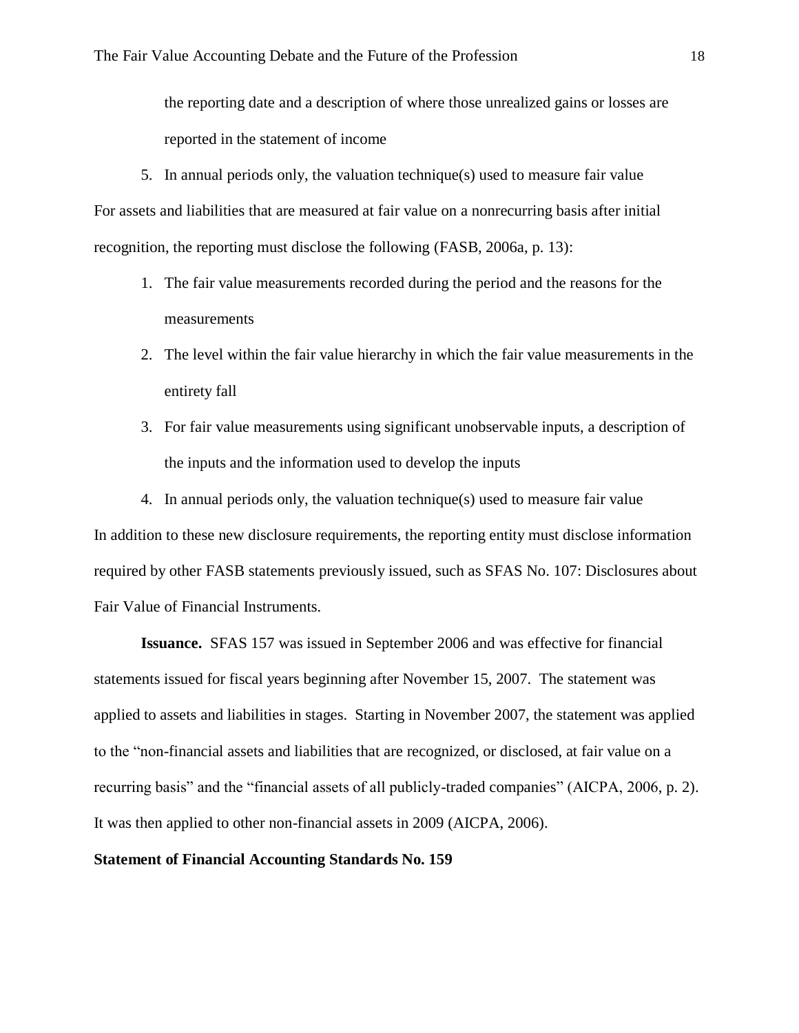the reporting date and a description of where those unrealized gains or losses are reported in the statement of income

5. In annual periods only, the valuation technique $(s)$  used to measure fair value For assets and liabilities that are measured at fair value on a nonrecurring basis after initial recognition, the reporting must disclose the following (FASB, 2006a, p. 13):

- 1. The fair value measurements recorded during the period and the reasons for the measurements
- 2. The level within the fair value hierarchy in which the fair value measurements in the entirety fall
- 3. For fair value measurements using significant unobservable inputs, a description of the inputs and the information used to develop the inputs
- 4. In annual periods only, the valuation technique(s) used to measure fair value

In addition to these new disclosure requirements, the reporting entity must disclose information required by other FASB statements previously issued, such as SFAS No. 107: Disclosures about Fair Value of Financial Instruments.

**Issuance.** SFAS 157 was issued in September 2006 and was effective for financial statements issued for fiscal years beginning after November 15, 2007. The statement was applied to assets and liabilities in stages. Starting in November 2007, the statement was applied to the "non-financial assets and liabilities that are recognized, or disclosed, at fair value on a recurring basis" and the "financial assets of all publicly-traded companies" (AICPA, 2006, p. 2). It was then applied to other non-financial assets in 2009 (AICPA, 2006).

#### **Statement of Financial Accounting Standards No. 159**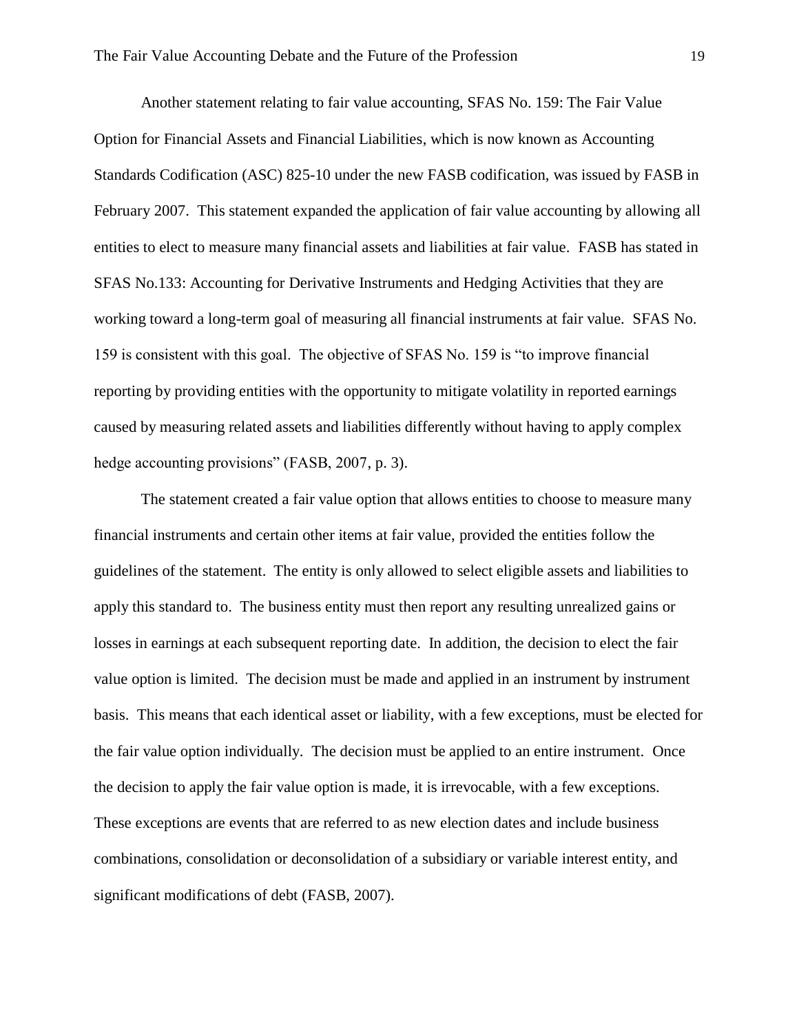Another statement relating to fair value accounting, SFAS No. 159: The Fair Value Option for Financial Assets and Financial Liabilities, which is now known as Accounting Standards Codification (ASC) 825-10 under the new FASB codification, was issued by FASB in February 2007. This statement expanded the application of fair value accounting by allowing all entities to elect to measure many financial assets and liabilities at fair value. FASB has stated in SFAS No.133: Accounting for Derivative Instruments and Hedging Activities that they are working toward a long-term goal of measuring all financial instruments at fair value. SFAS No. 159 is consistent with this goal. The objective of SFAS No. 159 is "to improve financial reporting by providing entities with the opportunity to mitigate volatility in reported earnings caused by measuring related assets and liabilities differently without having to apply complex hedge accounting provisions" (FASB, 2007, p. 3).

The statement created a fair value option that allows entities to choose to measure many financial instruments and certain other items at fair value, provided the entities follow the guidelines of the statement. The entity is only allowed to select eligible assets and liabilities to apply this standard to. The business entity must then report any resulting unrealized gains or losses in earnings at each subsequent reporting date. In addition, the decision to elect the fair value option is limited. The decision must be made and applied in an instrument by instrument basis. This means that each identical asset or liability, with a few exceptions, must be elected for the fair value option individually. The decision must be applied to an entire instrument. Once the decision to apply the fair value option is made, it is irrevocable, with a few exceptions. These exceptions are events that are referred to as new election dates and include business combinations, consolidation or deconsolidation of a subsidiary or variable interest entity, and significant modifications of debt (FASB, 2007).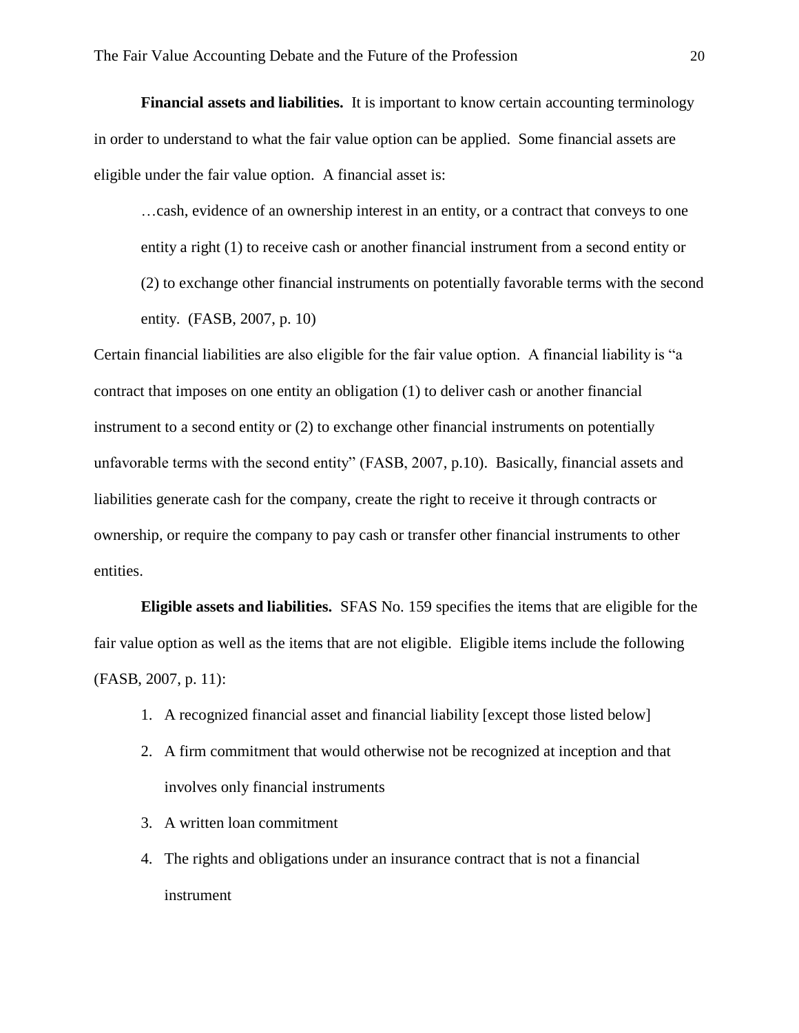**Financial assets and liabilities.** It is important to know certain accounting terminology in order to understand to what the fair value option can be applied. Some financial assets are eligible under the fair value option. A financial asset is:

…cash, evidence of an ownership interest in an entity, or a contract that conveys to one entity a right (1) to receive cash or another financial instrument from a second entity or (2) to exchange other financial instruments on potentially favorable terms with the second entity. (FASB, 2007, p. 10)

Certain financial liabilities are also eligible for the fair value option. A financial liability is "a contract that imposes on one entity an obligation (1) to deliver cash or another financial instrument to a second entity or (2) to exchange other financial instruments on potentially unfavorable terms with the second entity" (FASB, 2007, p.10). Basically, financial assets and liabilities generate cash for the company, create the right to receive it through contracts or ownership, or require the company to pay cash or transfer other financial instruments to other entities.

**Eligible assets and liabilities.** SFAS No. 159 specifies the items that are eligible for the fair value option as well as the items that are not eligible. Eligible items include the following (FASB, 2007, p. 11):

- 1. A recognized financial asset and financial liability [except those listed below]
- 2. A firm commitment that would otherwise not be recognized at inception and that involves only financial instruments
- 3. A written loan commitment
- 4. The rights and obligations under an insurance contract that is not a financial instrument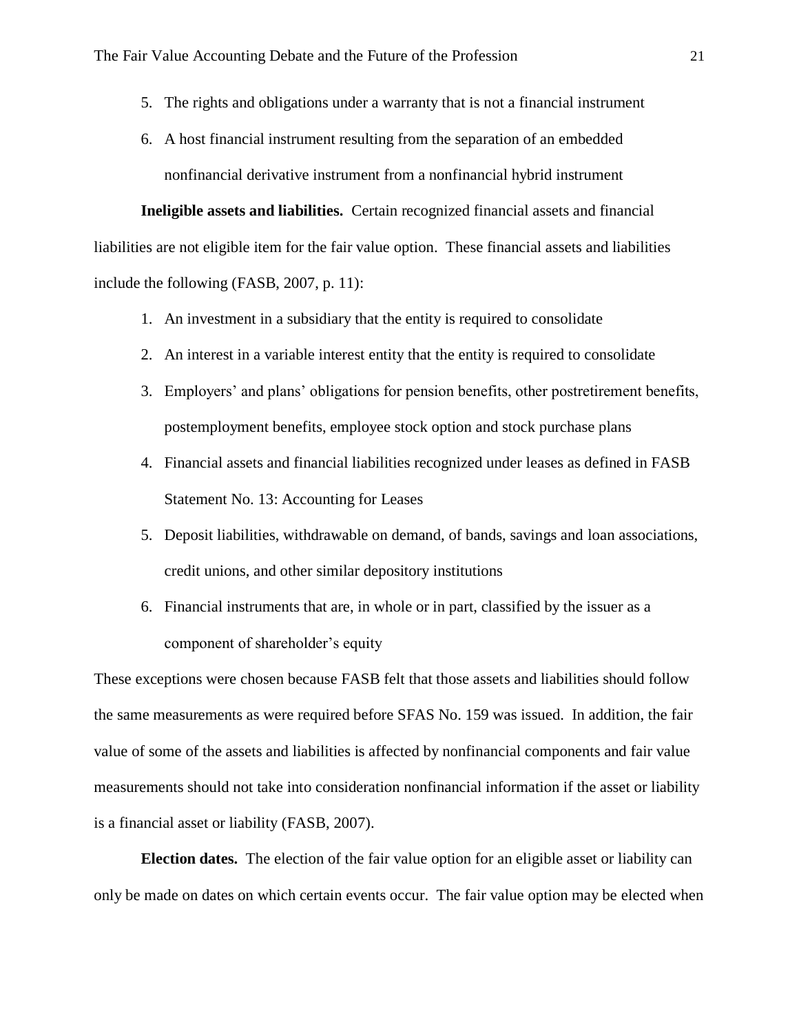- 5. The rights and obligations under a warranty that is not a financial instrument
- 6. A host financial instrument resulting from the separation of an embedded nonfinancial derivative instrument from a nonfinancial hybrid instrument

**Ineligible assets and liabilities.** Certain recognized financial assets and financial liabilities are not eligible item for the fair value option. These financial assets and liabilities include the following (FASB, 2007, p. 11):

- 1. An investment in a subsidiary that the entity is required to consolidate
- 2. An interest in a variable interest entity that the entity is required to consolidate
- 3. Employers' and plans' obligations for pension benefits, other postretirement benefits, postemployment benefits, employee stock option and stock purchase plans
- 4. Financial assets and financial liabilities recognized under leases as defined in FASB Statement No. 13: Accounting for Leases
- 5. Deposit liabilities, withdrawable on demand, of bands, savings and loan associations, credit unions, and other similar depository institutions
- 6. Financial instruments that are, in whole or in part, classified by the issuer as a component of shareholder's equity

These exceptions were chosen because FASB felt that those assets and liabilities should follow the same measurements as were required before SFAS No. 159 was issued. In addition, the fair value of some of the assets and liabilities is affected by nonfinancial components and fair value measurements should not take into consideration nonfinancial information if the asset or liability is a financial asset or liability (FASB, 2007).

**Election dates.** The election of the fair value option for an eligible asset or liability can only be made on dates on which certain events occur. The fair value option may be elected when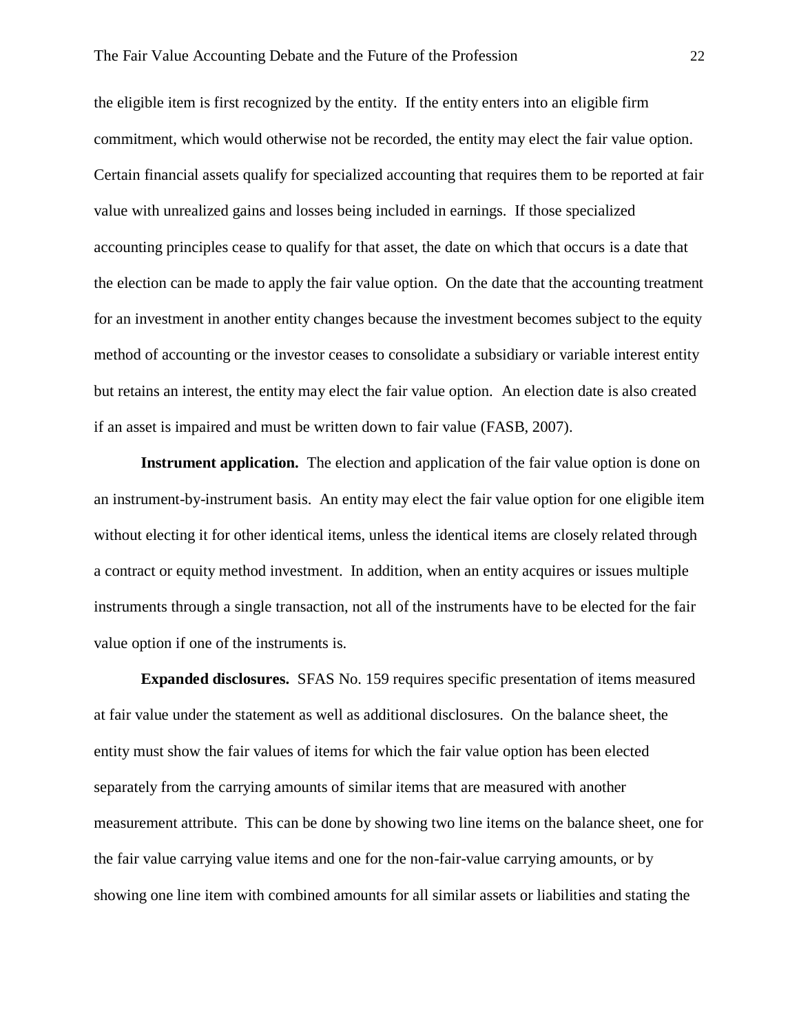the eligible item is first recognized by the entity. If the entity enters into an eligible firm commitment, which would otherwise not be recorded, the entity may elect the fair value option. Certain financial assets qualify for specialized accounting that requires them to be reported at fair value with unrealized gains and losses being included in earnings. If those specialized accounting principles cease to qualify for that asset, the date on which that occurs is a date that the election can be made to apply the fair value option. On the date that the accounting treatment for an investment in another entity changes because the investment becomes subject to the equity method of accounting or the investor ceases to consolidate a subsidiary or variable interest entity but retains an interest, the entity may elect the fair value option. An election date is also created if an asset is impaired and must be written down to fair value (FASB, 2007).

**Instrument application.** The election and application of the fair value option is done on an instrument-by-instrument basis. An entity may elect the fair value option for one eligible item without electing it for other identical items, unless the identical items are closely related through a contract or equity method investment. In addition, when an entity acquires or issues multiple instruments through a single transaction, not all of the instruments have to be elected for the fair value option if one of the instruments is.

**Expanded disclosures.** SFAS No. 159 requires specific presentation of items measured at fair value under the statement as well as additional disclosures. On the balance sheet, the entity must show the fair values of items for which the fair value option has been elected separately from the carrying amounts of similar items that are measured with another measurement attribute. This can be done by showing two line items on the balance sheet, one for the fair value carrying value items and one for the non-fair-value carrying amounts, or by showing one line item with combined amounts for all similar assets or liabilities and stating the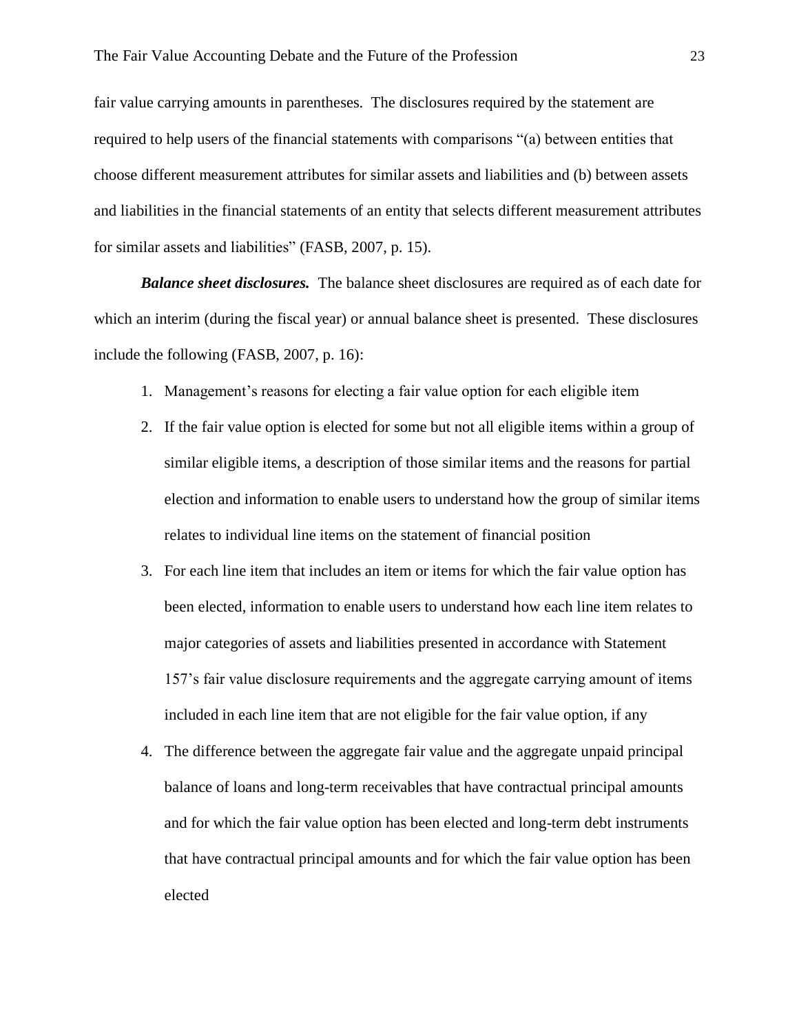fair value carrying amounts in parentheses. The disclosures required by the statement are required to help users of the financial statements with comparisons "(a) between entities that choose different measurement attributes for similar assets and liabilities and (b) between assets and liabilities in the financial statements of an entity that selects different measurement attributes for similar assets and liabilities" (FASB, 2007, p. 15).

*Balance sheet disclosures.* The balance sheet disclosures are required as of each date for which an interim (during the fiscal year) or annual balance sheet is presented. These disclosures include the following (FASB, 2007, p. 16):

- 1. Management's reasons for electing a fair value option for each eligible item
- 2. If the fair value option is elected for some but not all eligible items within a group of similar eligible items, a description of those similar items and the reasons for partial election and information to enable users to understand how the group of similar items relates to individual line items on the statement of financial position
- 3. For each line item that includes an item or items for which the fair value option has been elected, information to enable users to understand how each line item relates to major categories of assets and liabilities presented in accordance with Statement 157's fair value disclosure requirements and the aggregate carrying amount of items included in each line item that are not eligible for the fair value option, if any
- 4. The difference between the aggregate fair value and the aggregate unpaid principal balance of loans and long-term receivables that have contractual principal amounts and for which the fair value option has been elected and long-term debt instruments that have contractual principal amounts and for which the fair value option has been elected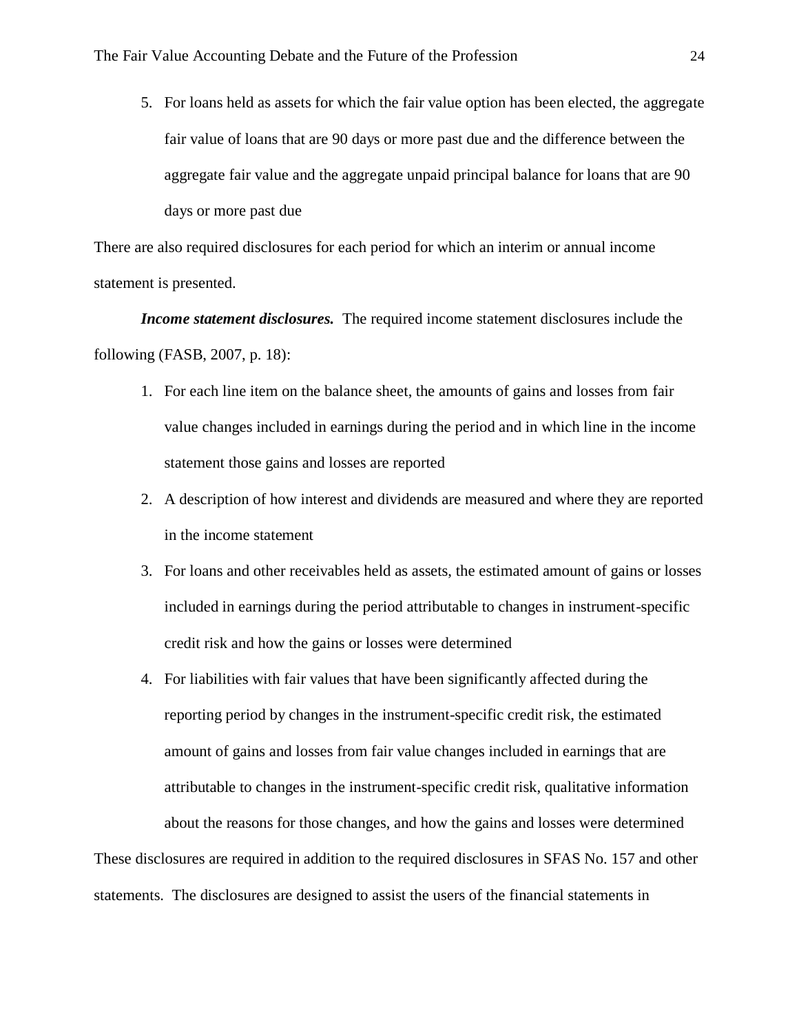5. For loans held as assets for which the fair value option has been elected, the aggregate fair value of loans that are 90 days or more past due and the difference between the aggregate fair value and the aggregate unpaid principal balance for loans that are 90 days or more past due

There are also required disclosures for each period for which an interim or annual income statement is presented.

*Income statement disclosures.* The required income statement disclosures include the following (FASB, 2007, p. 18):

- 1. For each line item on the balance sheet, the amounts of gains and losses from fair value changes included in earnings during the period and in which line in the income statement those gains and losses are reported
- 2. A description of how interest and dividends are measured and where they are reported in the income statement
- 3. For loans and other receivables held as assets, the estimated amount of gains or losses included in earnings during the period attributable to changes in instrument-specific credit risk and how the gains or losses were determined
- 4. For liabilities with fair values that have been significantly affected during the reporting period by changes in the instrument-specific credit risk, the estimated amount of gains and losses from fair value changes included in earnings that are attributable to changes in the instrument-specific credit risk, qualitative information about the reasons for those changes, and how the gains and losses were determined

These disclosures are required in addition to the required disclosures in SFAS No. 157 and other statements. The disclosures are designed to assist the users of the financial statements in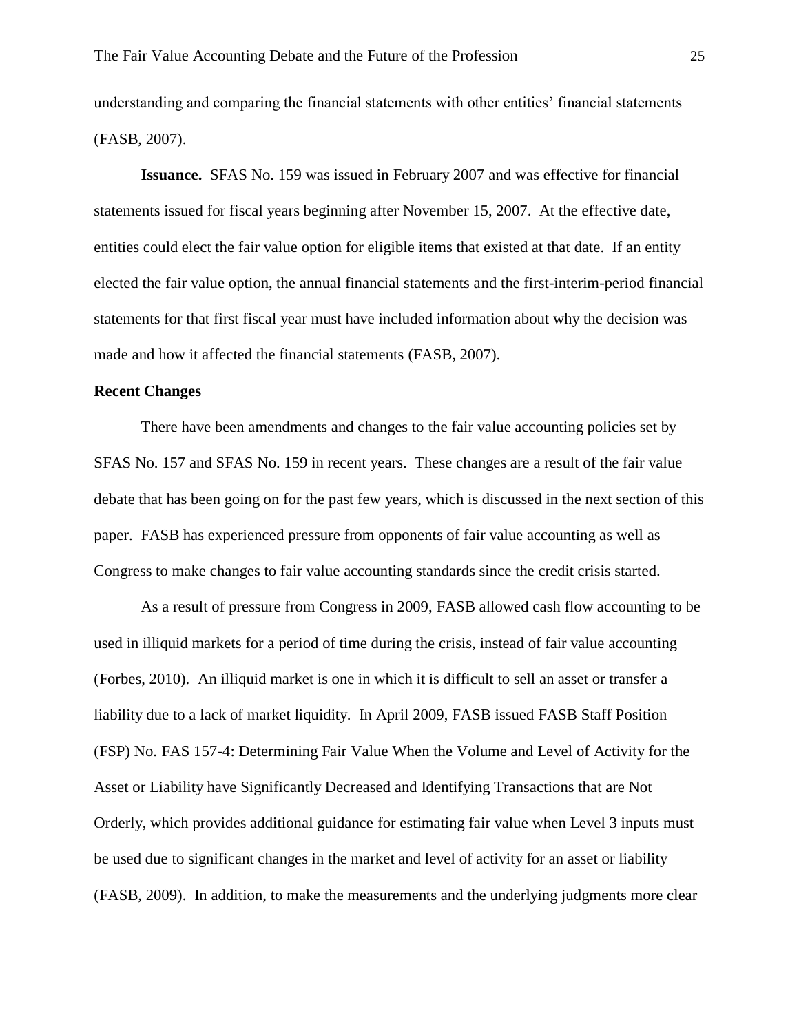understanding and comparing the financial statements with other entities' financial statements (FASB, 2007).

**Issuance.** SFAS No. 159 was issued in February 2007 and was effective for financial statements issued for fiscal years beginning after November 15, 2007. At the effective date, entities could elect the fair value option for eligible items that existed at that date. If an entity elected the fair value option, the annual financial statements and the first-interim-period financial statements for that first fiscal year must have included information about why the decision was made and how it affected the financial statements (FASB, 2007).

#### **Recent Changes**

There have been amendments and changes to the fair value accounting policies set by SFAS No. 157 and SFAS No. 159 in recent years. These changes are a result of the fair value debate that has been going on for the past few years, which is discussed in the next section of this paper. FASB has experienced pressure from opponents of fair value accounting as well as Congress to make changes to fair value accounting standards since the credit crisis started.

As a result of pressure from Congress in 2009, FASB allowed cash flow accounting to be used in illiquid markets for a period of time during the crisis, instead of fair value accounting (Forbes, 2010). An illiquid market is one in which it is difficult to sell an asset or transfer a liability due to a lack of market liquidity. In April 2009, FASB issued FASB Staff Position (FSP) No. FAS 157-4: Determining Fair Value When the Volume and Level of Activity for the Asset or Liability have Significantly Decreased and Identifying Transactions that are Not Orderly, which provides additional guidance for estimating fair value when Level 3 inputs must be used due to significant changes in the market and level of activity for an asset or liability (FASB, 2009). In addition, to make the measurements and the underlying judgments more clear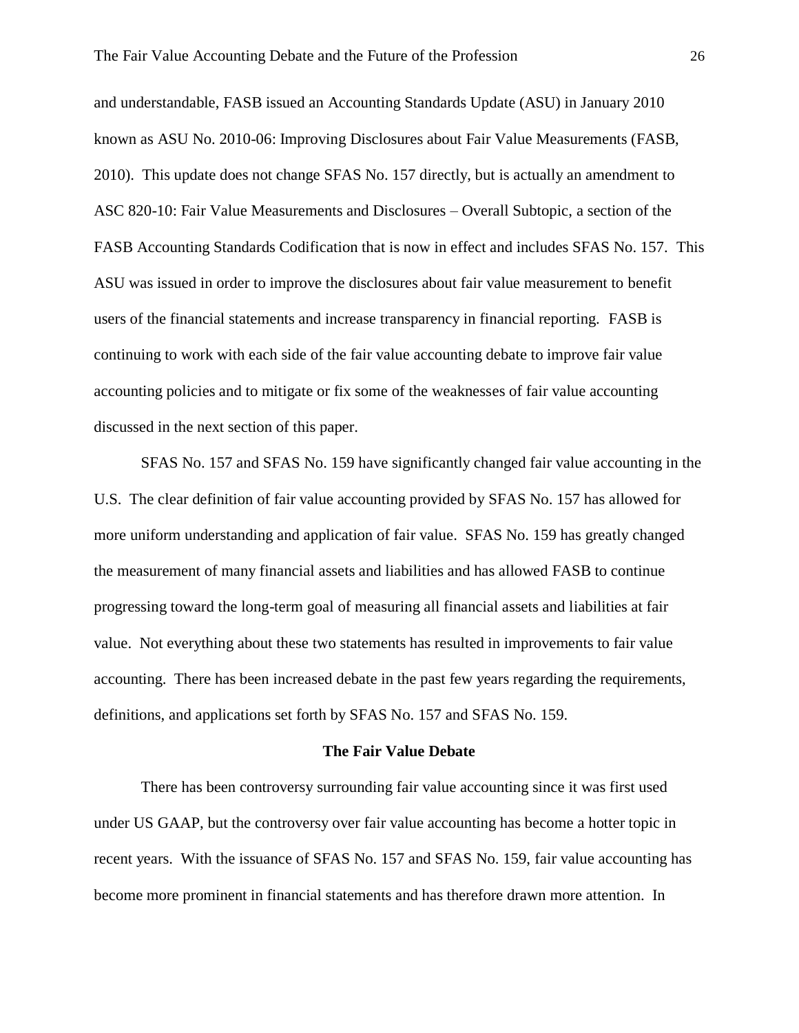and understandable, FASB issued an Accounting Standards Update (ASU) in January 2010 known as ASU No. 2010-06: Improving Disclosures about Fair Value Measurements (FASB, 2010). This update does not change SFAS No. 157 directly, but is actually an amendment to ASC 820-10: Fair Value Measurements and Disclosures – Overall Subtopic, a section of the FASB Accounting Standards Codification that is now in effect and includes SFAS No. 157. This ASU was issued in order to improve the disclosures about fair value measurement to benefit users of the financial statements and increase transparency in financial reporting. FASB is continuing to work with each side of the fair value accounting debate to improve fair value accounting policies and to mitigate or fix some of the weaknesses of fair value accounting discussed in the next section of this paper.

SFAS No. 157 and SFAS No. 159 have significantly changed fair value accounting in the U.S. The clear definition of fair value accounting provided by SFAS No. 157 has allowed for more uniform understanding and application of fair value. SFAS No. 159 has greatly changed the measurement of many financial assets and liabilities and has allowed FASB to continue progressing toward the long-term goal of measuring all financial assets and liabilities at fair value. Not everything about these two statements has resulted in improvements to fair value accounting. There has been increased debate in the past few years regarding the requirements, definitions, and applications set forth by SFAS No. 157 and SFAS No. 159.

#### **The Fair Value Debate**

There has been controversy surrounding fair value accounting since it was first used under US GAAP, but the controversy over fair value accounting has become a hotter topic in recent years. With the issuance of SFAS No. 157 and SFAS No. 159, fair value accounting has become more prominent in financial statements and has therefore drawn more attention. In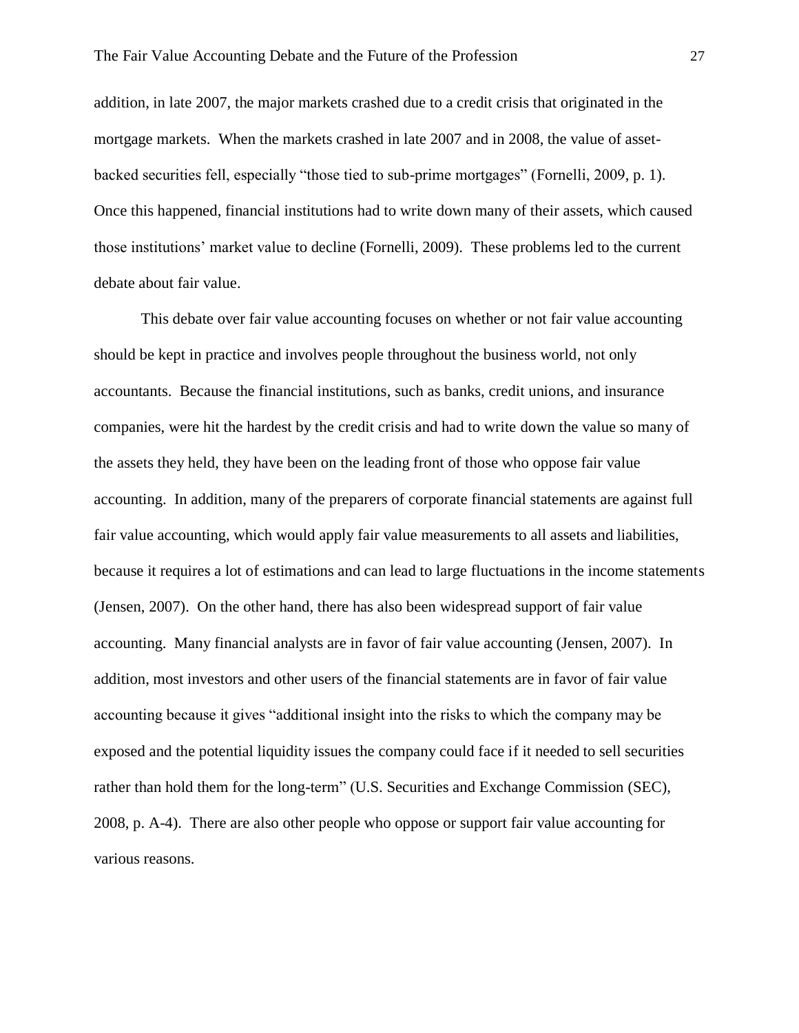addition, in late 2007, the major markets crashed due to a credit crisis that originated in the mortgage markets. When the markets crashed in late 2007 and in 2008, the value of assetbacked securities fell, especially "those tied to sub-prime mortgages" (Fornelli, 2009, p. 1). Once this happened, financial institutions had to write down many of their assets, which caused those institutions' market value to decline (Fornelli, 2009). These problems led to the current debate about fair value.

This debate over fair value accounting focuses on whether or not fair value accounting should be kept in practice and involves people throughout the business world, not only accountants. Because the financial institutions, such as banks, credit unions, and insurance companies, were hit the hardest by the credit crisis and had to write down the value so many of the assets they held, they have been on the leading front of those who oppose fair value accounting. In addition, many of the preparers of corporate financial statements are against full fair value accounting, which would apply fair value measurements to all assets and liabilities, because it requires a lot of estimations and can lead to large fluctuations in the income statements (Jensen, 2007). On the other hand, there has also been widespread support of fair value accounting. Many financial analysts are in favor of fair value accounting (Jensen, 2007). In addition, most investors and other users of the financial statements are in favor of fair value accounting because it gives "additional insight into the risks to which the company may be exposed and the potential liquidity issues the company could face if it needed to sell securities rather than hold them for the long-term" (U.S. Securities and Exchange Commission (SEC), 2008, p. A-4). There are also other people who oppose or support fair value accounting for various reasons.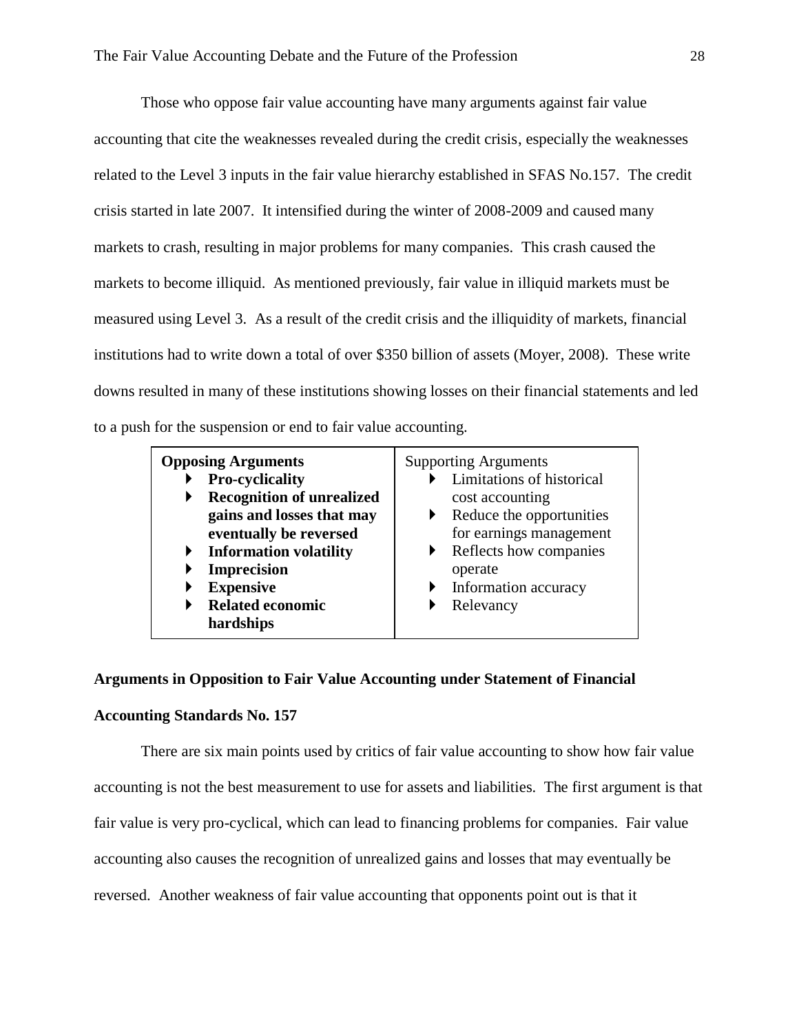Those who oppose fair value accounting have many arguments against fair value accounting that cite the weaknesses revealed during the credit crisis, especially the weaknesses related to the Level 3 inputs in the fair value hierarchy established in SFAS No.157. The credit crisis started in late 2007. It intensified during the winter of 2008-2009 and caused many markets to crash, resulting in major problems for many companies. This crash caused the markets to become illiquid. As mentioned previously, fair value in illiquid markets must be measured using Level 3. As a result of the credit crisis and the illiquidity of markets, financial institutions had to write down a total of over \$350 billion of assets (Moyer, 2008). These write downs resulted in many of these institutions showing losses on their financial statements and led to a push for the suspension or end to fair value accounting.

| <b>Opposing Arguments</b><br><b>Pro-cyclicality</b> |                                  | <b>Supporting Arguments</b><br>Limitations of historical |                                         |
|-----------------------------------------------------|----------------------------------|----------------------------------------------------------|-----------------------------------------|
|                                                     | <b>Recognition of unrealized</b> |                                                          | cost accounting                         |
|                                                     | gains and losses that may        |                                                          | Reduce the opportunities                |
|                                                     | eventually be reversed           |                                                          | for earnings management                 |
| ▶                                                   | <b>Information volatility</b>    |                                                          | $\triangleright$ Reflects how companies |
|                                                     | <b>Imprecision</b>               |                                                          | operate                                 |
|                                                     | <b>Expensive</b>                 |                                                          | Information accuracy                    |
|                                                     | <b>Related economic</b>          |                                                          | Relevancy                               |
|                                                     | hardships                        |                                                          |                                         |

#### **Arguments in Opposition to Fair Value Accounting under Statement of Financial**

#### **Accounting Standards No. 157**

There are six main points used by critics of fair value accounting to show how fair value accounting is not the best measurement to use for assets and liabilities. The first argument is that fair value is very pro-cyclical, which can lead to financing problems for companies. Fair value accounting also causes the recognition of unrealized gains and losses that may eventually be reversed. Another weakness of fair value accounting that opponents point out is that it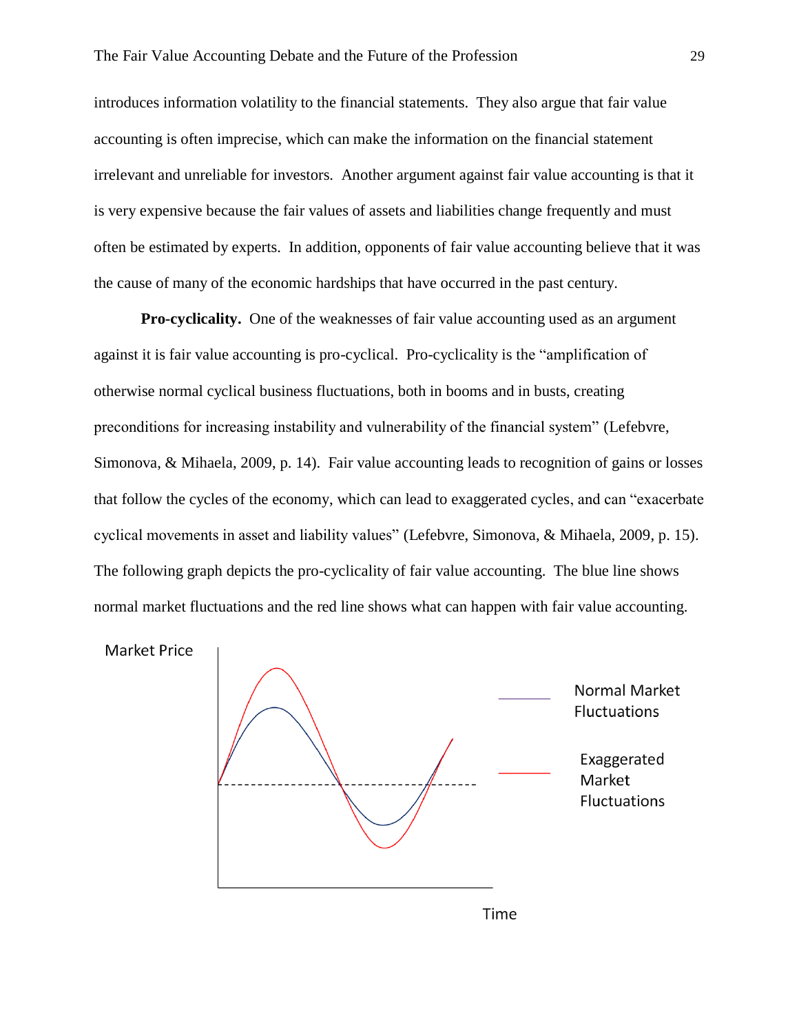introduces information volatility to the financial statements. They also argue that fair value accounting is often imprecise, which can make the information on the financial statement irrelevant and unreliable for investors. Another argument against fair value accounting is that it is very expensive because the fair values of assets and liabilities change frequently and must often be estimated by experts. In addition, opponents of fair value accounting believe that it was the cause of many of the economic hardships that have occurred in the past century.

**Pro-cyclicality.** One of the weaknesses of fair value accounting used as an argument against it is fair value accounting is pro-cyclical. Pro-cyclicality is the "amplification of otherwise normal cyclical business fluctuations, both in booms and in busts, creating preconditions for increasing instability and vulnerability of the financial system" (Lefebvre, Simonova, & Mihaela, 2009, p. 14). Fair value accounting leads to recognition of gains or losses that follow the cycles of the economy, which can lead to exaggerated cycles, and can "exacerbate cyclical movements in asset and liability values" (Lefebvre, Simonova, & Mihaela, 2009, p. 15). The following graph depicts the pro-cyclicality of fair value accounting. The blue line shows normal market fluctuations and the red line shows what can happen with fair value accounting.





Time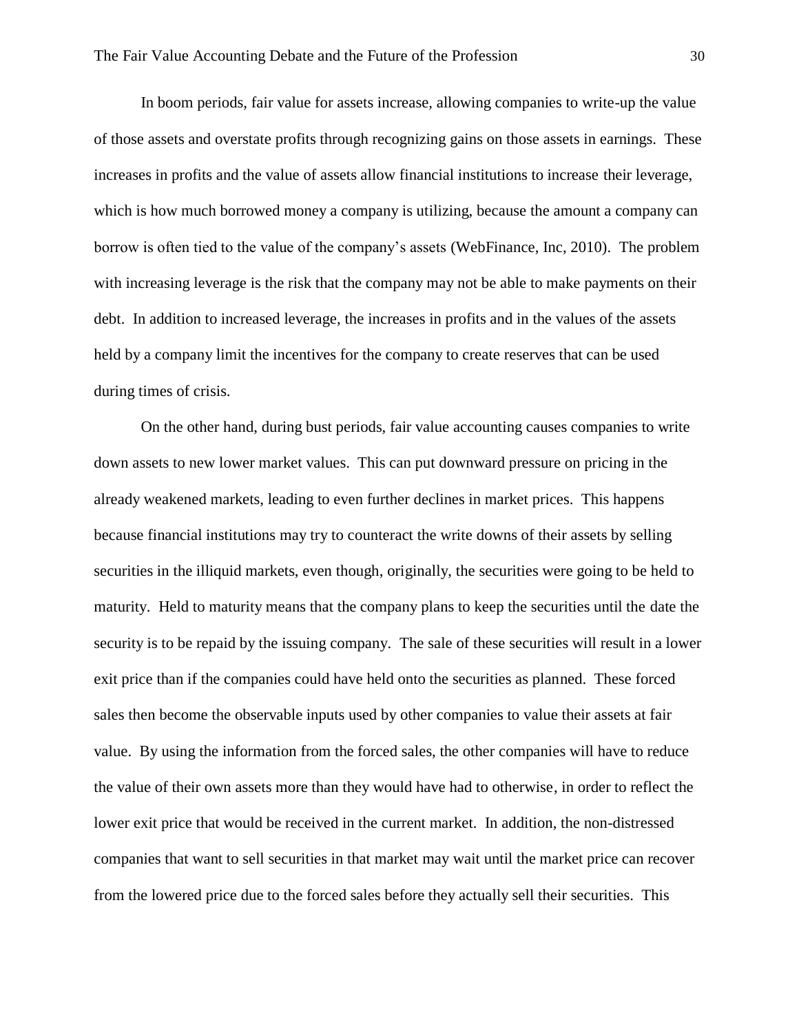In boom periods, fair value for assets increase, allowing companies to write-up the value of those assets and overstate profits through recognizing gains on those assets in earnings. These increases in profits and the value of assets allow financial institutions to increase their leverage, which is how much borrowed money a company is utilizing, because the amount a company can borrow is often tied to the value of the company's assets (WebFinance, Inc, 2010). The problem with increasing leverage is the risk that the company may not be able to make payments on their debt. In addition to increased leverage, the increases in profits and in the values of the assets held by a company limit the incentives for the company to create reserves that can be used during times of crisis.

On the other hand, during bust periods, fair value accounting causes companies to write down assets to new lower market values. This can put downward pressure on pricing in the already weakened markets, leading to even further declines in market prices. This happens because financial institutions may try to counteract the write downs of their assets by selling securities in the illiquid markets, even though, originally, the securities were going to be held to maturity. Held to maturity means that the company plans to keep the securities until the date the security is to be repaid by the issuing company. The sale of these securities will result in a lower exit price than if the companies could have held onto the securities as planned. These forced sales then become the observable inputs used by other companies to value their assets at fair value. By using the information from the forced sales, the other companies will have to reduce the value of their own assets more than they would have had to otherwise, in order to reflect the lower exit price that would be received in the current market. In addition, the non-distressed companies that want to sell securities in that market may wait until the market price can recover from the lowered price due to the forced sales before they actually sell their securities. This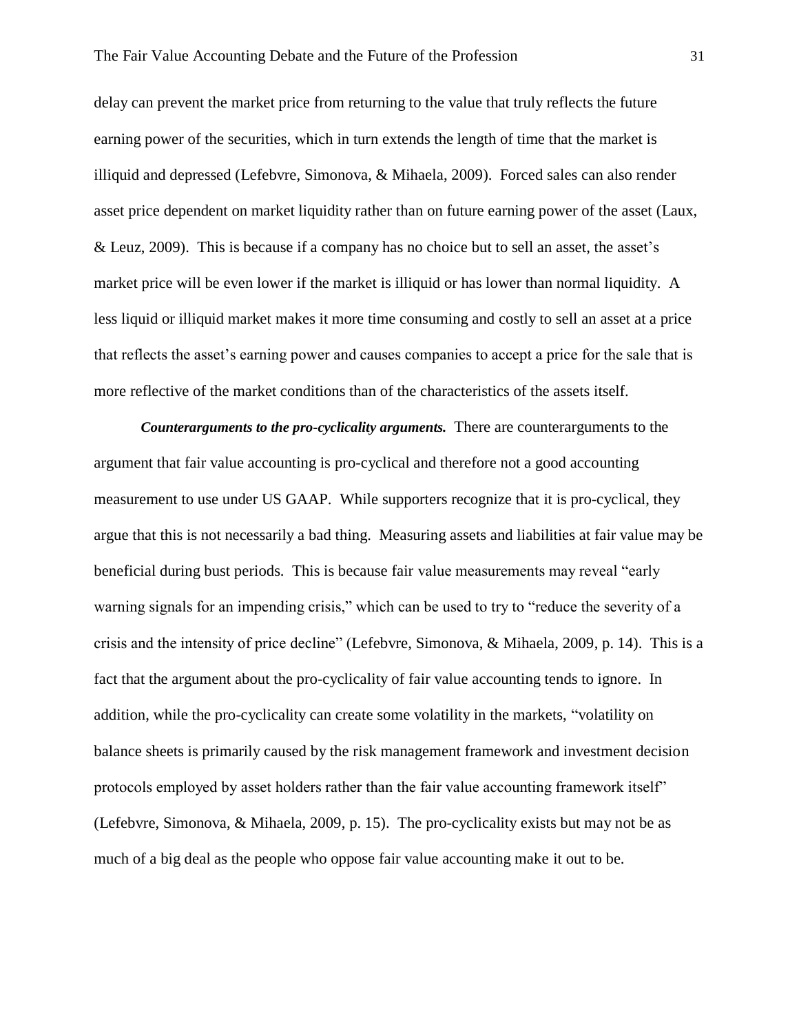delay can prevent the market price from returning to the value that truly reflects the future earning power of the securities, which in turn extends the length of time that the market is illiquid and depressed (Lefebvre, Simonova, & Mihaela, 2009). Forced sales can also render asset price dependent on market liquidity rather than on future earning power of the asset (Laux, & Leuz, 2009). This is because if a company has no choice but to sell an asset, the asset's market price will be even lower if the market is illiquid or has lower than normal liquidity. A less liquid or illiquid market makes it more time consuming and costly to sell an asset at a price that reflects the asset's earning power and causes companies to accept a price for the sale that is more reflective of the market conditions than of the characteristics of the assets itself.

*Counterarguments to the pro-cyclicality arguments.* There are counterarguments to the argument that fair value accounting is pro-cyclical and therefore not a good accounting measurement to use under US GAAP. While supporters recognize that it is pro-cyclical, they argue that this is not necessarily a bad thing. Measuring assets and liabilities at fair value may be beneficial during bust periods. This is because fair value measurements may reveal "early warning signals for an impending crisis," which can be used to try to "reduce the severity of a crisis and the intensity of price decline" (Lefebvre, Simonova, & Mihaela, 2009, p. 14). This is a fact that the argument about the pro-cyclicality of fair value accounting tends to ignore. In addition, while the pro-cyclicality can create some volatility in the markets, "volatility on balance sheets is primarily caused by the risk management framework and investment decision protocols employed by asset holders rather than the fair value accounting framework itself" (Lefebvre, Simonova, & Mihaela, 2009, p. 15). The pro-cyclicality exists but may not be as much of a big deal as the people who oppose fair value accounting make it out to be.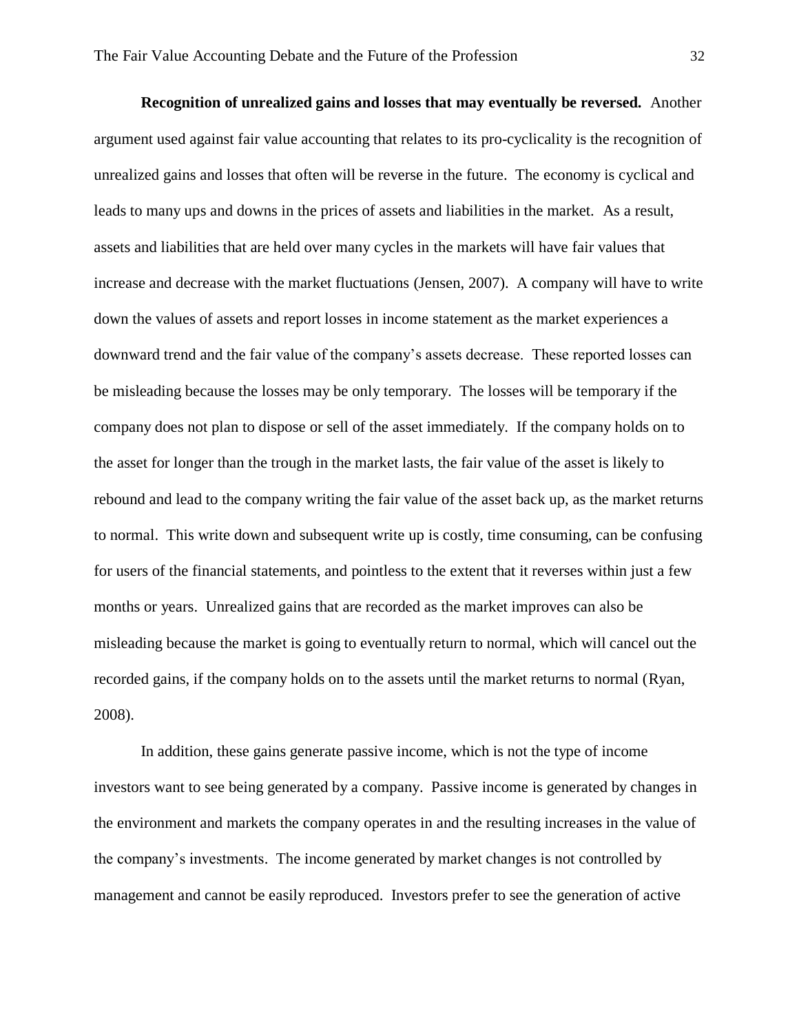**Recognition of unrealized gains and losses that may eventually be reversed.** Another argument used against fair value accounting that relates to its pro-cyclicality is the recognition of unrealized gains and losses that often will be reverse in the future. The economy is cyclical and leads to many ups and downs in the prices of assets and liabilities in the market. As a result, assets and liabilities that are held over many cycles in the markets will have fair values that increase and decrease with the market fluctuations (Jensen, 2007). A company will have to write down the values of assets and report losses in income statement as the market experiences a downward trend and the fair value of the company's assets decrease. These reported losses can be misleading because the losses may be only temporary. The losses will be temporary if the company does not plan to dispose or sell of the asset immediately. If the company holds on to the asset for longer than the trough in the market lasts, the fair value of the asset is likely to rebound and lead to the company writing the fair value of the asset back up, as the market returns to normal. This write down and subsequent write up is costly, time consuming, can be confusing for users of the financial statements, and pointless to the extent that it reverses within just a few months or years. Unrealized gains that are recorded as the market improves can also be misleading because the market is going to eventually return to normal, which will cancel out the recorded gains, if the company holds on to the assets until the market returns to normal (Ryan, 2008).

In addition, these gains generate passive income, which is not the type of income investors want to see being generated by a company. Passive income is generated by changes in the environment and markets the company operates in and the resulting increases in the value of the company's investments. The income generated by market changes is not controlled by management and cannot be easily reproduced. Investors prefer to see the generation of active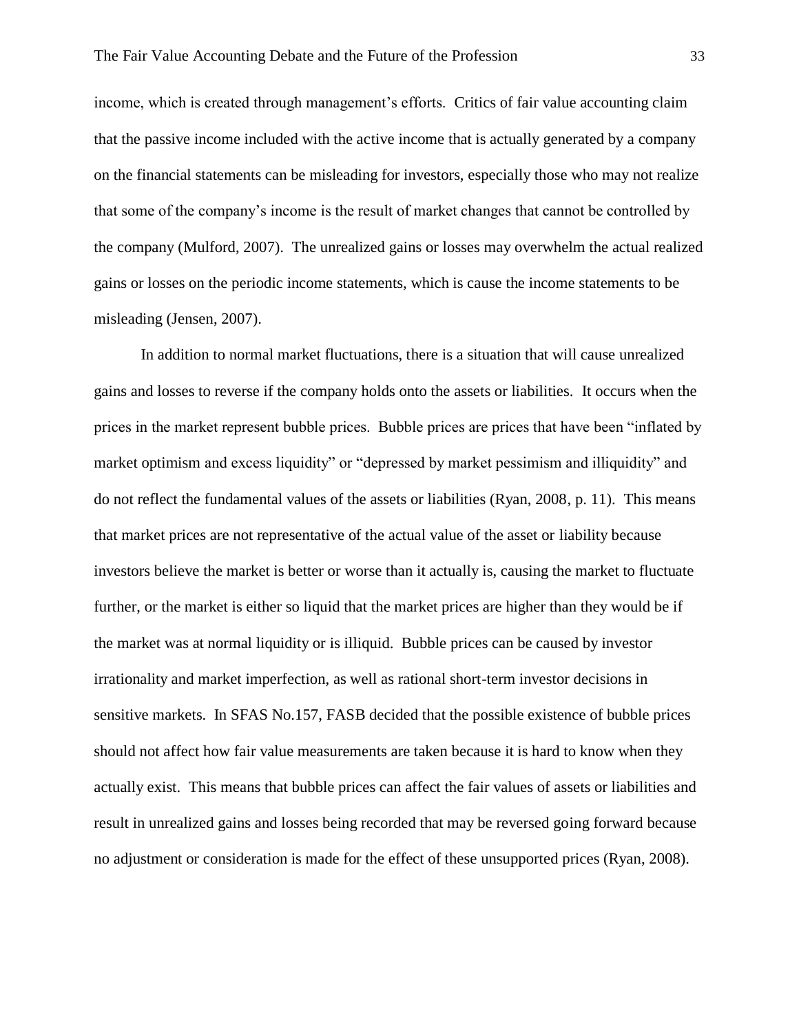income, which is created through management's efforts. Critics of fair value accounting claim that the passive income included with the active income that is actually generated by a company on the financial statements can be misleading for investors, especially those who may not realize that some of the company's income is the result of market changes that cannot be controlled by the company (Mulford, 2007). The unrealized gains or losses may overwhelm the actual realized gains or losses on the periodic income statements, which is cause the income statements to be misleading (Jensen, 2007).

In addition to normal market fluctuations, there is a situation that will cause unrealized gains and losses to reverse if the company holds onto the assets or liabilities. It occurs when the prices in the market represent bubble prices. Bubble prices are prices that have been "inflated by market optimism and excess liquidity" or "depressed by market pessimism and illiquidity" and do not reflect the fundamental values of the assets or liabilities (Ryan, 2008, p. 11). This means that market prices are not representative of the actual value of the asset or liability because investors believe the market is better or worse than it actually is, causing the market to fluctuate further, or the market is either so liquid that the market prices are higher than they would be if the market was at normal liquidity or is illiquid. Bubble prices can be caused by investor irrationality and market imperfection, as well as rational short-term investor decisions in sensitive markets. In SFAS No.157, FASB decided that the possible existence of bubble prices should not affect how fair value measurements are taken because it is hard to know when they actually exist. This means that bubble prices can affect the fair values of assets or liabilities and result in unrealized gains and losses being recorded that may be reversed going forward because no adjustment or consideration is made for the effect of these unsupported prices (Ryan, 2008).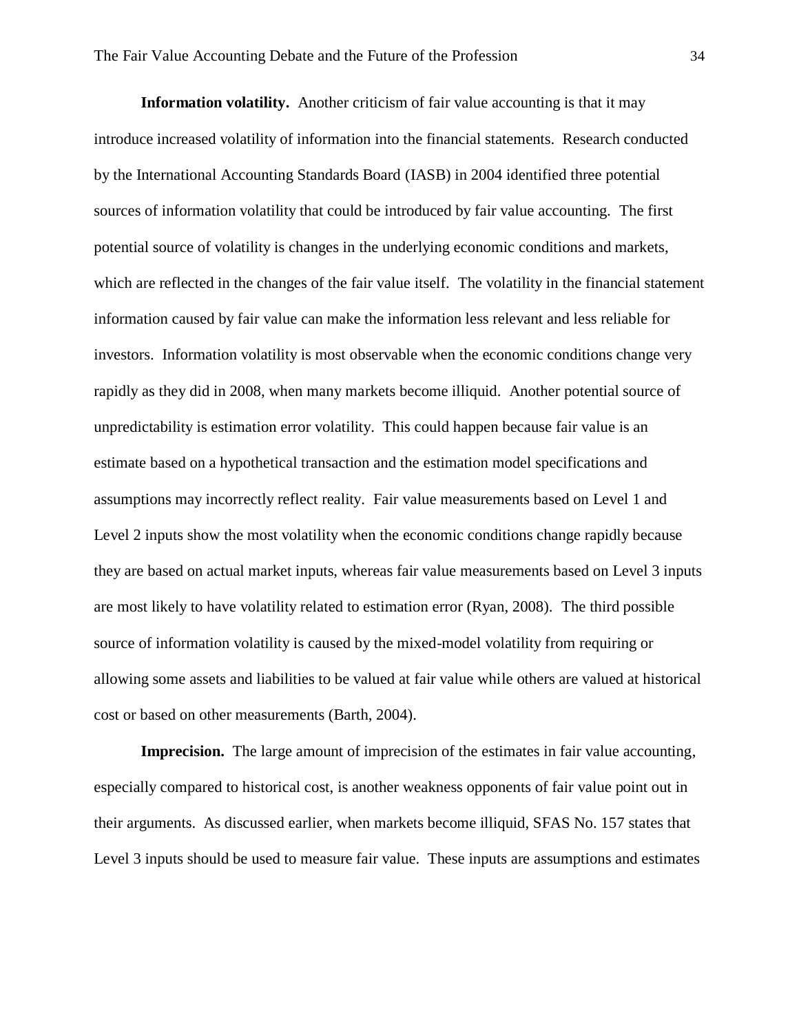**Information volatility.** Another criticism of fair value accounting is that it may introduce increased volatility of information into the financial statements. Research conducted by the International Accounting Standards Board (IASB) in 2004 identified three potential sources of information volatility that could be introduced by fair value accounting. The first potential source of volatility is changes in the underlying economic conditions and markets, which are reflected in the changes of the fair value itself. The volatility in the financial statement information caused by fair value can make the information less relevant and less reliable for investors. Information volatility is most observable when the economic conditions change very rapidly as they did in 2008, when many markets become illiquid. Another potential source of unpredictability is estimation error volatility. This could happen because fair value is an estimate based on a hypothetical transaction and the estimation model specifications and assumptions may incorrectly reflect reality. Fair value measurements based on Level 1 and Level 2 inputs show the most volatility when the economic conditions change rapidly because they are based on actual market inputs, whereas fair value measurements based on Level 3 inputs are most likely to have volatility related to estimation error (Ryan, 2008). The third possible source of information volatility is caused by the mixed-model volatility from requiring or allowing some assets and liabilities to be valued at fair value while others are valued at historical cost or based on other measurements (Barth, 2004).

**Imprecision.** The large amount of imprecision of the estimates in fair value accounting, especially compared to historical cost, is another weakness opponents of fair value point out in their arguments. As discussed earlier, when markets become illiquid, SFAS No. 157 states that Level 3 inputs should be used to measure fair value. These inputs are assumptions and estimates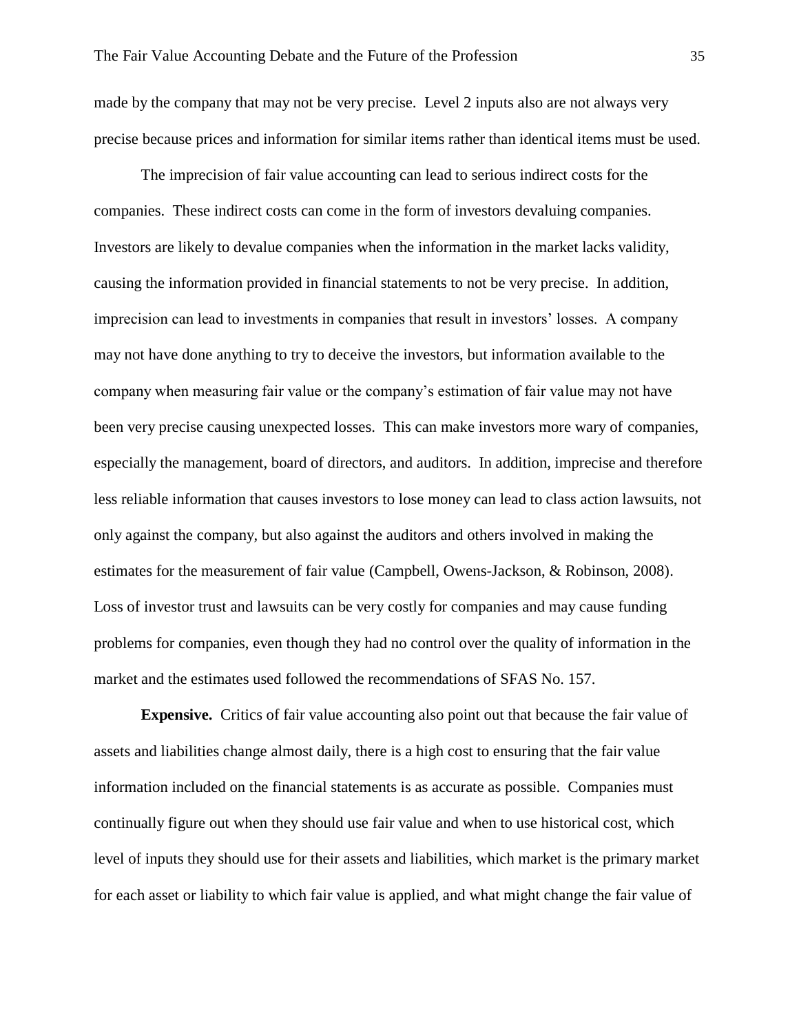made by the company that may not be very precise. Level 2 inputs also are not always very precise because prices and information for similar items rather than identical items must be used.

The imprecision of fair value accounting can lead to serious indirect costs for the companies. These indirect costs can come in the form of investors devaluing companies. Investors are likely to devalue companies when the information in the market lacks validity, causing the information provided in financial statements to not be very precise. In addition, imprecision can lead to investments in companies that result in investors' losses. A company may not have done anything to try to deceive the investors, but information available to the company when measuring fair value or the company's estimation of fair value may not have been very precise causing unexpected losses. This can make investors more wary of companies, especially the management, board of directors, and auditors. In addition, imprecise and therefore less reliable information that causes investors to lose money can lead to class action lawsuits, not only against the company, but also against the auditors and others involved in making the estimates for the measurement of fair value (Campbell, Owens-Jackson, & Robinson, 2008). Loss of investor trust and lawsuits can be very costly for companies and may cause funding problems for companies, even though they had no control over the quality of information in the market and the estimates used followed the recommendations of SFAS No. 157.

**Expensive.** Critics of fair value accounting also point out that because the fair value of assets and liabilities change almost daily, there is a high cost to ensuring that the fair value information included on the financial statements is as accurate as possible. Companies must continually figure out when they should use fair value and when to use historical cost, which level of inputs they should use for their assets and liabilities, which market is the primary market for each asset or liability to which fair value is applied, and what might change the fair value of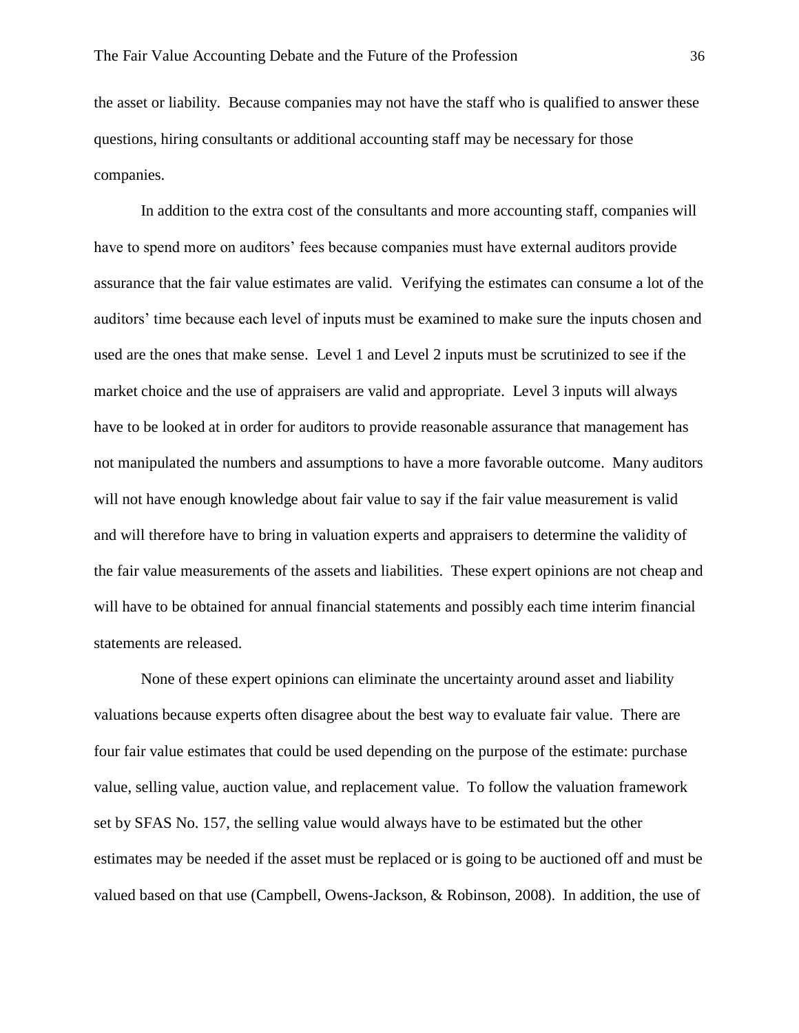the asset or liability. Because companies may not have the staff who is qualified to answer these questions, hiring consultants or additional accounting staff may be necessary for those companies.

In addition to the extra cost of the consultants and more accounting staff, companies will have to spend more on auditors' fees because companies must have external auditors provide assurance that the fair value estimates are valid. Verifying the estimates can consume a lot of the auditors' time because each level of inputs must be examined to make sure the inputs chosen and used are the ones that make sense. Level 1 and Level 2 inputs must be scrutinized to see if the market choice and the use of appraisers are valid and appropriate. Level 3 inputs will always have to be looked at in order for auditors to provide reasonable assurance that management has not manipulated the numbers and assumptions to have a more favorable outcome. Many auditors will not have enough knowledge about fair value to say if the fair value measurement is valid and will therefore have to bring in valuation experts and appraisers to determine the validity of the fair value measurements of the assets and liabilities. These expert opinions are not cheap and will have to be obtained for annual financial statements and possibly each time interim financial statements are released.

None of these expert opinions can eliminate the uncertainty around asset and liability valuations because experts often disagree about the best way to evaluate fair value. There are four fair value estimates that could be used depending on the purpose of the estimate: purchase value, selling value, auction value, and replacement value. To follow the valuation framework set by SFAS No. 157, the selling value would always have to be estimated but the other estimates may be needed if the asset must be replaced or is going to be auctioned off and must be valued based on that use (Campbell, Owens-Jackson, & Robinson, 2008). In addition, the use of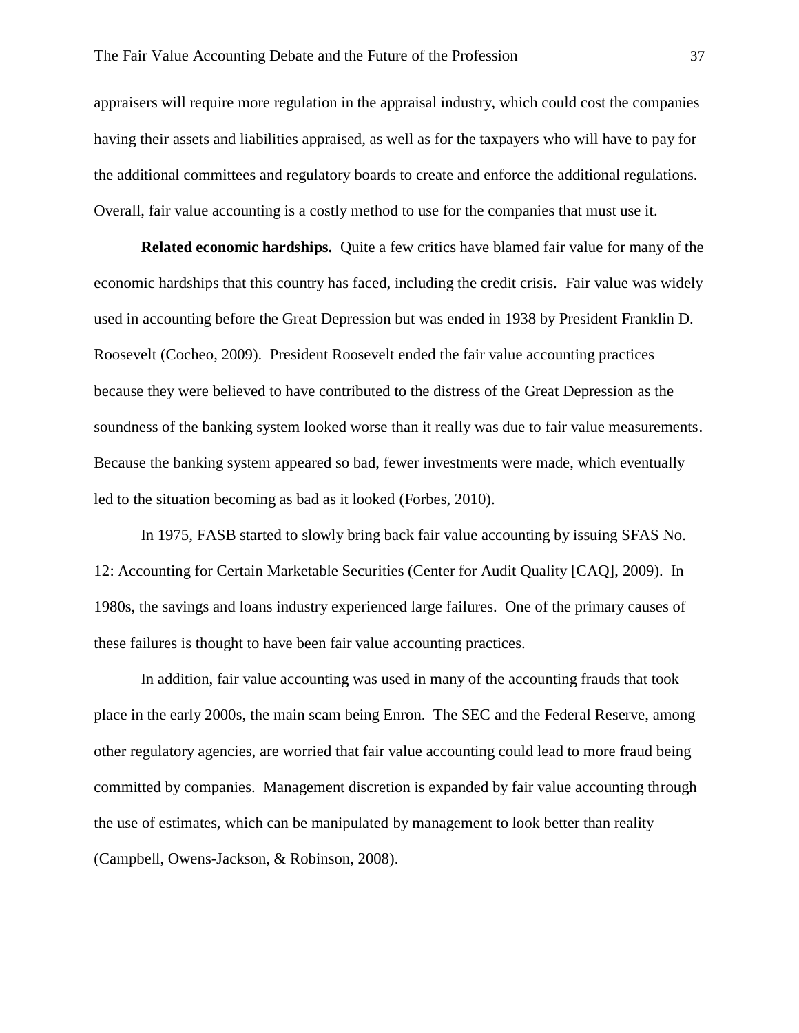appraisers will require more regulation in the appraisal industry, which could cost the companies having their assets and liabilities appraised, as well as for the taxpayers who will have to pay for the additional committees and regulatory boards to create and enforce the additional regulations. Overall, fair value accounting is a costly method to use for the companies that must use it.

**Related economic hardships.** Quite a few critics have blamed fair value for many of the economic hardships that this country has faced, including the credit crisis. Fair value was widely used in accounting before the Great Depression but was ended in 1938 by President Franklin D. Roosevelt (Cocheo, 2009). President Roosevelt ended the fair value accounting practices because they were believed to have contributed to the distress of the Great Depression as the soundness of the banking system looked worse than it really was due to fair value measurements. Because the banking system appeared so bad, fewer investments were made, which eventually led to the situation becoming as bad as it looked (Forbes, 2010).

In 1975, FASB started to slowly bring back fair value accounting by issuing SFAS No. 12: Accounting for Certain Marketable Securities (Center for Audit Quality [CAQ], 2009). In 1980s, the savings and loans industry experienced large failures. One of the primary causes of these failures is thought to have been fair value accounting practices.

In addition, fair value accounting was used in many of the accounting frauds that took place in the early 2000s, the main scam being Enron. The SEC and the Federal Reserve, among other regulatory agencies, are worried that fair value accounting could lead to more fraud being committed by companies. Management discretion is expanded by fair value accounting through the use of estimates, which can be manipulated by management to look better than reality (Campbell, Owens-Jackson, & Robinson, 2008).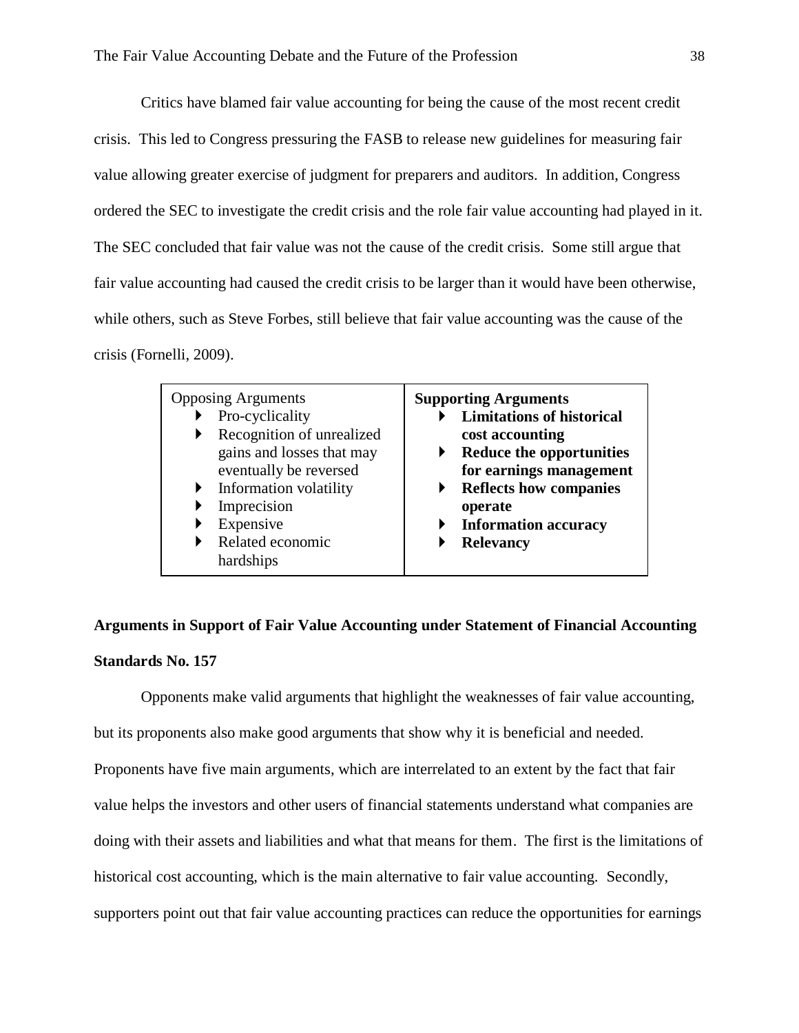Critics have blamed fair value accounting for being the cause of the most recent credit crisis. This led to Congress pressuring the FASB to release new guidelines for measuring fair value allowing greater exercise of judgment for preparers and auditors. In addition, Congress ordered the SEC to investigate the credit crisis and the role fair value accounting had played in it. The SEC concluded that fair value was not the cause of the credit crisis. Some still argue that fair value accounting had caused the credit crisis to be larger than it would have been otherwise, while others, such as Steve Forbes, still believe that fair value accounting was the cause of the crisis (Fornelli, 2009).

| <b>Opposing Arguments</b><br>Pro-cyclicality<br>Recognition of unrealized<br>gains and losses that may<br>eventually be reversed<br>Information volatility<br>Imprecision<br>Expensive<br>Related economic | <b>Supporting Arguments</b><br><b>Limitations of historical</b><br>cost accounting<br><b>Reduce the opportunities</b><br>for earnings management<br><b>Reflects how companies</b><br>operate<br><b>Information accuracy</b> |
|------------------------------------------------------------------------------------------------------------------------------------------------------------------------------------------------------------|-----------------------------------------------------------------------------------------------------------------------------------------------------------------------------------------------------------------------------|
| hardships                                                                                                                                                                                                  | <b>Relevancy</b>                                                                                                                                                                                                            |

# **Arguments in Support of Fair Value Accounting under Statement of Financial Accounting Standards No. 157**

Opponents make valid arguments that highlight the weaknesses of fair value accounting, but its proponents also make good arguments that show why it is beneficial and needed. Proponents have five main arguments, which are interrelated to an extent by the fact that fair value helps the investors and other users of financial statements understand what companies are doing with their assets and liabilities and what that means for them. The first is the limitations of historical cost accounting, which is the main alternative to fair value accounting. Secondly, supporters point out that fair value accounting practices can reduce the opportunities for earnings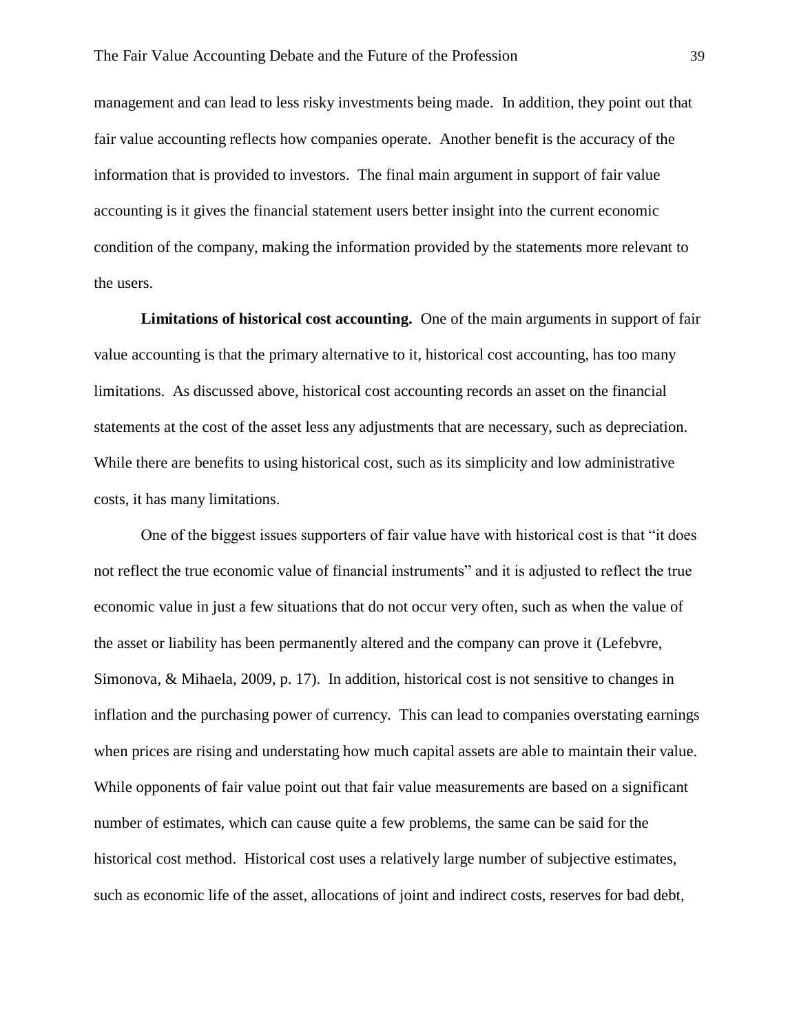management and can lead to less risky investments being made. In addition, they point out that fair value accounting reflects how companies operate. Another benefit is the accuracy of the information that is provided to investors. The final main argument in support of fair value accounting is it gives the financial statement users better insight into the current economic condition of the company, making the information provided by the statements more relevant to the users.

**Limitations of historical cost accounting.** One of the main arguments in support of fair value accounting is that the primary alternative to it, historical cost accounting, has too many limitations. As discussed above, historical cost accounting records an asset on the financial statements at the cost of the asset less any adjustments that are necessary, such as depreciation. While there are benefits to using historical cost, such as its simplicity and low administrative costs, it has many limitations.

One of the biggest issues supporters of fair value have with historical cost is that "it does not reflect the true economic value of financial instruments" and it is adjusted to reflect the true economic value in just a few situations that do not occur very often, such as when the value of the asset or liability has been permanently altered and the company can prove it (Lefebvre, Simonova, & Mihaela, 2009, p. 17). In addition, historical cost is not sensitive to changes in inflation and the purchasing power of currency. This can lead to companies overstating earnings when prices are rising and understating how much capital assets are able to maintain their value. While opponents of fair value point out that fair value measurements are based on a significant number of estimates, which can cause quite a few problems, the same can be said for the historical cost method. Historical cost uses a relatively large number of subjective estimates, such as economic life of the asset, allocations of joint and indirect costs, reserves for bad debt,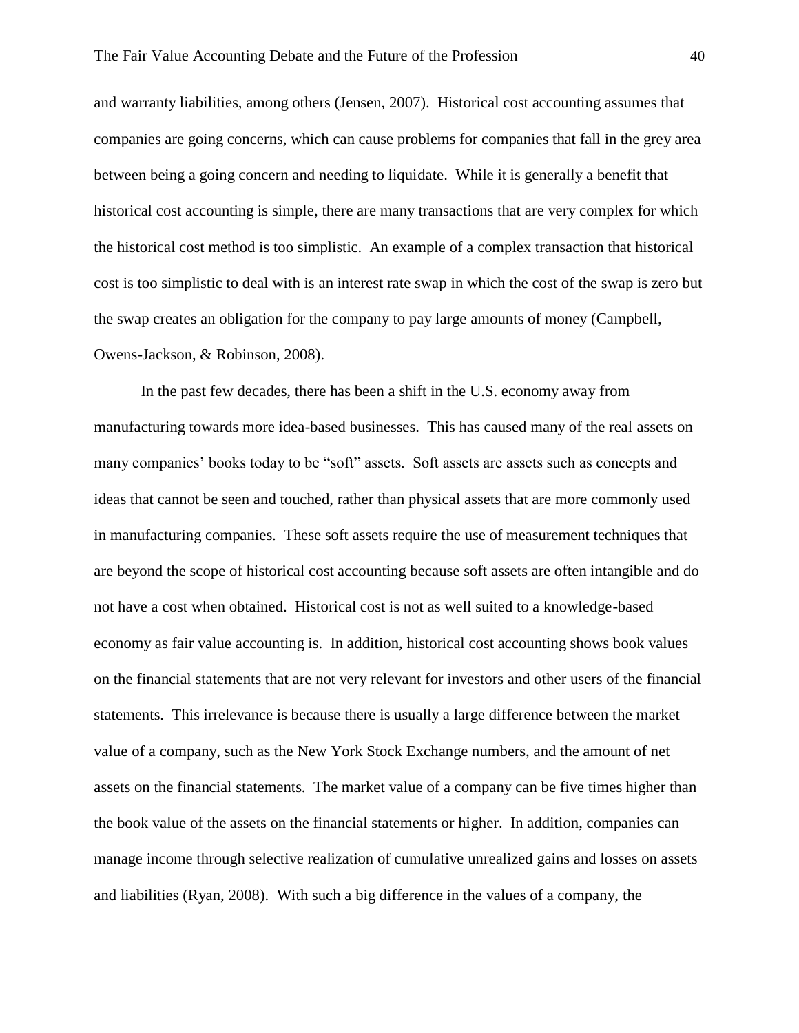and warranty liabilities, among others (Jensen, 2007). Historical cost accounting assumes that companies are going concerns, which can cause problems for companies that fall in the grey area between being a going concern and needing to liquidate. While it is generally a benefit that historical cost accounting is simple, there are many transactions that are very complex for which the historical cost method is too simplistic. An example of a complex transaction that historical cost is too simplistic to deal with is an interest rate swap in which the cost of the swap is zero but the swap creates an obligation for the company to pay large amounts of money (Campbell, Owens-Jackson, & Robinson, 2008).

In the past few decades, there has been a shift in the U.S. economy away from manufacturing towards more idea-based businesses. This has caused many of the real assets on many companies' books today to be "soft" assets. Soft assets are assets such as concepts and ideas that cannot be seen and touched, rather than physical assets that are more commonly used in manufacturing companies. These soft assets require the use of measurement techniques that are beyond the scope of historical cost accounting because soft assets are often intangible and do not have a cost when obtained. Historical cost is not as well suited to a knowledge-based economy as fair value accounting is. In addition, historical cost accounting shows book values on the financial statements that are not very relevant for investors and other users of the financial statements. This irrelevance is because there is usually a large difference between the market value of a company, such as the New York Stock Exchange numbers, and the amount of net assets on the financial statements. The market value of a company can be five times higher than the book value of the assets on the financial statements or higher. In addition, companies can manage income through selective realization of cumulative unrealized gains and losses on assets and liabilities (Ryan, 2008). With such a big difference in the values of a company, the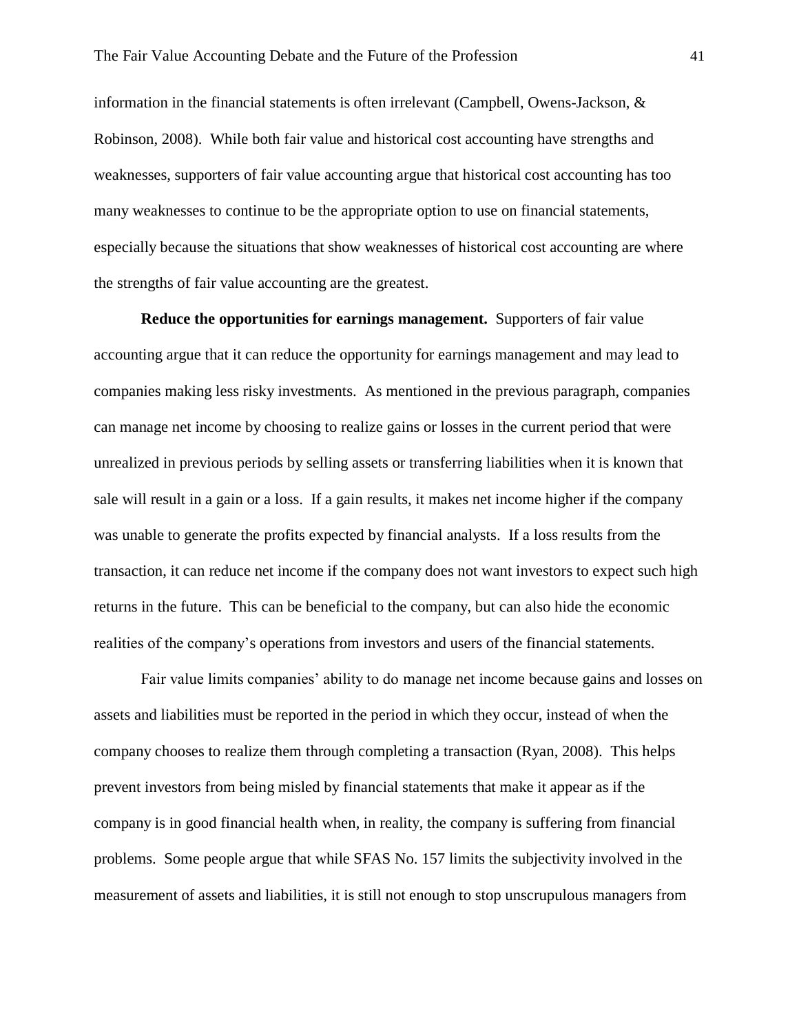information in the financial statements is often irrelevant (Campbell, Owens-Jackson,  $\&$ Robinson, 2008). While both fair value and historical cost accounting have strengths and weaknesses, supporters of fair value accounting argue that historical cost accounting has too many weaknesses to continue to be the appropriate option to use on financial statements, especially because the situations that show weaknesses of historical cost accounting are where the strengths of fair value accounting are the greatest.

**Reduce the opportunities for earnings management.** Supporters of fair value accounting argue that it can reduce the opportunity for earnings management and may lead to companies making less risky investments. As mentioned in the previous paragraph, companies can manage net income by choosing to realize gains or losses in the current period that were unrealized in previous periods by selling assets or transferring liabilities when it is known that sale will result in a gain or a loss. If a gain results, it makes net income higher if the company was unable to generate the profits expected by financial analysts. If a loss results from the transaction, it can reduce net income if the company does not want investors to expect such high returns in the future. This can be beneficial to the company, but can also hide the economic realities of the company's operations from investors and users of the financial statements.

Fair value limits companies' ability to do manage net income because gains and losses on assets and liabilities must be reported in the period in which they occur, instead of when the company chooses to realize them through completing a transaction (Ryan, 2008). This helps prevent investors from being misled by financial statements that make it appear as if the company is in good financial health when, in reality, the company is suffering from financial problems. Some people argue that while SFAS No. 157 limits the subjectivity involved in the measurement of assets and liabilities, it is still not enough to stop unscrupulous managers from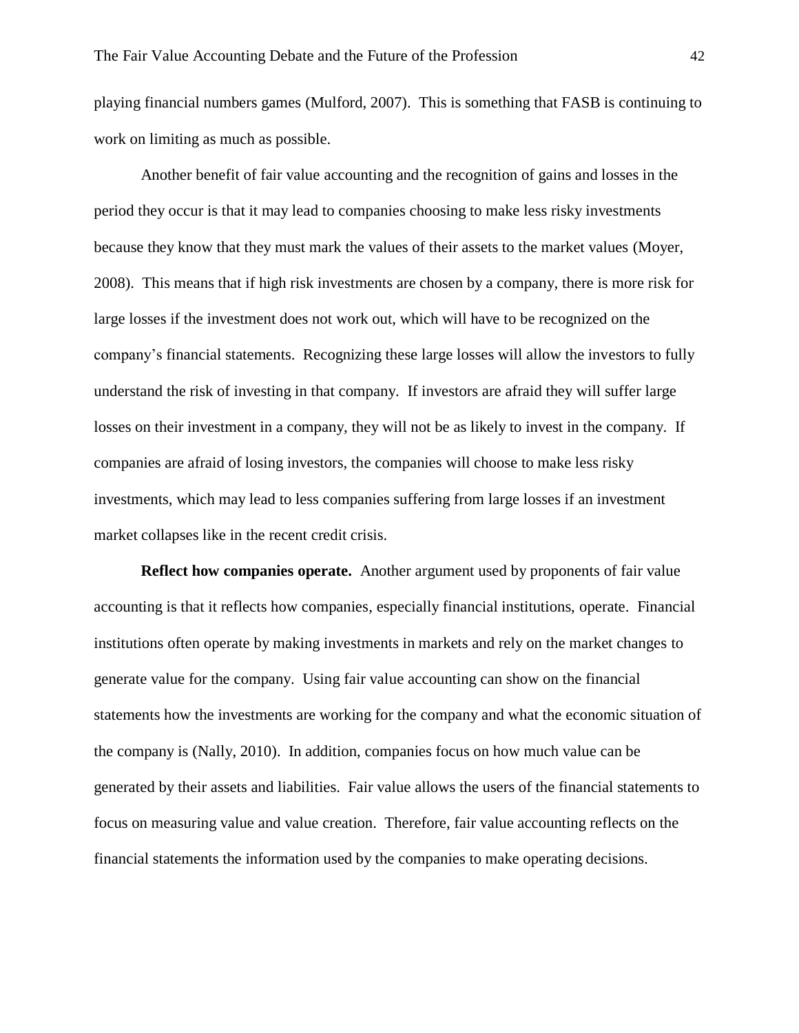playing financial numbers games (Mulford, 2007). This is something that FASB is continuing to work on limiting as much as possible.

Another benefit of fair value accounting and the recognition of gains and losses in the period they occur is that it may lead to companies choosing to make less risky investments because they know that they must mark the values of their assets to the market values (Moyer, 2008). This means that if high risk investments are chosen by a company, there is more risk for large losses if the investment does not work out, which will have to be recognized on the company's financial statements. Recognizing these large losses will allow the investors to fully understand the risk of investing in that company. If investors are afraid they will suffer large losses on their investment in a company, they will not be as likely to invest in the company. If companies are afraid of losing investors, the companies will choose to make less risky investments, which may lead to less companies suffering from large losses if an investment market collapses like in the recent credit crisis.

**Reflect how companies operate.** Another argument used by proponents of fair value accounting is that it reflects how companies, especially financial institutions, operate. Financial institutions often operate by making investments in markets and rely on the market changes to generate value for the company. Using fair value accounting can show on the financial statements how the investments are working for the company and what the economic situation of the company is (Nally, 2010). In addition, companies focus on how much value can be generated by their assets and liabilities. Fair value allows the users of the financial statements to focus on measuring value and value creation. Therefore, fair value accounting reflects on the financial statements the information used by the companies to make operating decisions.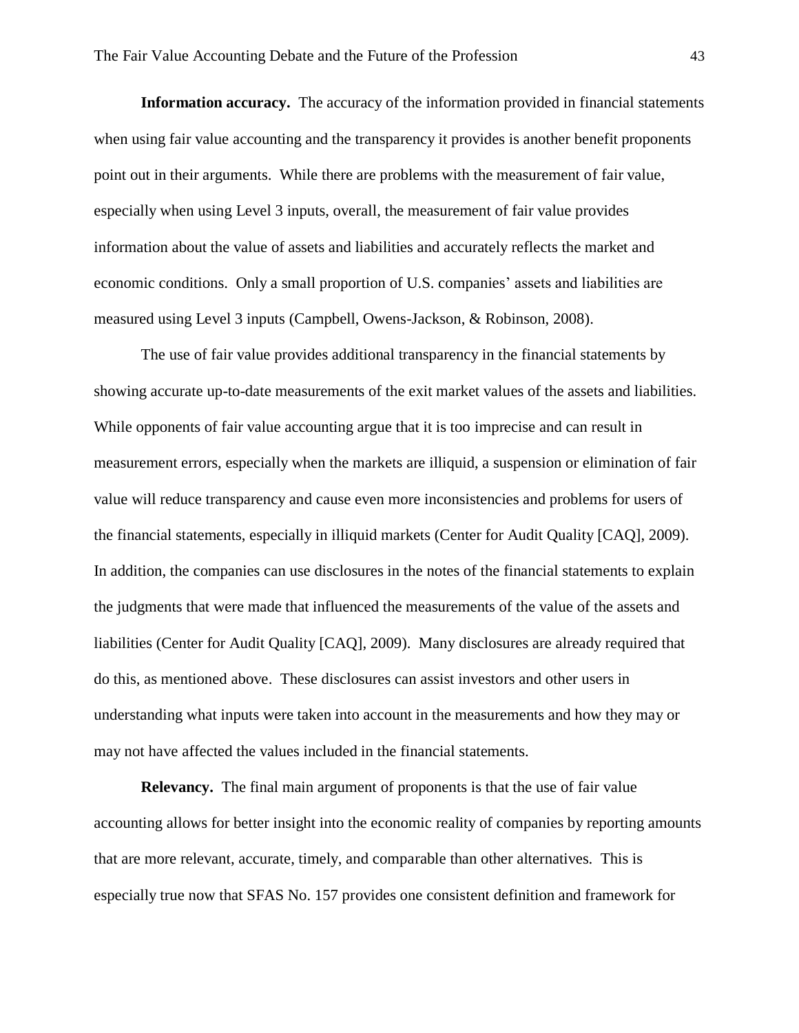**Information accuracy.** The accuracy of the information provided in financial statements when using fair value accounting and the transparency it provides is another benefit proponents point out in their arguments. While there are problems with the measurement of fair value, especially when using Level 3 inputs, overall, the measurement of fair value provides information about the value of assets and liabilities and accurately reflects the market and economic conditions. Only a small proportion of U.S. companies' assets and liabilities are measured using Level 3 inputs (Campbell, Owens-Jackson, & Robinson, 2008).

The use of fair value provides additional transparency in the financial statements by showing accurate up-to-date measurements of the exit market values of the assets and liabilities. While opponents of fair value accounting argue that it is too imprecise and can result in measurement errors, especially when the markets are illiquid, a suspension or elimination of fair value will reduce transparency and cause even more inconsistencies and problems for users of the financial statements, especially in illiquid markets (Center for Audit Quality [CAQ], 2009). In addition, the companies can use disclosures in the notes of the financial statements to explain the judgments that were made that influenced the measurements of the value of the assets and liabilities (Center for Audit Quality [CAQ], 2009). Many disclosures are already required that do this, as mentioned above. These disclosures can assist investors and other users in understanding what inputs were taken into account in the measurements and how they may or may not have affected the values included in the financial statements.

**Relevancy.** The final main argument of proponents is that the use of fair value accounting allows for better insight into the economic reality of companies by reporting amounts that are more relevant, accurate, timely, and comparable than other alternatives. This is especially true now that SFAS No. 157 provides one consistent definition and framework for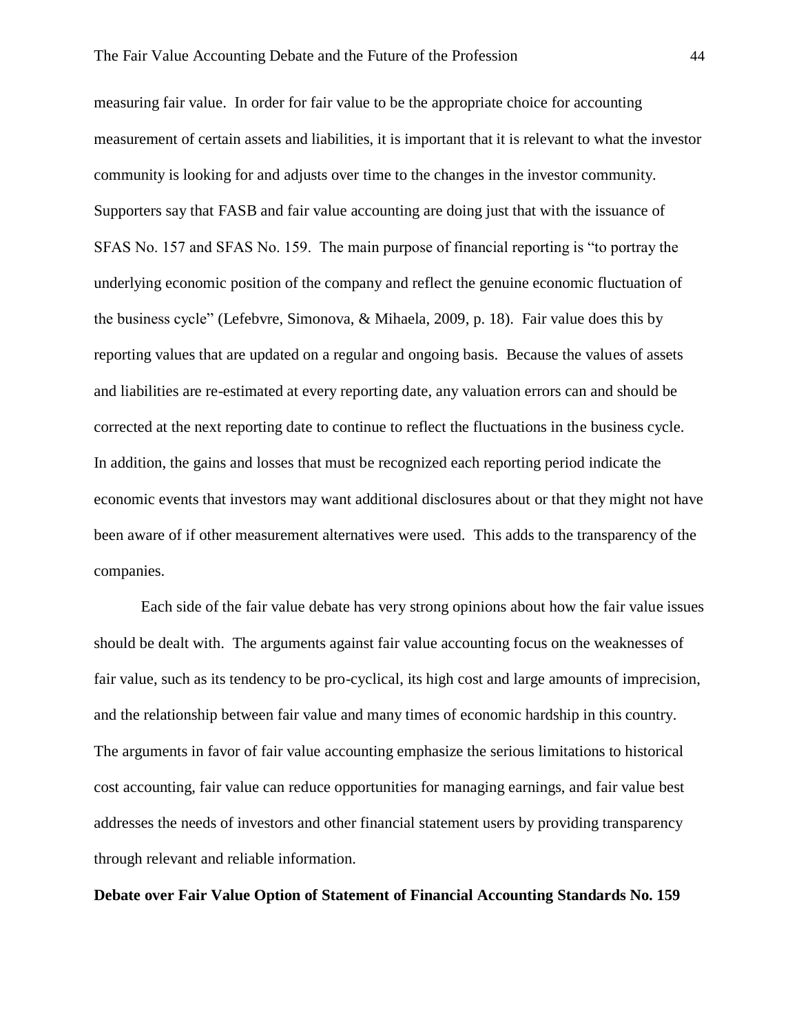measuring fair value. In order for fair value to be the appropriate choice for accounting measurement of certain assets and liabilities, it is important that it is relevant to what the investor community is looking for and adjusts over time to the changes in the investor community. Supporters say that FASB and fair value accounting are doing just that with the issuance of SFAS No. 157 and SFAS No. 159. The main purpose of financial reporting is "to portray the underlying economic position of the company and reflect the genuine economic fluctuation of the business cycle" (Lefebvre, Simonova, & Mihaela, 2009, p. 18). Fair value does this by reporting values that are updated on a regular and ongoing basis. Because the values of assets and liabilities are re-estimated at every reporting date, any valuation errors can and should be corrected at the next reporting date to continue to reflect the fluctuations in the business cycle. In addition, the gains and losses that must be recognized each reporting period indicate the economic events that investors may want additional disclosures about or that they might not have been aware of if other measurement alternatives were used. This adds to the transparency of the companies.

Each side of the fair value debate has very strong opinions about how the fair value issues should be dealt with. The arguments against fair value accounting focus on the weaknesses of fair value, such as its tendency to be pro-cyclical, its high cost and large amounts of imprecision, and the relationship between fair value and many times of economic hardship in this country. The arguments in favor of fair value accounting emphasize the serious limitations to historical cost accounting, fair value can reduce opportunities for managing earnings, and fair value best addresses the needs of investors and other financial statement users by providing transparency through relevant and reliable information.

**Debate over Fair Value Option of Statement of Financial Accounting Standards No. 159**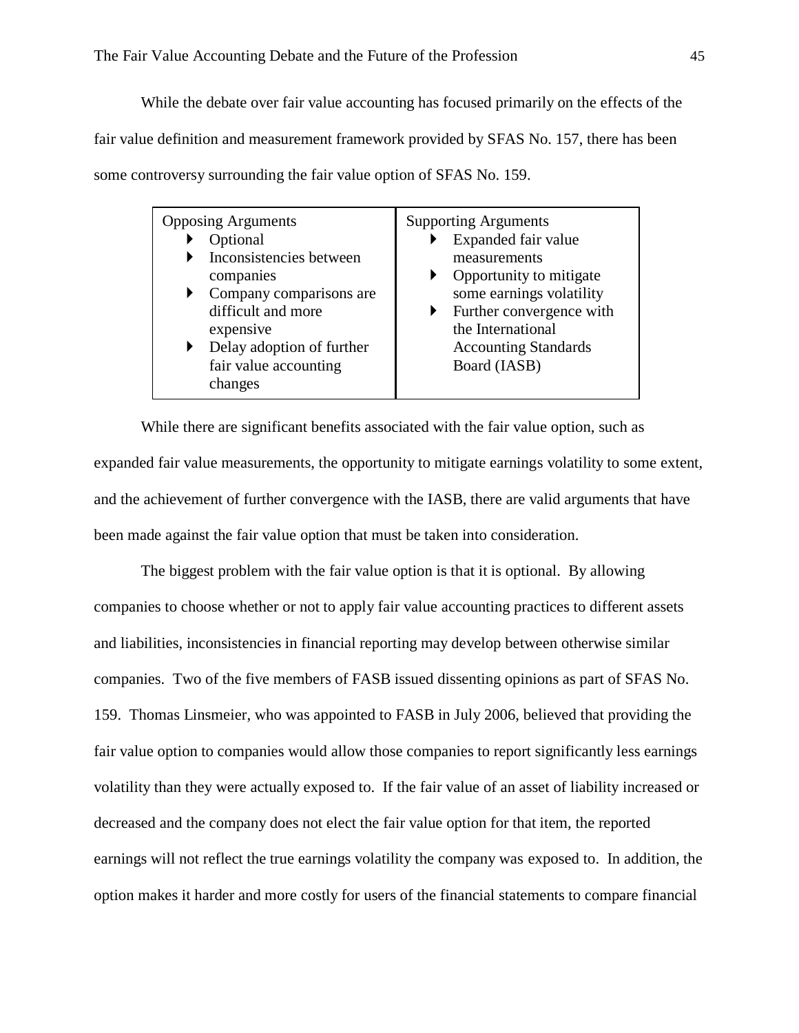While the debate over fair value accounting has focused primarily on the effects of the fair value definition and measurement framework provided by SFAS No. 157, there has been some controversy surrounding the fair value option of SFAS No. 159.

While there are significant benefits associated with the fair value option, such as expanded fair value measurements, the opportunity to mitigate earnings volatility to some extent, and the achievement of further convergence with the IASB, there are valid arguments that have been made against the fair value option that must be taken into consideration.

The biggest problem with the fair value option is that it is optional. By allowing companies to choose whether or not to apply fair value accounting practices to different assets and liabilities, inconsistencies in financial reporting may develop between otherwise similar companies. Two of the five members of FASB issued dissenting opinions as part of SFAS No. 159. Thomas Linsmeier, who was appointed to FASB in July 2006, believed that providing the fair value option to companies would allow those companies to report significantly less earnings volatility than they were actually exposed to. If the fair value of an asset of liability increased or decreased and the company does not elect the fair value option for that item, the reported earnings will not reflect the true earnings volatility the company was exposed to. In addition, the option makes it harder and more costly for users of the financial statements to compare financial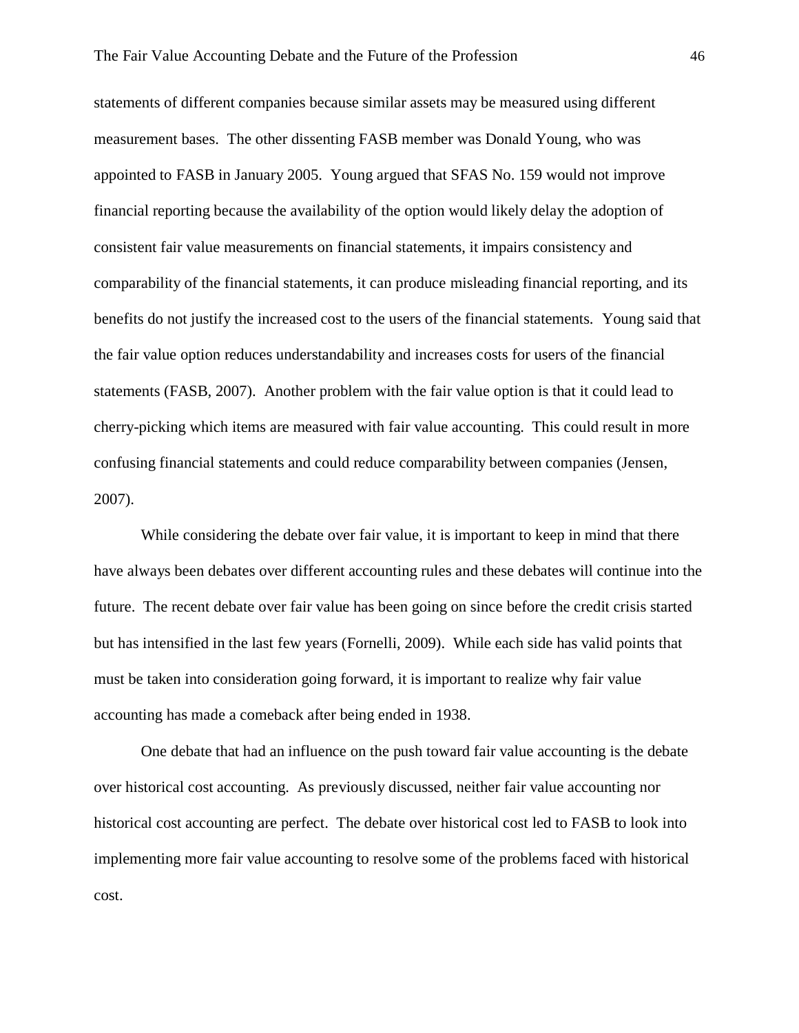statements of different companies because similar assets may be measured using different measurement bases. The other dissenting FASB member was Donald Young, who was appointed to FASB in January 2005. Young argued that SFAS No. 159 would not improve financial reporting because the availability of the option would likely delay the adoption of consistent fair value measurements on financial statements, it impairs consistency and comparability of the financial statements, it can produce misleading financial reporting, and its benefits do not justify the increased cost to the users of the financial statements. Young said that the fair value option reduces understandability and increases costs for users of the financial statements (FASB, 2007). Another problem with the fair value option is that it could lead to cherry-picking which items are measured with fair value accounting. This could result in more confusing financial statements and could reduce comparability between companies (Jensen, 2007).

While considering the debate over fair value, it is important to keep in mind that there have always been debates over different accounting rules and these debates will continue into the future. The recent debate over fair value has been going on since before the credit crisis started but has intensified in the last few years (Fornelli, 2009). While each side has valid points that must be taken into consideration going forward, it is important to realize why fair value accounting has made a comeback after being ended in 1938.

One debate that had an influence on the push toward fair value accounting is the debate over historical cost accounting. As previously discussed, neither fair value accounting nor historical cost accounting are perfect. The debate over historical cost led to FASB to look into implementing more fair value accounting to resolve some of the problems faced with historical cost.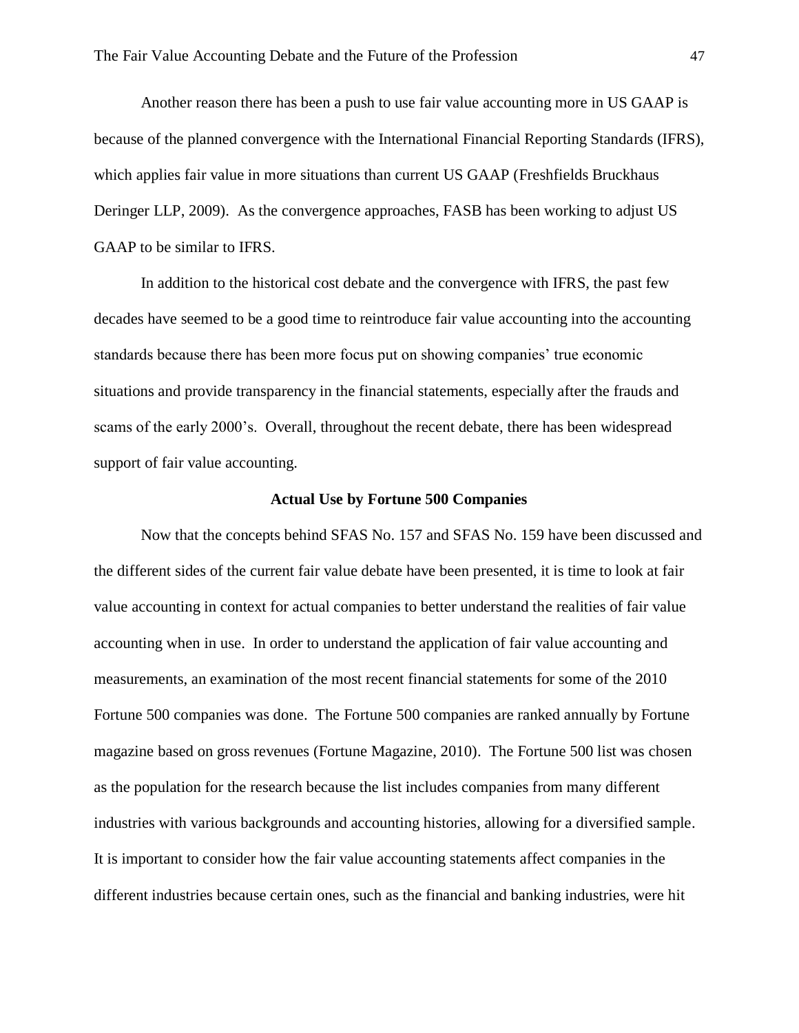Another reason there has been a push to use fair value accounting more in US GAAP is because of the planned convergence with the International Financial Reporting Standards (IFRS), which applies fair value in more situations than current US GAAP (Freshfields Bruckhaus Deringer LLP, 2009). As the convergence approaches, FASB has been working to adjust US GAAP to be similar to IFRS.

In addition to the historical cost debate and the convergence with IFRS, the past few decades have seemed to be a good time to reintroduce fair value accounting into the accounting standards because there has been more focus put on showing companies' true economic situations and provide transparency in the financial statements, especially after the frauds and scams of the early 2000's. Overall, throughout the recent debate, there has been widespread support of fair value accounting.

#### **Actual Use by Fortune 500 Companies**

Now that the concepts behind SFAS No. 157 and SFAS No. 159 have been discussed and the different sides of the current fair value debate have been presented, it is time to look at fair value accounting in context for actual companies to better understand the realities of fair value accounting when in use. In order to understand the application of fair value accounting and measurements, an examination of the most recent financial statements for some of the 2010 Fortune 500 companies was done. The Fortune 500 companies are ranked annually by Fortune magazine based on gross revenues (Fortune Magazine, 2010). The Fortune 500 list was chosen as the population for the research because the list includes companies from many different industries with various backgrounds and accounting histories, allowing for a diversified sample. It is important to consider how the fair value accounting statements affect companies in the different industries because certain ones, such as the financial and banking industries, were hit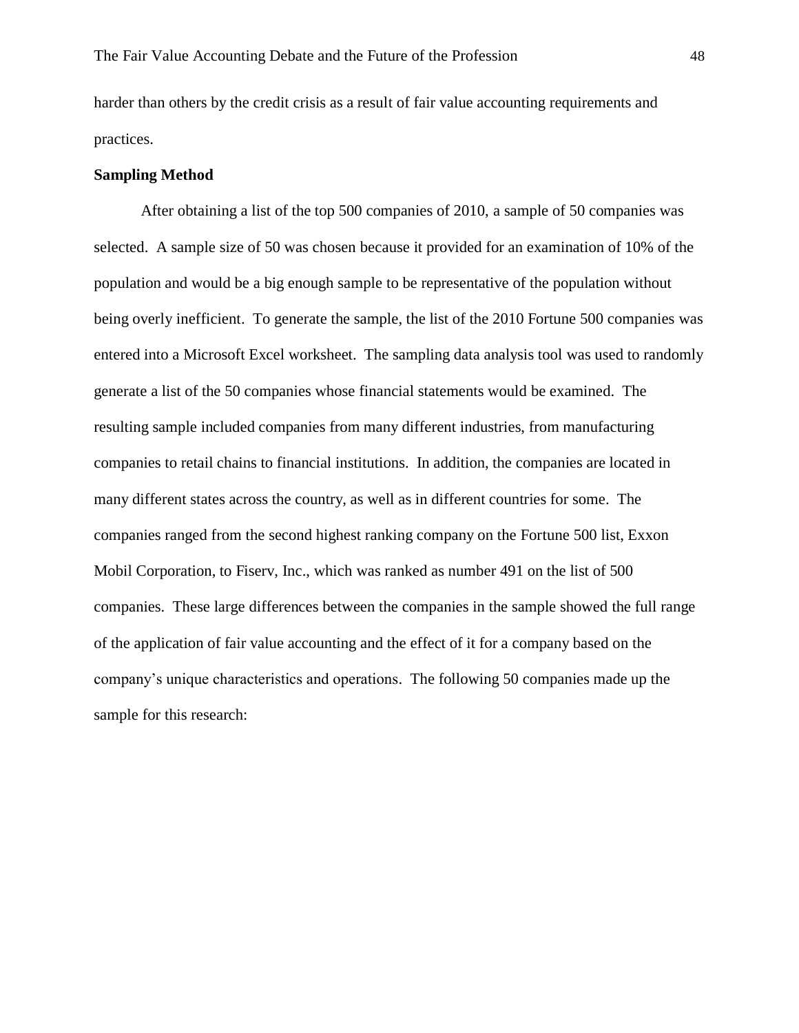harder than others by the credit crisis as a result of fair value accounting requirements and practices.

# **Sampling Method**

After obtaining a list of the top 500 companies of 2010, a sample of 50 companies was selected. A sample size of 50 was chosen because it provided for an examination of 10% of the population and would be a big enough sample to be representative of the population without being overly inefficient. To generate the sample, the list of the 2010 Fortune 500 companies was entered into a Microsoft Excel worksheet. The sampling data analysis tool was used to randomly generate a list of the 50 companies whose financial statements would be examined. The resulting sample included companies from many different industries, from manufacturing companies to retail chains to financial institutions. In addition, the companies are located in many different states across the country, as well as in different countries for some. The companies ranged from the second highest ranking company on the Fortune 500 list, Exxon Mobil Corporation, to Fiserv, Inc., which was ranked as number 491 on the list of 500 companies. These large differences between the companies in the sample showed the full range of the application of fair value accounting and the effect of it for a company based on the company's unique characteristics and operations. The following 50 companies made up the sample for this research: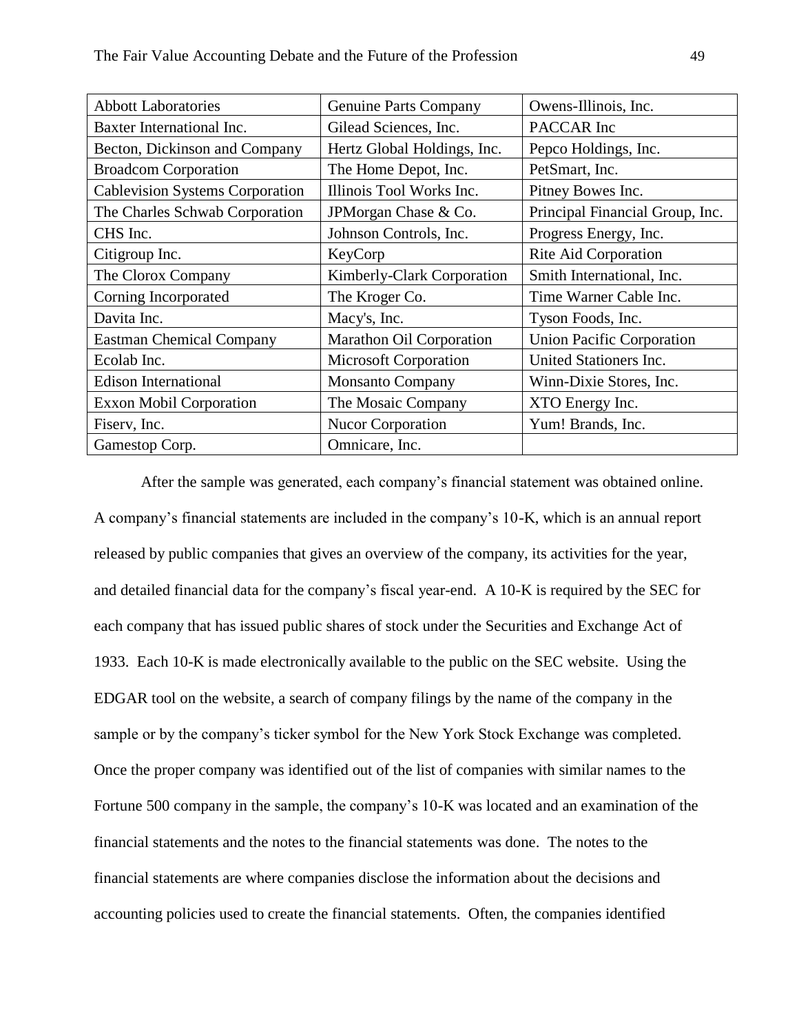| <b>Abbott Laboratories</b>             | <b>Genuine Parts Company</b> | Owens-Illinois, Inc.             |  |  |
|----------------------------------------|------------------------------|----------------------------------|--|--|
| Baxter International Inc.              | Gilead Sciences, Inc.        | PACCAR Inc                       |  |  |
| Becton, Dickinson and Company          | Hertz Global Holdings, Inc.  | Pepco Holdings, Inc.             |  |  |
| <b>Broadcom Corporation</b>            | The Home Depot, Inc.         | PetSmart, Inc.                   |  |  |
| <b>Cablevision Systems Corporation</b> | Illinois Tool Works Inc.     | Pitney Bowes Inc.                |  |  |
| The Charles Schwab Corporation         | JPMorgan Chase & Co.         | Principal Financial Group, Inc.  |  |  |
| CHS Inc.                               | Johnson Controls, Inc.       | Progress Energy, Inc.            |  |  |
| Citigroup Inc.                         | KeyCorp                      | Rite Aid Corporation             |  |  |
| The Clorox Company                     | Kimberly-Clark Corporation   | Smith International, Inc.        |  |  |
| Corning Incorporated                   | The Kroger Co.               | Time Warner Cable Inc.           |  |  |
| Davita Inc.                            | Macy's, Inc.                 | Tyson Foods, Inc.                |  |  |
| <b>Eastman Chemical Company</b>        | Marathon Oil Corporation     | <b>Union Pacific Corporation</b> |  |  |
| Ecolab Inc.                            | Microsoft Corporation        | United Stationers Inc.           |  |  |
| <b>Edison International</b>            | <b>Monsanto Company</b>      | Winn-Dixie Stores, Inc.          |  |  |
| <b>Exxon Mobil Corporation</b>         | The Mosaic Company           | XTO Energy Inc.                  |  |  |
| Fiserv, Inc.                           | Nucor Corporation            | Yum! Brands, Inc.                |  |  |
| Gamestop Corp.                         | Omnicare, Inc.               |                                  |  |  |

After the sample was generated, each company's financial statement was obtained online. A company's financial statements are included in the company's 10-K, which is an annual report released by public companies that gives an overview of the company, its activities for the year, and detailed financial data for the company's fiscal year-end. A 10-K is required by the SEC for each company that has issued public shares of stock under the Securities and Exchange Act of 1933. Each 10-K is made electronically available to the public on the SEC website. Using the EDGAR tool on the website, a search of company filings by the name of the company in the sample or by the company's ticker symbol for the New York Stock Exchange was completed. Once the proper company was identified out of the list of companies with similar names to the Fortune 500 company in the sample, the company's 10-K was located and an examination of the financial statements and the notes to the financial statements was done. The notes to the financial statements are where companies disclose the information about the decisions and accounting policies used to create the financial statements. Often, the companies identified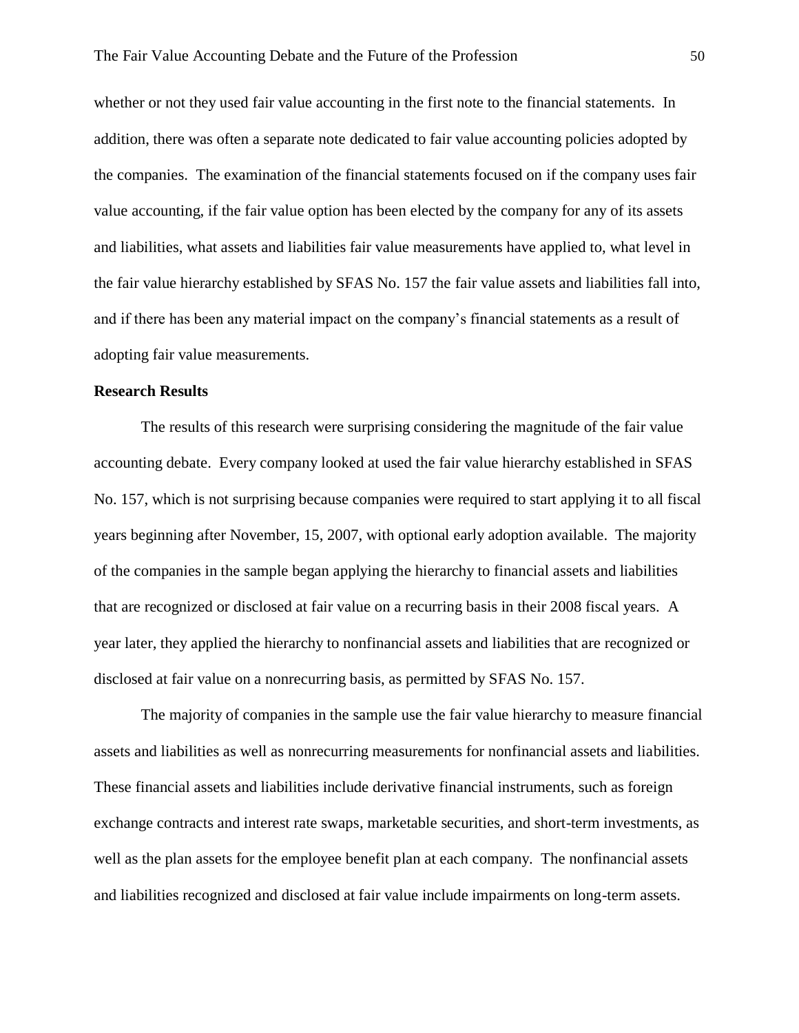whether or not they used fair value accounting in the first note to the financial statements. In addition, there was often a separate note dedicated to fair value accounting policies adopted by the companies. The examination of the financial statements focused on if the company uses fair value accounting, if the fair value option has been elected by the company for any of its assets and liabilities, what assets and liabilities fair value measurements have applied to, what level in the fair value hierarchy established by SFAS No. 157 the fair value assets and liabilities fall into, and if there has been any material impact on the company's financial statements as a result of adopting fair value measurements.

# **Research Results**

The results of this research were surprising considering the magnitude of the fair value accounting debate. Every company looked at used the fair value hierarchy established in SFAS No. 157, which is not surprising because companies were required to start applying it to all fiscal years beginning after November, 15, 2007, with optional early adoption available. The majority of the companies in the sample began applying the hierarchy to financial assets and liabilities that are recognized or disclosed at fair value on a recurring basis in their 2008 fiscal years. A year later, they applied the hierarchy to nonfinancial assets and liabilities that are recognized or disclosed at fair value on a nonrecurring basis, as permitted by SFAS No. 157.

The majority of companies in the sample use the fair value hierarchy to measure financial assets and liabilities as well as nonrecurring measurements for nonfinancial assets and liabilities. These financial assets and liabilities include derivative financial instruments, such as foreign exchange contracts and interest rate swaps, marketable securities, and short-term investments, as well as the plan assets for the employee benefit plan at each company. The nonfinancial assets and liabilities recognized and disclosed at fair value include impairments on long-term assets.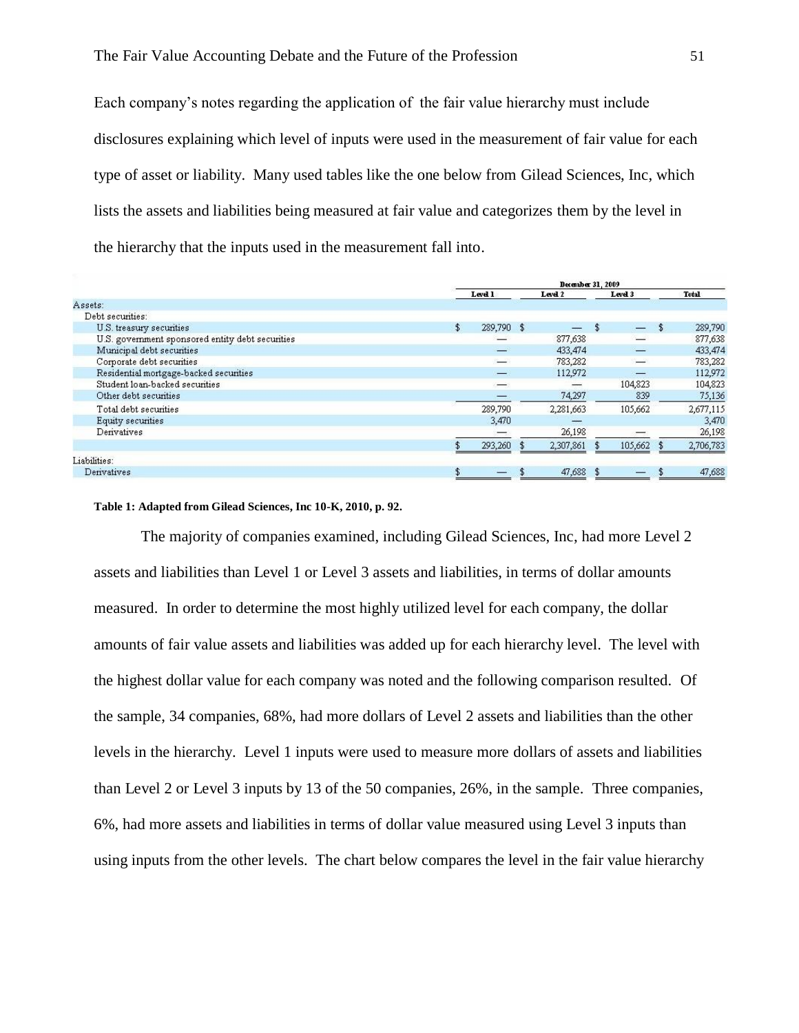Each company's notes regarding the application of the fair value hierarchy must include disclosures explaining which level of inputs were used in the measurement of fair value for each type of asset or liability. Many used tables like the one below from Gilead Sciences, Inc, which lists the assets and liabilities being measured at fair value and categorizes them by the level in the hierarchy that the inputs used in the measurement fall into.

|                                                  | December 31, 2009 |                          |  |           |  |                   |              |           |
|--------------------------------------------------|-------------------|--------------------------|--|-----------|--|-------------------|--------------|-----------|
|                                                  |                   | Level 1                  |  | Level 2   |  | Level 3           |              | Total     |
| Assets:                                          |                   |                          |  |           |  |                   |              |           |
| Debt securities:                                 |                   |                          |  |           |  |                   |              |           |
| U.S. treasury securities                         | \$                | 289,790 \$               |  |           |  | $\qquad \qquad -$ | $\mathbf{f}$ | 289,790   |
| U.S. government sponsored entity debt securities |                   |                          |  | 877,638   |  |                   |              | 877,638   |
| Municipal debt securities                        |                   | انت                      |  | 433,474   |  |                   |              | 433,474   |
| Corporate debt securities                        |                   | التسنة                   |  | 783,282   |  |                   |              | 783,282   |
| Residential mortgage-backed securities           |                   | $\longrightarrow$        |  | 112,972   |  |                   |              | 112,972   |
| Student loan-backed securities                   |                   | $\overline{\phantom{a}}$ |  |           |  | 104,823           |              | 104,823   |
| Other debt securities                            |                   |                          |  | 74,297    |  | 839               |              | 75,136    |
| Total debt securities                            |                   | 289,790                  |  | 2,281,663 |  | 105,662           |              | 2,677,115 |
| Equity securities                                |                   | 3,470                    |  |           |  |                   |              | 3,470     |
| Derivatives                                      |                   |                          |  | 26,198    |  |                   |              | 26,198    |
|                                                  |                   | 293,260                  |  | 2,307,861 |  | 105,662           |              | 2,706,783 |
| Liabilities:                                     |                   |                          |  |           |  |                   |              |           |
| Derivatives                                      |                   |                          |  | 47,688    |  |                   |              | 47,688    |

#### **Table 1: Adapted from Gilead Sciences, Inc 10-K, 2010, p. 92.**

The majority of companies examined, including Gilead Sciences, Inc, had more Level 2 assets and liabilities than Level 1 or Level 3 assets and liabilities, in terms of dollar amounts measured. In order to determine the most highly utilized level for each company, the dollar amounts of fair value assets and liabilities was added up for each hierarchy level. The level with the highest dollar value for each company was noted and the following comparison resulted. Of the sample, 34 companies, 68%, had more dollars of Level 2 assets and liabilities than the other levels in the hierarchy. Level 1 inputs were used to measure more dollars of assets and liabilities than Level 2 or Level 3 inputs by 13 of the 50 companies, 26%, in the sample. Three companies, 6%, had more assets and liabilities in terms of dollar value measured using Level 3 inputs than using inputs from the other levels. The chart below compares the level in the fair value hierarchy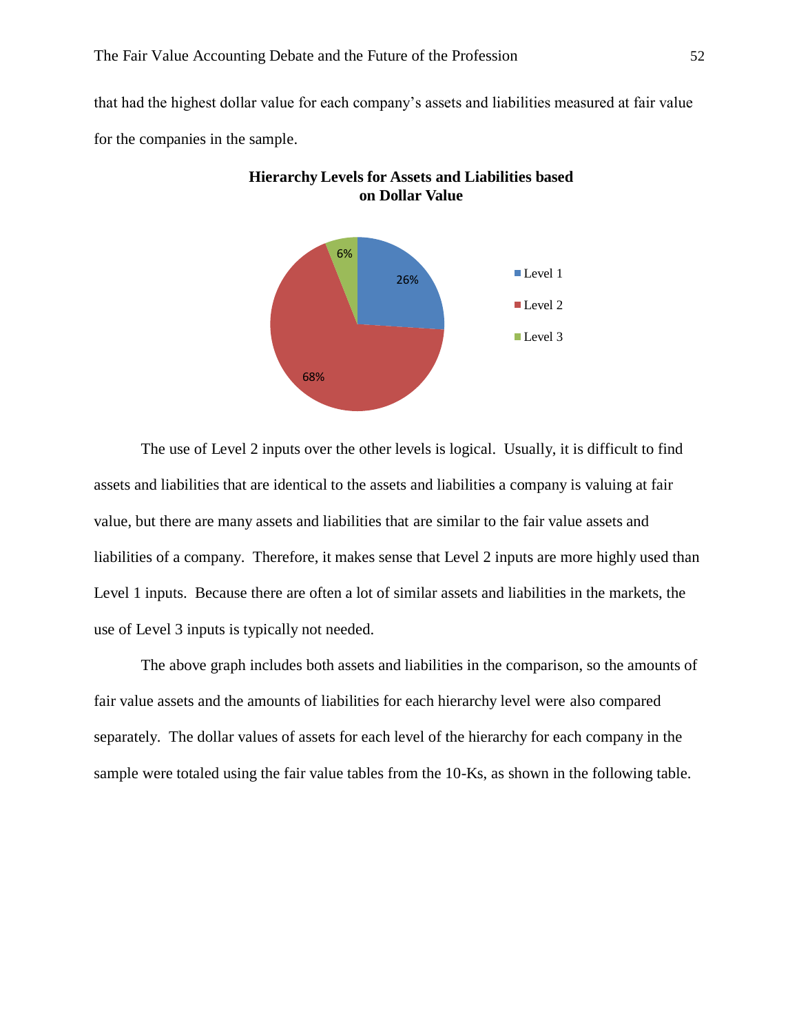that had the highest dollar value for each company's assets and liabilities measured at fair value for the companies in the sample.





The use of Level 2 inputs over the other levels is logical. Usually, it is difficult to find assets and liabilities that are identical to the assets and liabilities a company is valuing at fair value, but there are many assets and liabilities that are similar to the fair value assets and liabilities of a company. Therefore, it makes sense that Level 2 inputs are more highly used than Level 1 inputs. Because there are often a lot of similar assets and liabilities in the markets, the use of Level 3 inputs is typically not needed.

The above graph includes both assets and liabilities in the comparison, so the amounts of fair value assets and the amounts of liabilities for each hierarchy level were also compared separately. The dollar values of assets for each level of the hierarchy for each company in the sample were totaled using the fair value tables from the 10-Ks, as shown in the following table.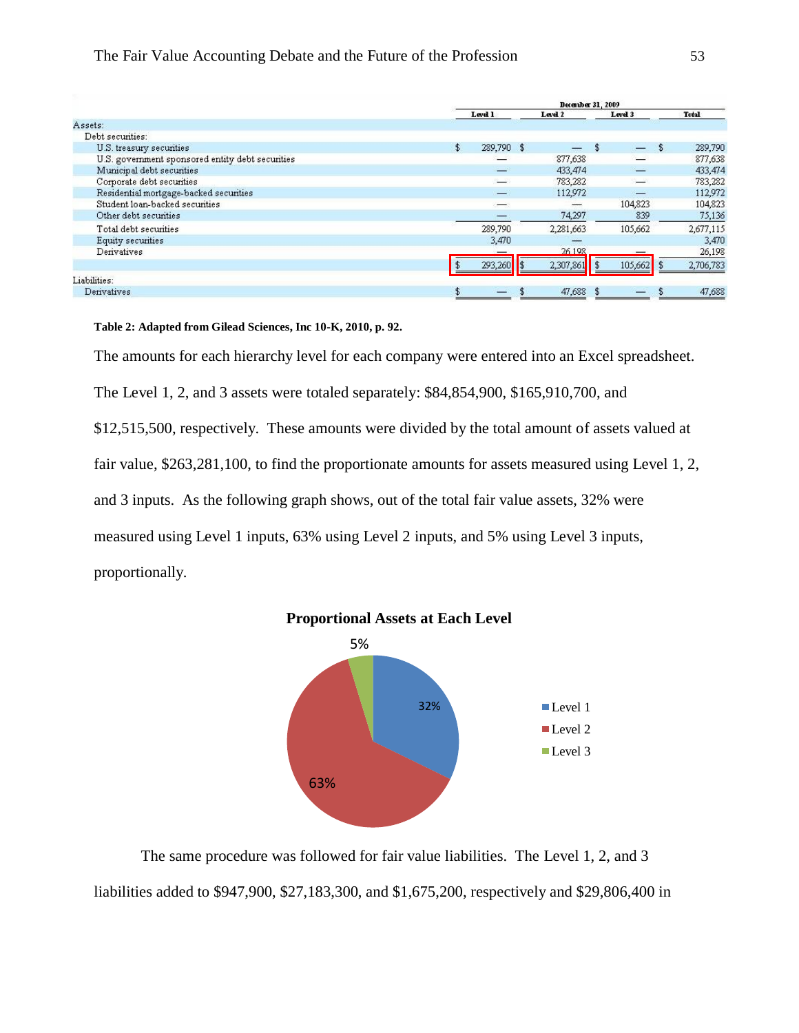## The Fair Value Accounting Debate and the Future of the Profession 53

|                                                  | December 31, 2009 |                   |  |           |  |                          |                |              |
|--------------------------------------------------|-------------------|-------------------|--|-----------|--|--------------------------|----------------|--------------|
|                                                  |                   | Level 1           |  | Level 2   |  | Level 3                  |                | <b>Total</b> |
| Assets:                                          |                   |                   |  |           |  |                          |                |              |
| Debt securities:                                 |                   |                   |  |           |  |                          |                |              |
| U.S. treasury securities                         | \$                | 289,790 \$        |  |           |  | $\overline{\phantom{0}}$ | $\mathfrak{L}$ | 289,790      |
| U.S. government sponsored entity debt securities |                   |                   |  | 877,638   |  |                          |                | 877,638      |
| Municipal debt securities                        |                   | $-$               |  | 433,474   |  |                          |                | 433,474      |
| Corporate debt securities                        |                   | السنة             |  | 783,282   |  |                          |                | 783,282      |
| Residential mortgage-backed securities           |                   | $\longrightarrow$ |  | 112,972   |  |                          |                | 112,972      |
| Student loan-backed securities                   |                   |                   |  |           |  | 104,823                  |                | 104,823      |
| Other debt securities                            |                   |                   |  | 74,297    |  | 839                      |                | 75,136       |
| Total debt securities                            |                   | 289,790           |  | 2,281,663 |  | 105,662                  |                | 2,677,115    |
| Equity securities                                |                   | 3,470             |  |           |  |                          |                | 3,470        |
| Derivatives                                      |                   |                   |  | 26.198    |  |                          |                | 26,198       |
|                                                  |                   | 293,260           |  | 2,307,861 |  | 105,662                  |                | 2,706,783    |
| Liabilities:                                     |                   |                   |  |           |  |                          |                |              |
| Derivatives                                      |                   |                   |  | 47,688    |  |                          |                | 47,688       |

**Table 2: Adapted from Gilead Sciences, Inc 10-K, 2010, p. 92.** 

The amounts for each hierarchy level for each company were entered into an Excel spreadsheet.

The Level 1, 2, and 3 assets were totaled separately: \$84,854,900, \$165,910,700, and

\$12,515,500, respectively. These amounts were divided by the total amount of assets valued at

fair value, \$263,281,100, to find the proportionate amounts for assets measured using Level 1, 2,

and 3 inputs. As the following graph shows, out of the total fair value assets, 32% were

measured using Level 1 inputs, 63% using Level 2 inputs, and 5% using Level 3 inputs,

proportionally.



The same procedure was followed for fair value liabilities. The Level 1, 2, and 3 liabilities added to \$947,900, \$27,183,300, and \$1,675,200, respectively and \$29,806,400 in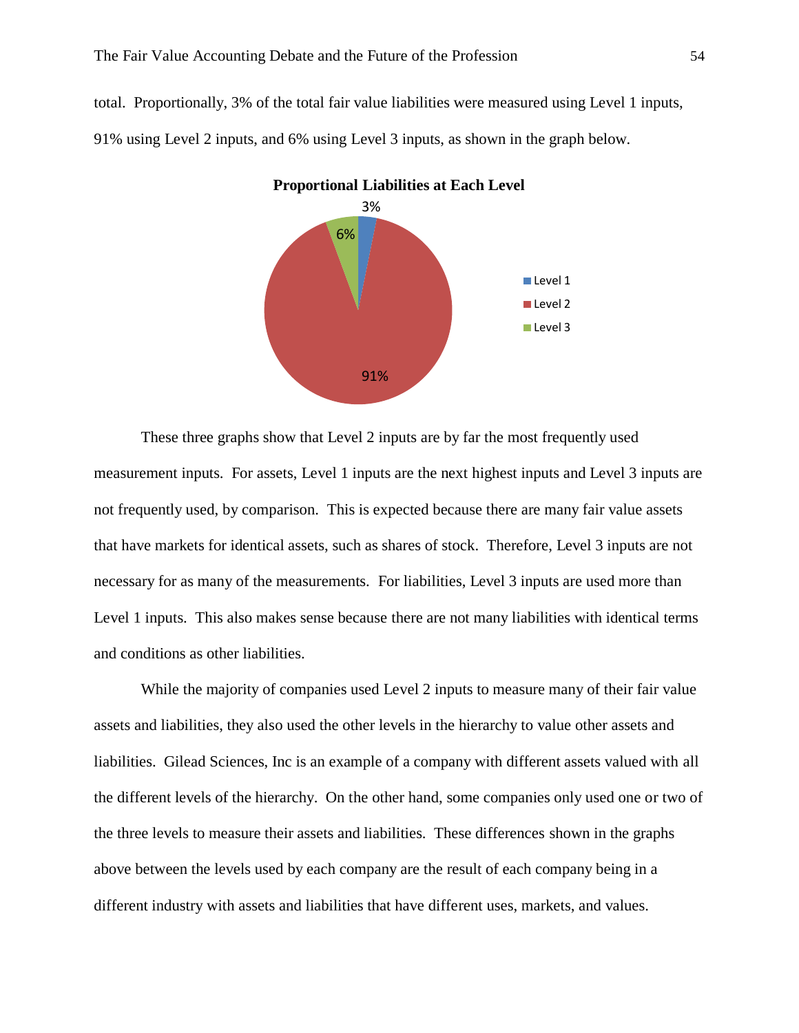total. Proportionally, 3% of the total fair value liabilities were measured using Level 1 inputs, 91% using Level 2 inputs, and 6% using Level 3 inputs, as shown in the graph below.



These three graphs show that Level 2 inputs are by far the most frequently used measurement inputs. For assets, Level 1 inputs are the next highest inputs and Level 3 inputs are not frequently used, by comparison. This is expected because there are many fair value assets that have markets for identical assets, such as shares of stock. Therefore, Level 3 inputs are not necessary for as many of the measurements. For liabilities, Level 3 inputs are used more than Level 1 inputs. This also makes sense because there are not many liabilities with identical terms and conditions as other liabilities.

While the majority of companies used Level 2 inputs to measure many of their fair value assets and liabilities, they also used the other levels in the hierarchy to value other assets and liabilities. Gilead Sciences, Inc is an example of a company with different assets valued with all the different levels of the hierarchy. On the other hand, some companies only used one or two of the three levels to measure their assets and liabilities. These differences shown in the graphs above between the levels used by each company are the result of each company being in a different industry with assets and liabilities that have different uses, markets, and values.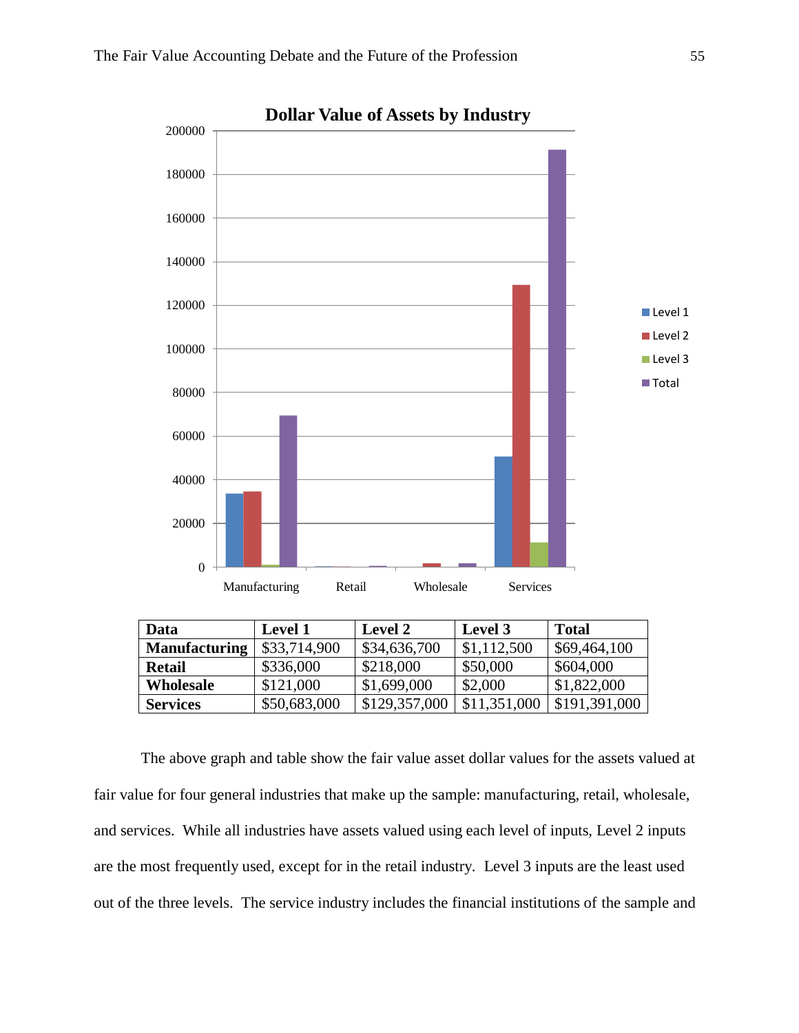

| Data                 | <b>Level 1</b> | Level 2       | Level 3      | <b>Total</b>  |
|----------------------|----------------|---------------|--------------|---------------|
| <b>Manufacturing</b> | \$33,714,900   | \$34,636,700  | \$1,112,500  | \$69,464,100  |
| <b>Retail</b>        | \$336,000      | \$218,000     | \$50,000     | \$604,000     |
| Wholesale            | \$121,000      | \$1,699,000   | \$2,000      | \$1,822,000   |
| <b>Services</b>      | \$50,683,000   | \$129,357,000 | \$11,351,000 | \$191,391,000 |

The above graph and table show the fair value asset dollar values for the assets valued at fair value for four general industries that make up the sample: manufacturing, retail, wholesale, and services. While all industries have assets valued using each level of inputs, Level 2 inputs are the most frequently used, except for in the retail industry. Level 3 inputs are the least used out of the three levels. The service industry includes the financial institutions of the sample and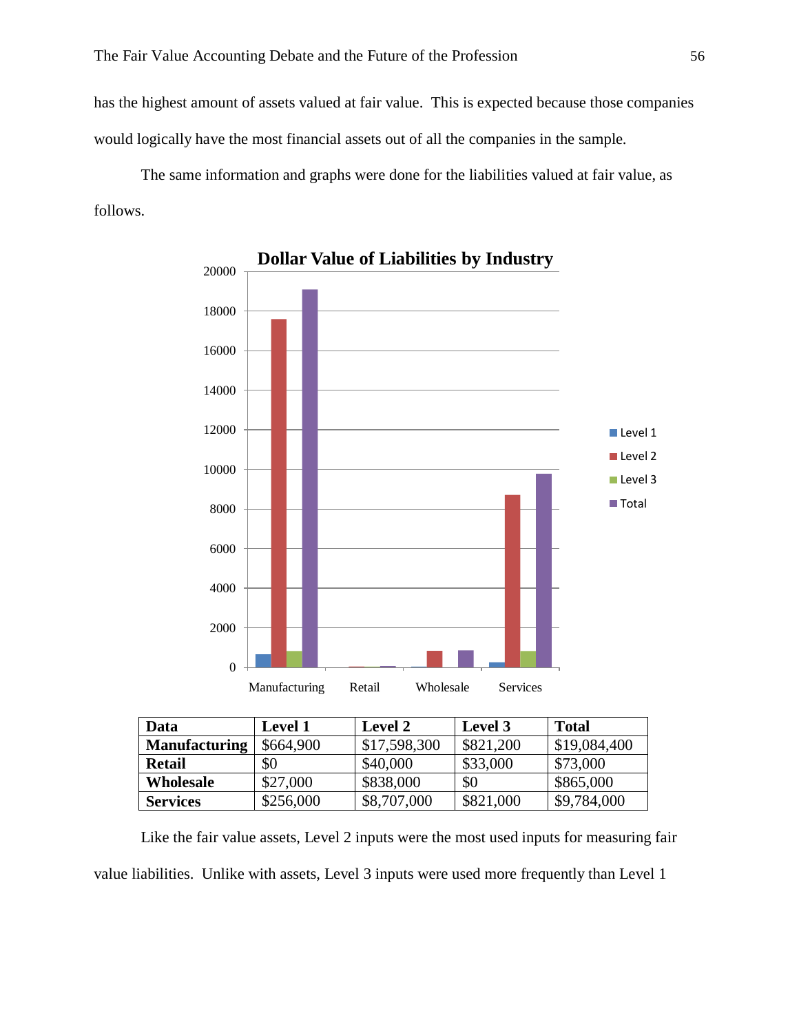has the highest amount of assets valued at fair value. This is expected because those companies would logically have the most financial assets out of all the companies in the sample.

The same information and graphs were done for the liabilities valued at fair value, as follows.



| Data                 | <b>Level 1</b> | <b>Level 2</b> | Level 3   | <b>Total</b> |  |  |
|----------------------|----------------|----------------|-----------|--------------|--|--|
| <b>Manufacturing</b> | \$664,900      | \$17,598,300   | \$821,200 | \$19,084,400 |  |  |
| Retail               | \$0            | \$40,000       | \$33,000  | \$73,000     |  |  |
| Wholesale            | \$27,000       | \$838,000      | \$0       | \$865,000    |  |  |
| <b>Services</b>      | \$256,000      | \$8,707,000    | \$821,000 | \$9,784,000  |  |  |

Like the fair value assets, Level 2 inputs were the most used inputs for measuring fair value liabilities. Unlike with assets, Level 3 inputs were used more frequently than Level 1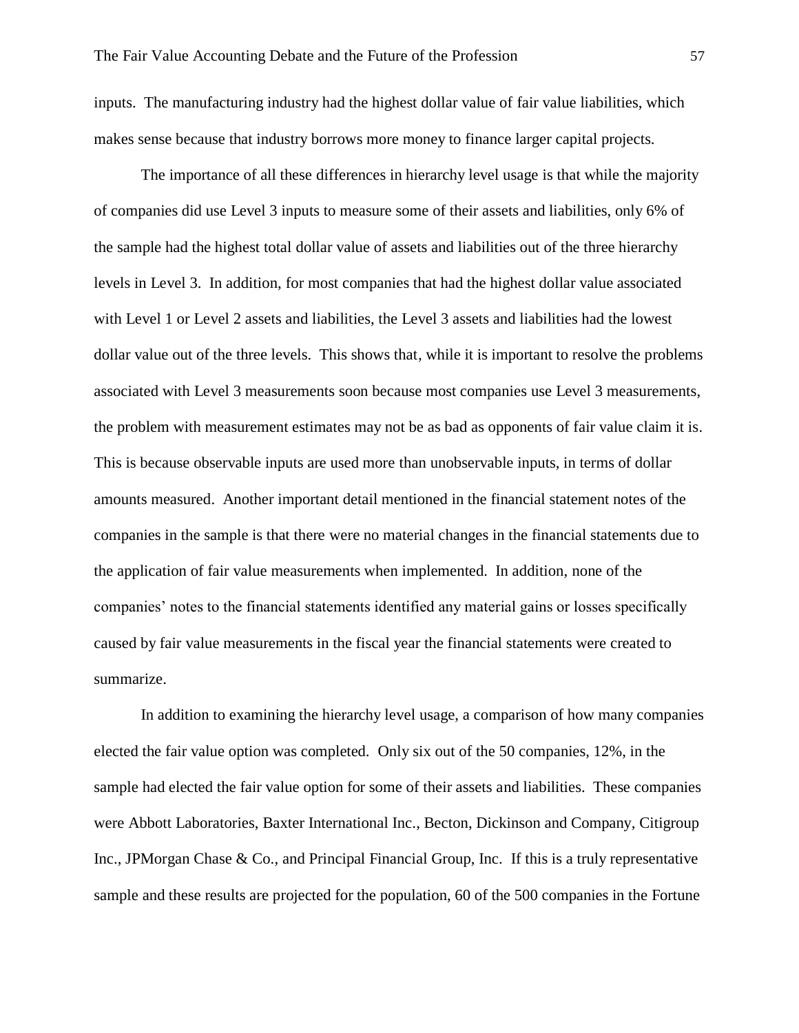inputs. The manufacturing industry had the highest dollar value of fair value liabilities, which makes sense because that industry borrows more money to finance larger capital projects.

The importance of all these differences in hierarchy level usage is that while the majority of companies did use Level 3 inputs to measure some of their assets and liabilities, only 6% of the sample had the highest total dollar value of assets and liabilities out of the three hierarchy levels in Level 3. In addition, for most companies that had the highest dollar value associated with Level 1 or Level 2 assets and liabilities, the Level 3 assets and liabilities had the lowest dollar value out of the three levels. This shows that, while it is important to resolve the problems associated with Level 3 measurements soon because most companies use Level 3 measurements, the problem with measurement estimates may not be as bad as opponents of fair value claim it is. This is because observable inputs are used more than unobservable inputs, in terms of dollar amounts measured. Another important detail mentioned in the financial statement notes of the companies in the sample is that there were no material changes in the financial statements due to the application of fair value measurements when implemented. In addition, none of the companies' notes to the financial statements identified any material gains or losses specifically caused by fair value measurements in the fiscal year the financial statements were created to summarize.

In addition to examining the hierarchy level usage, a comparison of how many companies elected the fair value option was completed. Only six out of the 50 companies, 12%, in the sample had elected the fair value option for some of their assets and liabilities. These companies were Abbott Laboratories, Baxter International Inc., Becton, Dickinson and Company, Citigroup Inc., JPMorgan Chase & Co., and Principal Financial Group, Inc. If this is a truly representative sample and these results are projected for the population, 60 of the 500 companies in the Fortune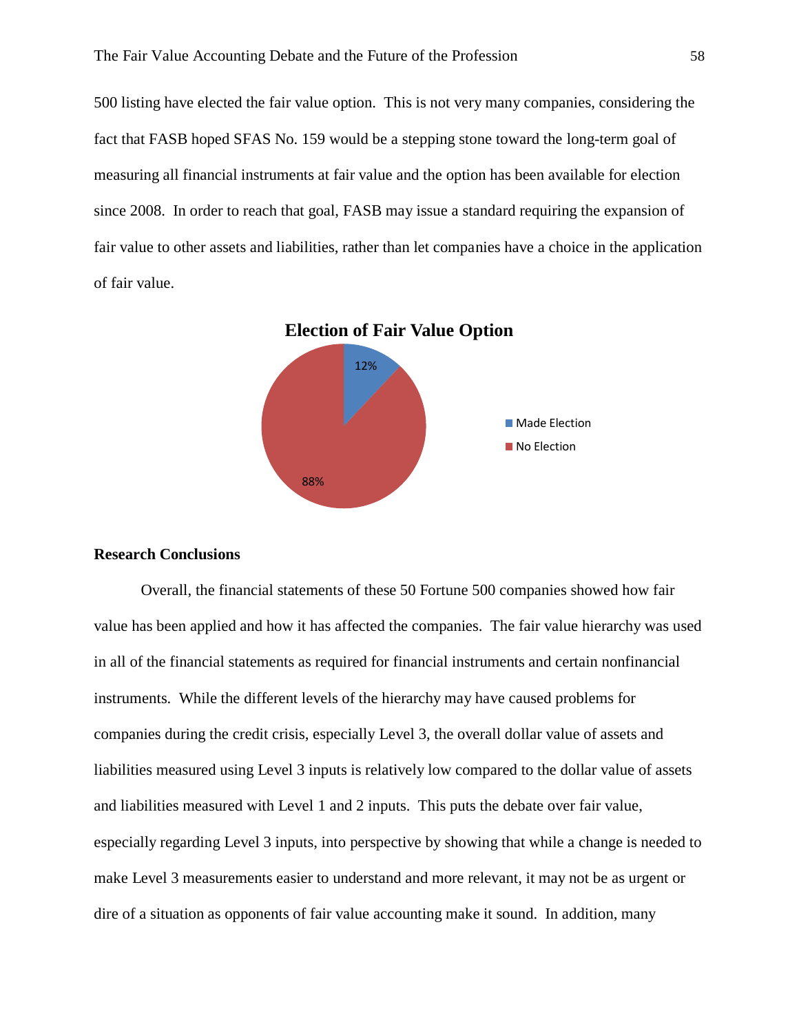500 listing have elected the fair value option. This is not very many companies, considering the fact that FASB hoped SFAS No. 159 would be a stepping stone toward the long-term goal of measuring all financial instruments at fair value and the option has been available for election since 2008. In order to reach that goal, FASB may issue a standard requiring the expansion of fair value to other assets and liabilities, rather than let companies have a choice in the application of fair value.



## **Research Conclusions**

Overall, the financial statements of these 50 Fortune 500 companies showed how fair value has been applied and how it has affected the companies. The fair value hierarchy was used in all of the financial statements as required for financial instruments and certain nonfinancial instruments. While the different levels of the hierarchy may have caused problems for companies during the credit crisis, especially Level 3, the overall dollar value of assets and liabilities measured using Level 3 inputs is relatively low compared to the dollar value of assets and liabilities measured with Level 1 and 2 inputs. This puts the debate over fair value, especially regarding Level 3 inputs, into perspective by showing that while a change is needed to make Level 3 measurements easier to understand and more relevant, it may not be as urgent or dire of a situation as opponents of fair value accounting make it sound. In addition, many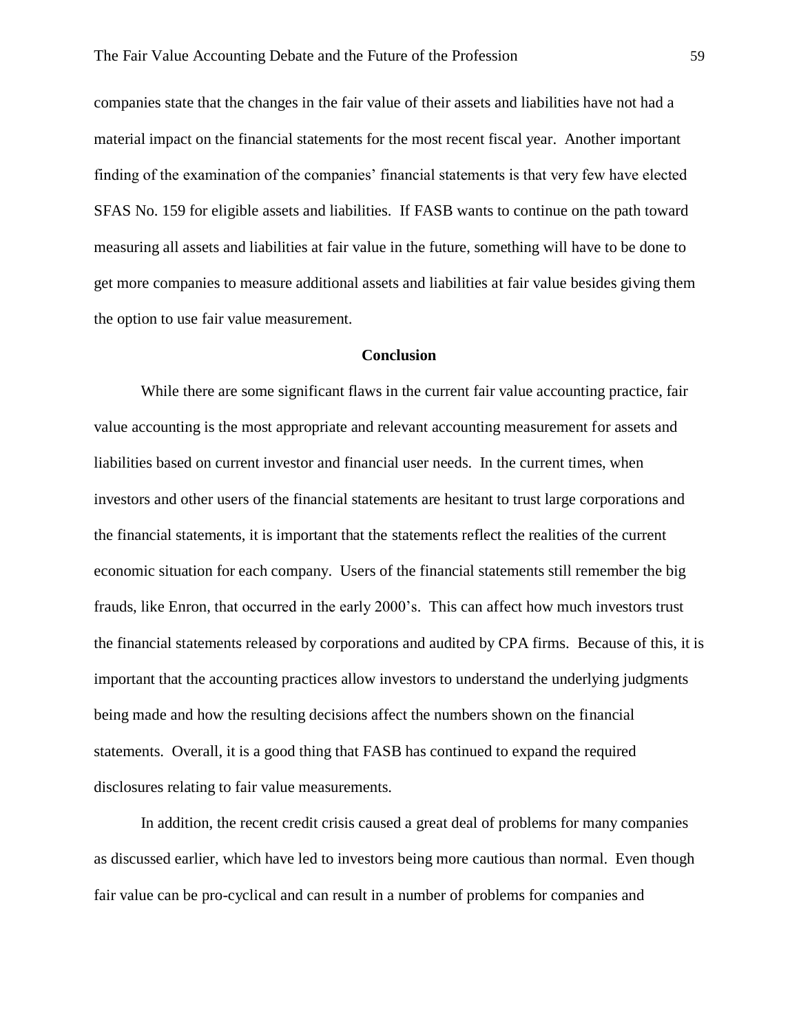companies state that the changes in the fair value of their assets and liabilities have not had a material impact on the financial statements for the most recent fiscal year. Another important finding of the examination of the companies' financial statements is that very few have elected SFAS No. 159 for eligible assets and liabilities. If FASB wants to continue on the path toward measuring all assets and liabilities at fair value in the future, something will have to be done to get more companies to measure additional assets and liabilities at fair value besides giving them the option to use fair value measurement.

## **Conclusion**

While there are some significant flaws in the current fair value accounting practice, fair value accounting is the most appropriate and relevant accounting measurement for assets and liabilities based on current investor and financial user needs. In the current times, when investors and other users of the financial statements are hesitant to trust large corporations and the financial statements, it is important that the statements reflect the realities of the current economic situation for each company. Users of the financial statements still remember the big frauds, like Enron, that occurred in the early 2000's. This can affect how much investors trust the financial statements released by corporations and audited by CPA firms. Because of this, it is important that the accounting practices allow investors to understand the underlying judgments being made and how the resulting decisions affect the numbers shown on the financial statements. Overall, it is a good thing that FASB has continued to expand the required disclosures relating to fair value measurements.

In addition, the recent credit crisis caused a great deal of problems for many companies as discussed earlier, which have led to investors being more cautious than normal. Even though fair value can be pro-cyclical and can result in a number of problems for companies and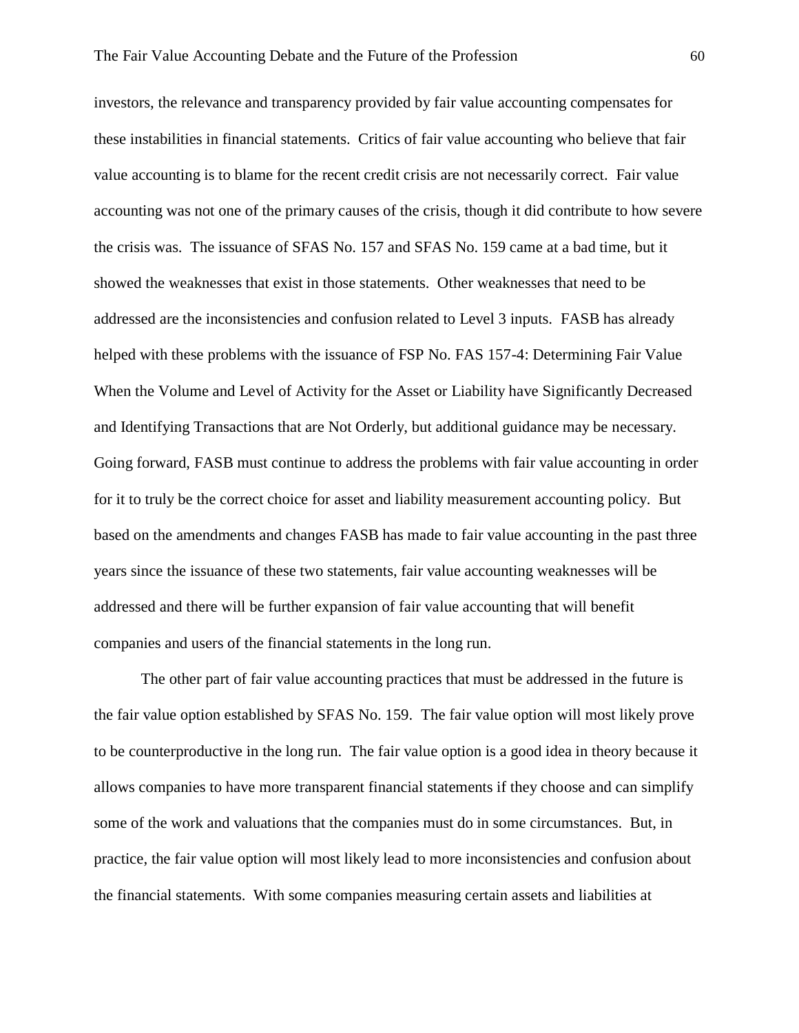investors, the relevance and transparency provided by fair value accounting compensates for these instabilities in financial statements. Critics of fair value accounting who believe that fair value accounting is to blame for the recent credit crisis are not necessarily correct. Fair value accounting was not one of the primary causes of the crisis, though it did contribute to how severe the crisis was. The issuance of SFAS No. 157 and SFAS No. 159 came at a bad time, but it showed the weaknesses that exist in those statements. Other weaknesses that need to be addressed are the inconsistencies and confusion related to Level 3 inputs. FASB has already helped with these problems with the issuance of FSP No. FAS 157-4: Determining Fair Value When the Volume and Level of Activity for the Asset or Liability have Significantly Decreased and Identifying Transactions that are Not Orderly, but additional guidance may be necessary. Going forward, FASB must continue to address the problems with fair value accounting in order for it to truly be the correct choice for asset and liability measurement accounting policy. But based on the amendments and changes FASB has made to fair value accounting in the past three years since the issuance of these two statements, fair value accounting weaknesses will be addressed and there will be further expansion of fair value accounting that will benefit companies and users of the financial statements in the long run.

The other part of fair value accounting practices that must be addressed in the future is the fair value option established by SFAS No. 159. The fair value option will most likely prove to be counterproductive in the long run. The fair value option is a good idea in theory because it allows companies to have more transparent financial statements if they choose and can simplify some of the work and valuations that the companies must do in some circumstances. But, in practice, the fair value option will most likely lead to more inconsistencies and confusion about the financial statements. With some companies measuring certain assets and liabilities at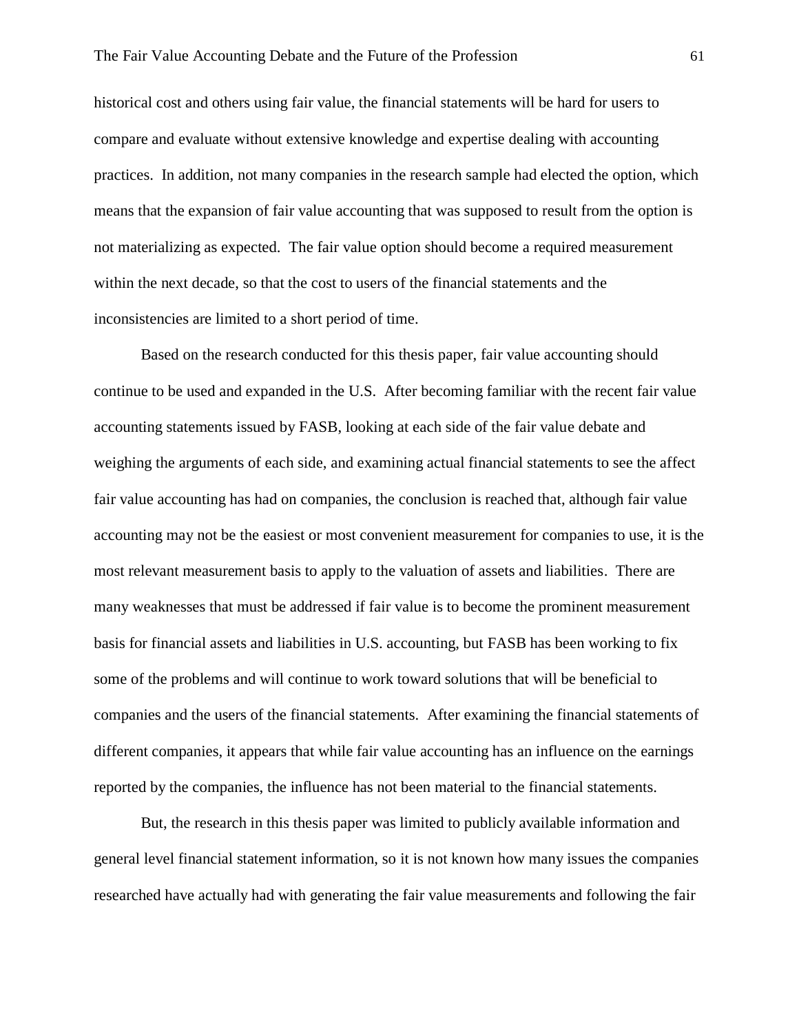historical cost and others using fair value, the financial statements will be hard for users to compare and evaluate without extensive knowledge and expertise dealing with accounting practices. In addition, not many companies in the research sample had elected the option, which means that the expansion of fair value accounting that was supposed to result from the option is not materializing as expected. The fair value option should become a required measurement within the next decade, so that the cost to users of the financial statements and the inconsistencies are limited to a short period of time.

Based on the research conducted for this thesis paper, fair value accounting should continue to be used and expanded in the U.S. After becoming familiar with the recent fair value accounting statements issued by FASB, looking at each side of the fair value debate and weighing the arguments of each side, and examining actual financial statements to see the affect fair value accounting has had on companies, the conclusion is reached that, although fair value accounting may not be the easiest or most convenient measurement for companies to use, it is the most relevant measurement basis to apply to the valuation of assets and liabilities. There are many weaknesses that must be addressed if fair value is to become the prominent measurement basis for financial assets and liabilities in U.S. accounting, but FASB has been working to fix some of the problems and will continue to work toward solutions that will be beneficial to companies and the users of the financial statements. After examining the financial statements of different companies, it appears that while fair value accounting has an influence on the earnings reported by the companies, the influence has not been material to the financial statements.

But, the research in this thesis paper was limited to publicly available information and general level financial statement information, so it is not known how many issues the companies researched have actually had with generating the fair value measurements and following the fair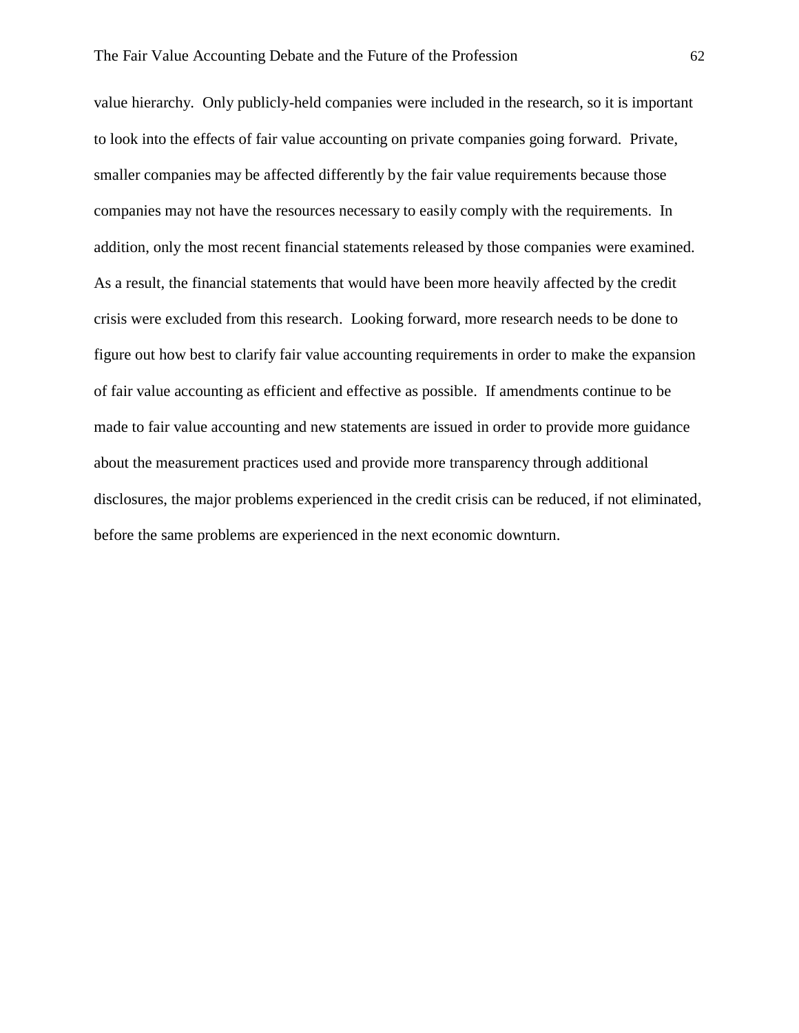value hierarchy. Only publicly-held companies were included in the research, so it is important to look into the effects of fair value accounting on private companies going forward. Private, smaller companies may be affected differently by the fair value requirements because those companies may not have the resources necessary to easily comply with the requirements. In addition, only the most recent financial statements released by those companies were examined. As a result, the financial statements that would have been more heavily affected by the credit crisis were excluded from this research. Looking forward, more research needs to be done to figure out how best to clarify fair value accounting requirements in order to make the expansion of fair value accounting as efficient and effective as possible. If amendments continue to be made to fair value accounting and new statements are issued in order to provide more guidance about the measurement practices used and provide more transparency through additional disclosures, the major problems experienced in the credit crisis can be reduced, if not eliminated, before the same problems are experienced in the next economic downturn.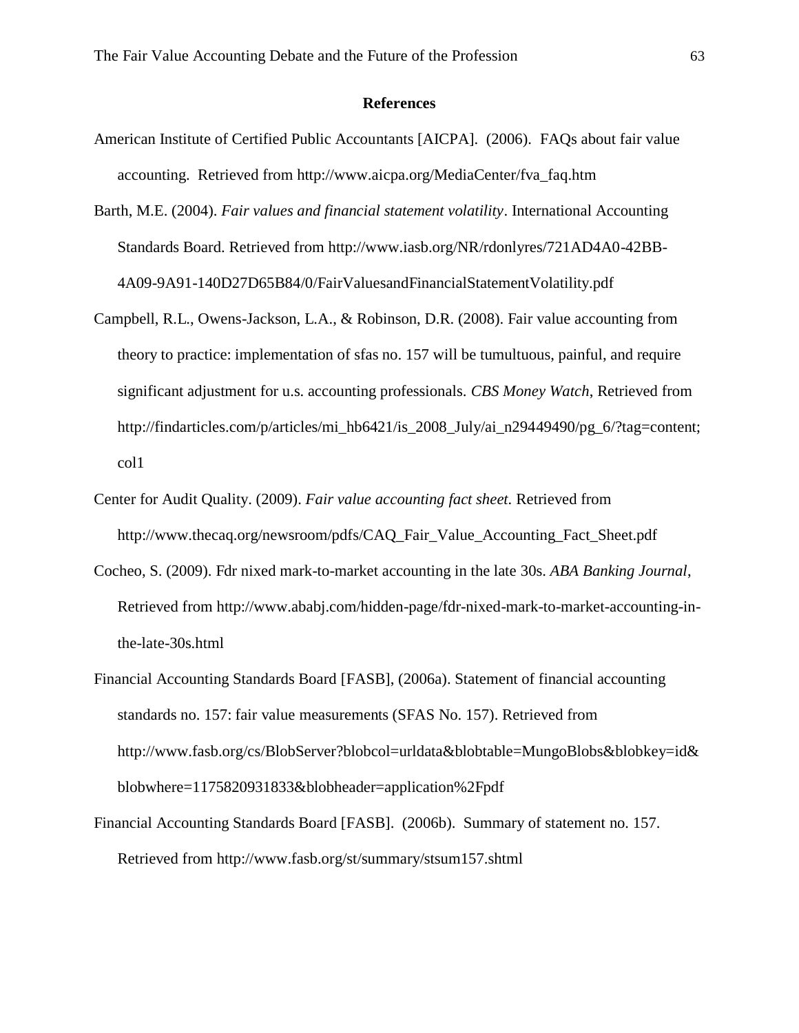#### **References**

- American Institute of Certified Public Accountants [AICPA]. (2006). FAQs about fair value accounting. Retrieved from http://www.aicpa.org/MediaCenter/fva\_faq.htm
- Barth, M.E. (2004). *Fair values and financial statement volatility*. International Accounting Standards Board. Retrieved from http://www.iasb.org/NR/rdonlyres/721AD4A0-42BB-4A09-9A91-140D27D65B84/0/FairValuesandFinancialStatementVolatility.pdf
- Campbell, R.L., Owens-Jackson, L.A., & Robinson, D.R. (2008). Fair value accounting from theory to practice: implementation of sfas no. 157 will be tumultuous, painful, and require significant adjustment for u.s. accounting professionals. *CBS Money Watch*, Retrieved from http://findarticles.com/p/articles/mi\_hb6421/is\_2008\_July/ai\_n29449490/pg\_6/?tag=content; col1
- Center for Audit Quality. (2009). *Fair value accounting fact sheet.* Retrieved from http://www.thecaq.org/newsroom/pdfs/CAQ\_Fair\_Value\_Accounting\_Fact\_Sheet.pdf
- Cocheo, S. (2009). Fdr nixed mark-to-market accounting in the late 30s. *ABA Banking Journal*, Retrieved from http://www.ababj.com/hidden-page/fdr-nixed-mark-to-market-accounting-inthe-late-30s.html
- Financial Accounting Standards Board [FASB], (2006a). Statement of financial accounting standards no. 157: fair value measurements (SFAS No. 157). Retrieved from http://www.fasb.org/cs/BlobServer?blobcol=urldata&blobtable=MungoBlobs&blobkey=id& blobwhere=1175820931833&blobheader=application%2Fpdf
- Financial Accounting Standards Board [FASB]. (2006b). Summary of statement no. 157. Retrieved from http://www.fasb.org/st/summary/stsum157.shtml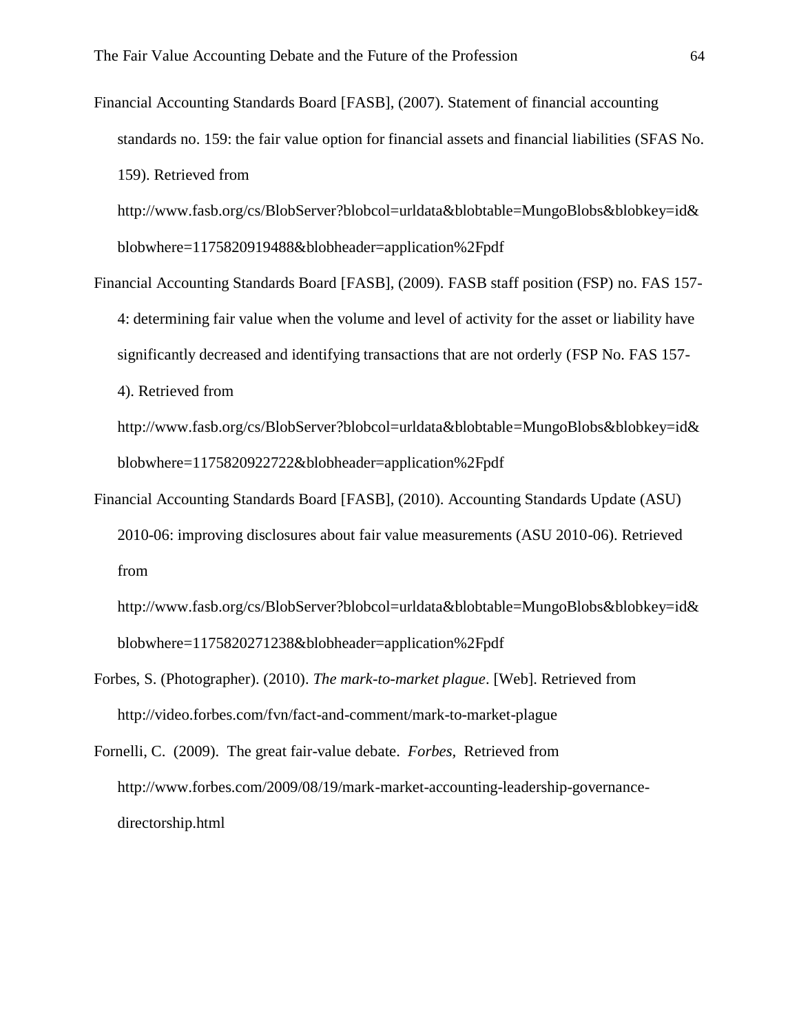Financial Accounting Standards Board [FASB], (2007). Statement of financial accounting standards no. 159: the fair value option for financial assets and financial liabilities (SFAS No. 159). Retrieved from

http://www.fasb.org/cs/BlobServer?blobcol=urldata&blobtable=MungoBlobs&blobkey=id& blobwhere=1175820919488&blobheader=application%2Fpdf

Financial Accounting Standards Board [FASB], (2009). FASB staff position (FSP) no. FAS 157- 4: determining fair value when the volume and level of activity for the asset or liability have significantly decreased and identifying transactions that are not orderly (FSP No. FAS 157-

4). Retrieved from

http://www.fasb.org/cs/BlobServer?blobcol=urldata&blobtable=MungoBlobs&blobkey=id& blobwhere=1175820922722&blobheader=application%2Fpdf

Financial Accounting Standards Board [FASB], (2010). Accounting Standards Update (ASU) 2010-06: improving disclosures about fair value measurements (ASU 2010-06). Retrieved from

http://www.fasb.org/cs/BlobServer?blobcol=urldata&blobtable=MungoBlobs&blobkey=id& blobwhere=1175820271238&blobheader=application%2Fpdf

Forbes, S. (Photographer). (2010). *The mark-to-market plague*. [Web]. Retrieved from http://video.forbes.com/fvn/fact-and-comment/mark-to-market-plague

Fornelli, C. (2009). The great fair-value debate. *Forbes,* Retrieved from http://www.forbes.com/2009/08/19/mark-market-accounting-leadership-governancedirectorship.html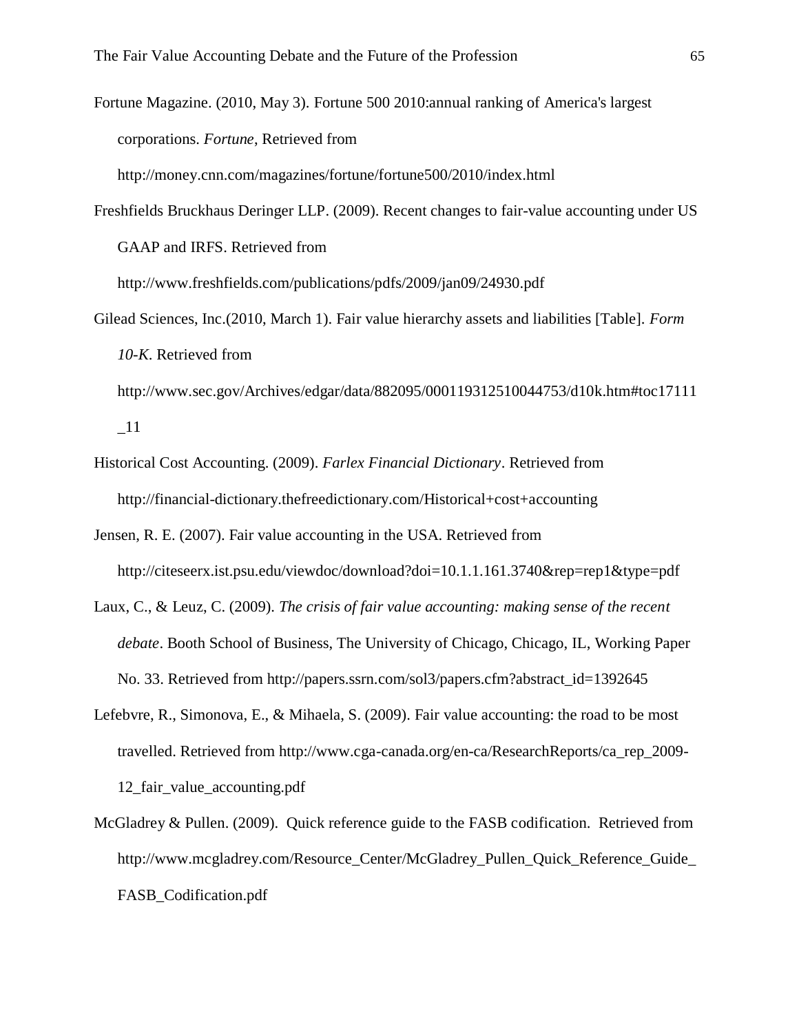Fortune Magazine. (2010, May 3). Fortune 500 2010:annual ranking of America's largest corporations. *Fortune*, Retrieved from

http://money.cnn.com/magazines/fortune/fortune500/2010/index.html

Freshfields Bruckhaus Deringer LLP. (2009). Recent changes to fair-value accounting under US GAAP and IRFS. Retrieved from

http://www.freshfields.com/publications/pdfs/2009/jan09/24930.pdf

- Gilead Sciences, Inc.(2010, March 1). Fair value hierarchy assets and liabilities [Table]. *Form 10-K*. Retrieved from
	- http://www.sec.gov/Archives/edgar/data/882095/000119312510044753/d10k.htm#toc17111  $\_11$
- Historical Cost Accounting. (2009). *Farlex Financial Dictionary*. Retrieved from <http://financial-dictionary.thefreedictionary.com/Historical+cost+accounting>
- Jensen, R. E. (2007). Fair value accounting in the USA. Retrieved from http://citeseerx.ist.psu.edu/viewdoc/download?doi=10.1.1.161.3740&rep=rep1&type=pdf
- Laux, C., & Leuz, C. (2009). *The crisis of fair value accounting: making sense of the recent debate*. Booth School of Business, The University of Chicago, Chicago, IL, Working Paper No. 33. Retrieved from http://papers.ssrn.com/sol3/papers.cfm?abstract\_id=1392645
- Lefebvre, R., Simonova, E., & Mihaela, S. (2009). Fair value accounting: the road to be most travelled. Retrieved from http://www.cga-canada.org/en-ca/ResearchReports/ca\_rep\_2009- 12 fair value accounting.pdf
- McGladrey & Pullen. (2009). Quick reference guide to the FASB codification. Retrieved from http://www.mcgladrey.com/Resource\_Center/McGladrey\_Pullen\_Quick\_Reference\_Guide\_ FASB\_Codification.pdf